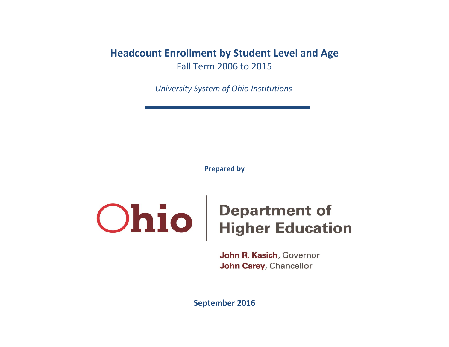# **Headcount Enrollment by Student Level and Age** Fall Term 2006 to 2015

*University System of Ohio Institutions*

**Prepared by**

# **Ohio** Pepartment of<br>Higher Education

John R. Kasich, Governor John Carey, Chancellor

**September 2016**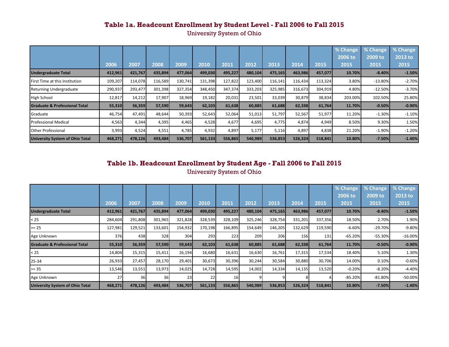University System of Ohio

|                                          |         |         |         |         |         |         |         |         |         |         | % Change | % Change  | % Change |
|------------------------------------------|---------|---------|---------|---------|---------|---------|---------|---------|---------|---------|----------|-----------|----------|
|                                          |         |         |         |         |         |         |         |         |         |         | 2006 to  | 2009 to   | 2013 to  |
|                                          | 2006    | 2007    | 2008    | 2009    | 2010    | 2011    | 2012    | 2013    | 2014    | 2015    | 2015     | 2015      | 2015     |
| <b>Undergraduate Total</b>               | 412,961 | 421,767 | 435,894 | 477,064 | 499,030 | 495,227 | 480,104 | 475,165 | 463,986 | 457,077 | 10.70%   | $-8.40%$  | $-1.50%$ |
| First Time at this Institution           | 109,207 | 114,078 | 116,589 | 130,741 | 131,398 | 127,822 | 123,400 | 116,141 | 116,434 | 113,324 | 3.80%    | $-13.80%$ | $-2.70%$ |
| Returning Undergraduate                  | 290,937 | 293,477 | 301,398 | 327,354 | 348,450 | 347,374 | 333,203 | 325,985 | 316,673 | 304,919 | 4.80%    | $-12.50%$ | $-3.70%$ |
| High School                              | 12,817  | 14,212  | 17,907  | 18,969  | 19,182  | 20,031  | 23,501  | 33,039  | 30,879  | 38,834  | 203.00%  | 102.50%   | 25.80%   |
| <b>Graduate &amp; Professional Total</b> | 55,310  | 56,359  | 57,590  | 59,643  | 62,103  | 61,638  | 60,885  | 61,688  | 62,338  | 61,764  | 11.70%   | $-0.50%$  | $-0.90%$ |
| Graduate                                 | 46,754  | 47,491  | 48,644  | 50,393  | 52,643  | 52,064  | 51,013  | 51,797  | 52,567  | 51,977  | 11.20%   | $-1.30%$  | $-1.10%$ |
| <b>Professional Medical</b>              | 4,563   | 4,344   | 4,395   | 4,465   | 4,528   | 4,677   | 4,695   | 4,775   | 4,874   | 4,949   | 8.50%    | 9.30%     | 1.50%    |
| <b>Other Professional</b>                | 3,993   | 4,524   | 4,551   | 4,785   | 4,932   | 4,897   | 5,177   | 5,116   | 4,897   | 4,838   | 21.20%   | $-1.90%$  | $-1.20%$ |
| <b>University System of Ohio Total</b>   | 468,271 | 478,126 | 493,484 | 536,707 | 561,133 | 556,865 | 540,989 | 536,853 | 526,324 | 518,841 | 10.80%   | $-7.50%$  | $-1.40%$ |

#### **Table 1b. Headcount Enrollment by Student Age - Fall 2006 to Fall 2015**

University System of Ohio

|                                           |         |         |         |         |         |           |         |         |         |         | % Change  | % Change  | % Change   |
|-------------------------------------------|---------|---------|---------|---------|---------|-----------|---------|---------|---------|---------|-----------|-----------|------------|
|                                           |         |         |         |         |         |           |         |         |         |         | 2006 to   | 2009 to   | 2013 to    |
|                                           | 2006    | 2007    | 2008    | 2009    | 2010    | 2011      | 2012    | 2013    | 2014    | 2015    | 2015      | 2015      | 2015       |
| <b>Undergraduate Total</b>                | 412,961 | 421,767 | 435,894 | 477,064 | 499,030 | 495,227   | 480,104 | 475,165 | 463,986 | 457,077 | 10.70%    | $-8.40%$  | $-1.50%$   |
| $25$                                      | 284,604 | 291,808 | 301,965 | 321,828 | 328,539 | 328,109   | 325,246 | 328,754 | 331,201 | 337,356 | 18.50%    | 2.70%     | 1.90%      |
| $>= 25$                                   | 127,981 | 129,521 | 133,601 | 154,932 | 170,198 | 166,895   | 154,649 | 146,205 | 132,629 | 119,590 | $-6.60%$  | $-29.70%$ | $-9.80%$   |
| Age Unknown                               | 376     | 438     | 328     | 304     | 293     | 223       | 209     | 206     | 156     | 131     | $-65.20%$ | $-55.30%$ | $-16.00%$  |
| <b>IGraduate &amp; Professional Total</b> | 55,310  | 56,359  | 57,590  | 59,643  | 62,103  | 61,638    | 60,885  | 61,688  | 62,338  | 61,764  | 11.70%    | $-0.50%$  | $-0.90%$   |
| $25$                                      | 14,804  | 15,315  | 15,411  | 16,194  | 16,680  | 16,631    | 16,630  | 16,761  | 17,315  | 17,534  | 18.40%    | 5.10%     | 1.30%      |
| 25-34                                     | 26,933  | 27,457  | 28,170  | 29,401  | 30,673  | 30,396    | 30,244  | 30,584  | 30,880  | 30,706  | 14.00%    | 0.10%     | $-0.60%$   |
| $>= 35$                                   | 13,546  | 13,551  | 13,973  | 14,025  | 14,728  | 14,595    | 14,002  | 14,334  | 14,135  | 13,520  | $-0.20%$  | $-8.20%$  | $-4.40%$   |
| Age Unknown                               | 27      | 36      | 36      | 23      | 22      | <b>16</b> |         |         |         |         | $-85.20%$ | $-81.80%$ | $-50.00\%$ |
| University System of Ohio Total           | 468,271 | 478,126 | 493,484 | 536,707 | 561,133 | 556,865   | 540,989 | 536,853 | 526,324 | 518,841 | 10.80%    | $-7.50%$  | $-1.40%$   |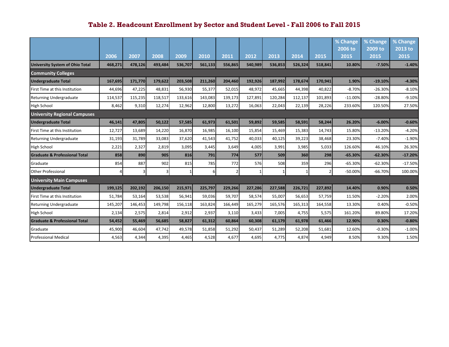|                                          |         |         |         |         |         |               |         |         |         |         | % Change<br>2006 to | % Change<br>2009 to | % Change<br>2013 to |
|------------------------------------------|---------|---------|---------|---------|---------|---------------|---------|---------|---------|---------|---------------------|---------------------|---------------------|
|                                          | 2006    | 2007    | 2008    | 2009    | 2010    | 2011          | 2012    | 2013    | 2014    | 2015    | 2015                | 2015                | 2015                |
| <b>University System of Ohio Total</b>   | 468,271 | 478,126 | 493,484 | 536,707 | 561,133 | 556,865       | 540,989 | 536,853 | 526,324 | 518,841 | 10.80%              | $-7.50%$            | $-1.40%$            |
| <b>Community Colleges</b>                |         |         |         |         |         |               |         |         |         |         |                     |                     |                     |
| <b>Undergraduate Total</b>               | 167,695 | 171,770 | 179,622 | 203,508 | 211,260 | 204,460       | 192,926 | 187,992 | 178,674 | 170,941 | 1.90%               | $-19.10%$           | $-4.30%$            |
| First Time at this Institution           | 44,696  | 47,225  | 48,831  | 56,930  | 55,377  | 52,015        | 48,972  | 45,665  | 44,398  | 40,822  | $-8.70%$            | $-26.30%$           | $-8.10%$            |
| <b>Returning Undergraduate</b>           | 114,537 | 115,235 | 118,517 | 133,616 | 143,083 | 139,173       | 127,891 | 120,284 | 112,137 | 101,893 | $-11.00%$           | $-28.80%$           | $-9.10%$            |
| <b>High School</b>                       | 8,462   | 9,310   | 12,274  | 12,962  | 12,800  | 13,272        | 16,063  | 22,043  | 22,139  | 28,226  | 233.60%             | 120.50%             | 27.50%              |
| <b>University Regional Campuses</b>      |         |         |         |         |         |               |         |         |         |         |                     |                     |                     |
| <b>Undergraduate Total</b>               | 46,141  | 47,805  | 50,122  | 57,585  | 61,973  | 61,501        | 59,892  | 59,585  | 58,591  | 58,244  | 26.20%              | $-6.00%$            | $-0.60%$            |
| First Time at this Institution           | 12,727  | 13,689  | 14,220  | 16,870  | 16,985  | 16,100        | 15,854  | 15,469  | 15,383  | 14,743  | 15.80%              | $-13.20%$           | $-4.20%$            |
| <b>Returning Undergraduate</b>           | 31,193  | 31,789  | 33,083  | 37,620  | 41,543  | 41,752        | 40,033  | 40,125  | 39,223  | 38,468  | 23.30%              | $-7.40%$            | $-1.90%$            |
| <b>High School</b>                       | 2,221   | 2,327   | 2,819   | 3,095   | 3,445   | 3,649         | 4,005   | 3,991   | 3,985   | 5,033   | 126.60%             | 46.10%              | 26.30%              |
| <b>Graduate &amp; Professional Total</b> | 858     | 890     | 905     | 816     | 791     | 774           | 577     | 509     | 360     | 298     | $-65.30%$           | $-62.30%$           | $-17.20%$           |
| Graduate                                 | 854     | 887     | 902     | 815     | 785     | 772           | 576     | 508     | 359     | 296     | $-65.30%$           | $-62.30%$           | $-17.50%$           |
| <b>Other Professional</b>                | 4       | 3       | 3       |         | 61      | $\mathcal{P}$ |         |         |         | 2       | $-50.00%$           | $-66.70%$           | 100.00%             |
| <b>University Main Campuses</b>          |         |         |         |         |         |               |         |         |         |         |                     |                     |                     |
| <b>Undergraduate Total</b>               | 199,125 | 202,192 | 206,150 | 215.971 | 225,797 | 229,266       | 227,286 | 227,588 | 226,721 | 227,892 | 14.40%              | 0.90%               | 0.50%               |
| First Time at this Institution           | 51,784  | 53,164  | 53,538  | 56,941  | 59,036  | 59,707        | 58,574  | 55,007  | 56,653  | 57,759  | 11.50%              | $-2.20%$            | 2.00%               |
| <b>Returning Undergraduate</b>           | 145,207 | 146,453 | 149,798 | 156,118 | 163,824 | 166,449       | 165,279 | 165,576 | 165,313 | 164,558 | 13.30%              | 0.40%               | $-0.50%$            |
| <b>High School</b>                       | 2,134   | 2,575   | 2,814   | 2,912   | 2,937   | 3,110         | 3,433   | 7,005   | 4,755   | 5,575   | 161.20%             | 89.80%              | 17.20%              |
| <b>Graduate &amp; Professional Total</b> | 54,452  | 55,469  | 56,685  | 58,827  | 61,312  | 60,864        | 60,308  | 61,179  | 61,978  | 61,466  | 12.90%              | 0.30%               | $-0.80%$            |
| <b>Graduate</b>                          | 45,900  | 46,604  | 47,742  | 49,578  | 51,858  | 51,292        | 50,437  | 51,289  | 52,208  | 51,681  | 12.60%              | $-0.30%$            | $-1.00%$            |
| <b>Professional Medical</b>              | 4,563   | 4,344   | 4,395   | 4,465   | 4,528   | 4,677         | 4,695   | 4,775   | 4,874   | 4,949   | 8.50%               | 9.30%               | 1.50%               |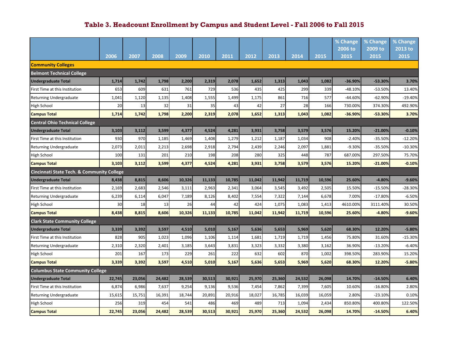|                                                       |        |        |        |        |        |        |        |        |        |        | % Change  | % Change  | % Change  |
|-------------------------------------------------------|--------|--------|--------|--------|--------|--------|--------|--------|--------|--------|-----------|-----------|-----------|
|                                                       |        |        |        |        |        |        |        |        |        |        | 2006 to   | 2009 to   | 2013 to   |
|                                                       | 2006   | 2007   | 2008   | 2009   | 2010   | 2011   | 2012   | 2013   | 2014   | 2015   | 2015      | 2015      | 2015      |
| <b>Community Colleges</b>                             |        |        |        |        |        |        |        |        |        |        |           |           |           |
| <b>Belmont Technical College</b>                      |        |        |        |        |        |        |        |        |        |        |           |           |           |
| <b>Undergraduate Total</b>                            | 1,714  | 1,742  | 1,798  | 2,200  | 2,319  | 2,078  | 1,652  | 1,313  | 1,043  | 1,082  | -36.90%   | -53.30%   | 3.70%     |
| First Time at this Institution                        | 653    | 609    | 631    | 761    | 729    | 536    | 435    | 425    | 299    | 339    | $-48.10%$ | -53.50%   | 13.40%    |
| Returning Undergraduate                               | 1,041  | 1,120  | 1,135  | 1,408  | 1,555  | 1,499  | 1,175  | 861    | 716    | 577    | $-44.60%$ | $-62.90%$ | $-19.40%$ |
| High School                                           | 20     | 13     | 32     | 31     | 35     | 43     | 42     | 27     | 28     | 166    | 730.00%   | 374.30%   | 492.90%   |
| <b>Campus Total</b>                                   | 1,714  | 1,742  | 1,798  | 2,200  | 2,319  | 2,078  | 1,652  | 1,313  | 1,043  | 1,082  | -36.90%   | -53.30%   | 3.70%     |
| <b>Central Ohio Technical College</b>                 |        |        |        |        |        |        |        |        |        |        |           |           |           |
| <b>Undergraduate Total</b>                            | 3,103  | 3,112  | 3,599  | 4,377  | 4,524  | 4,281  | 3,931  | 3,758  | 3,579  | 3,576  | 15.20%    | $-21.00%$ | $-0.10%$  |
| First Time at this Institution                        | 930    | 970    | 1,185  | 1,469  | 1,408  | 1,279  | 1,212  | 1,187  | 1,034  | 908    | $-2.40%$  | $-35.50%$ | $-12.20%$ |
| Returning Undergraduate                               | 2,073  | 2,011  | 2,213  | 2,698  | 2,918  | 2,794  | 2,439  | 2,246  | 2,097  | 1,881  | $-9.30%$  | $-35.50%$ | $-10.30%$ |
| High School                                           | 100    | 131    | 201    | 210    | 198    | 208    | 280    | 325    | 448    | 787    | 687.00%   | 297.50%   | 75.70%    |
| <b>Campus Total</b>                                   | 3,103  | 3,112  | 3,599  | 4,377  | 4,524  | 4,281  | 3,931  | 3,758  | 3,579  | 3,576  | 15.20%    | $-21.00%$ | $-0.10%$  |
| <b>Cincinnati State Tech. &amp; Community College</b> |        |        |        |        |        |        |        |        |        |        |           |           |           |
| Undergraduate Total                                   | 8,438  | 8,815  | 8,606  | 10,326 | 11,133 | 10,785 | 11,042 | 11,942 | 11,719 | 10,596 | 25.60%    | $-4.80%$  | $-9.60%$  |
| First Time at this Institution                        | 2,169  | 2,683  | 2,546  | 3,111  | 2,963  | 2,341  | 3,064  | 3,545  | 3,492  | 2,505  | 15.50%    | $-15.50%$ | $-28.30%$ |
| Returning Undergraduate                               | 6,239  | 6,114  | 6,047  | 7,189  | 8,126  | 8,402  | 7,554  | 7,322  | 7,144  | 6,678  | 7.00%     | $-17.80%$ | $-6.50%$  |
| High School                                           | 30     | 18     | 13     | 26     | 44     | 42     | 424    | 1,075  | 1,083  | 1,413  | 4610.00%  | 3111.40%  | 30.50%    |
| <b>Campus Total</b>                                   | 8,438  | 8,815  | 8,606  | 10,326 | 11,133 | 10,785 | 11,042 | 11,942 | 11,719 | 10,596 | 25.60%    | $-4.80%$  | $-9.60%$  |
| <b>Clark State Community College</b>                  |        |        |        |        |        |        |        |        |        |        |           |           |           |
| <b>Undergraduate Total</b>                            | 3,339  | 3,392  | 3,597  | 4,510  | 5,010  | 5,167  | 5,636  | 5,653  | 5,969  | 5,620  | 68.30%    | 12.20%    | $-5.80%$  |
| First Time at this Institution                        | 828    | 905    | 1,023  | 1,096  | 1,106  | 1,114  | 1,681  | 1,719  | 1,719  | 1,456  | 75.80%    | 31.60%    | $-15.30%$ |
| <b>Returning Undergraduate</b>                        | 2,310  | 2,320  | 2,401  | 3,185  | 3,643  | 3,831  | 3,323  | 3,332  | 3,380  | 3,162  | 36.90%    | $-13.20%$ | $-6.40%$  |
| High School                                           | 201    | 167    | 173    | 229    | 261    | 222    | 632    | 602    | 870    | 1,002  | 398.50%   | 283.90%   | 15.20%    |
| <b>Campus Total</b>                                   | 3,339  | 3,392  | 3,597  | 4,510  | 5,010  | 5,167  | 5,636  | 5,653  | 5,969  | 5,620  | 68.30%    | 12.20%    | $-5.80%$  |
| <b>Columbus State Community College</b>               |        |        |        |        |        |        |        |        |        |        |           |           |           |
| <b>Undergraduate Total</b>                            | 22,745 | 23,056 | 24,482 | 28,539 | 30,513 | 30,921 | 25,970 | 25,360 | 24,532 | 26,098 | 14.70%    | $-14.50%$ | 6.40%     |
| First Time at this Institution                        | 6,874  | 6,986  | 7,637  | 9,254  | 9,136  | 9,536  | 7,454  | 7,862  | 7,399  | 7,605  | 10.60%    | $-16.80%$ | 2.80%     |
| <b>Returning Undergraduate</b>                        | 15,615 | 15,751 | 16,391 | 18,744 | 20,891 | 20,916 | 18,027 | 16,785 | 16,039 | 16,059 | 2.80%     | $-23.10%$ | 0.10%     |
| High School                                           | 256    | 319    | 454    | 541    | 486    | 469    | 489    | 713    | 1,094  | 2,434  | 850.80%   | 400.80%   | 122.50%   |
| <b>Campus Total</b>                                   | 22,745 | 23,056 | 24,482 | 28,539 | 30,513 | 30,921 | 25,970 | 25,360 | 24,532 | 26,098 | 14.70%    | $-14.50%$ | 6.40%     |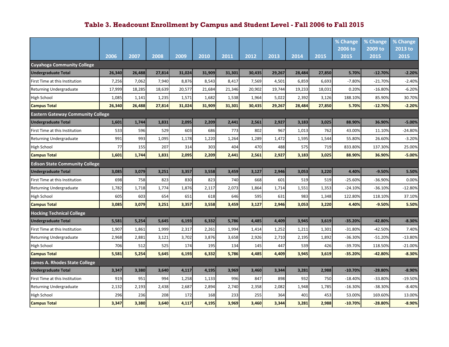|                                          |        |        |        |        |        |        |        |        |        |        | % Change  | % Change  | % Change  |
|------------------------------------------|--------|--------|--------|--------|--------|--------|--------|--------|--------|--------|-----------|-----------|-----------|
|                                          |        |        |        |        |        |        |        |        |        |        | 2006 to   | 2009 to   | 2013 to   |
|                                          | 2006   | 2007   | 2008   | 2009   | 2010   | 2011   | 2012   | 2013   | 2014   | 2015   | 2015      | 2015      | 2015      |
| <b>Cuyahoga Community College</b>        |        |        |        |        |        |        |        |        |        |        |           |           |           |
| <b>Undergraduate Total</b>               | 26,340 | 26,488 | 27,814 | 31,024 | 31,909 | 31,301 | 30,435 | 29,267 | 28,484 | 27,850 | 5.70%     | $-12.70%$ | $-2.20%$  |
| First Time at this Institution           | 7,256  | 7,062  | 7,940  | 8,876  | 8,543  | 8,417  | 7,569  | 4,501  | 6,859  | 6,693  | $-7.80%$  | $-21.70%$ | $-2.40%$  |
| <b>Returning Undergraduate</b>           | 17,999 | 18,285 | 18,639 | 20,577 | 21,684 | 21,346 | 20,902 | 19,744 | 19,233 | 18,031 | 0.20%     | $-16.80%$ | $-6.20%$  |
| High School                              | 1,085  | 1,141  | 1,235  | 1,571  | 1,682  | 1,538  | 1,964  | 5,022  | 2,392  | 3,126  | 188.10%   | 85.90%    | 30.70%    |
| <b>Campus Total</b>                      | 26,340 | 26,488 | 27,814 | 31,024 | 31,909 | 31,301 | 30,435 | 29,267 | 28,484 | 27,850 | 5.70%     | $-12.70%$ | $-2.20%$  |
| <b>Eastern Gateway Community College</b> |        |        |        |        |        |        |        |        |        |        |           |           |           |
| <b>Undergraduate Total</b>               | 1,601  | 1,744  | 1,831  | 2,095  | 2,209  | 2,441  | 2,561  | 2,927  | 3,183  | 3,025  | 88.90%    | 36.90%    | $-5.00%$  |
| First Time at this Institution           | 533    | 596    | 529    | 603    | 686    | 773    | 802    | 967    | 1,013  | 762    | 43.00%    | 11.10%    | $-24.80%$ |
| <b>Returning Undergraduate</b>           | 991    | 993    | 1,095  | 1,178  | 1,220  | 1,264  | 1,289  | 1,472  | 1,595  | 1,544  | 55.80%    | 26.60%    | $-3.20%$  |
| High School                              | 77     | 155    | 207    | 314    | 303    | 404    | 470    | 488    | 575    | 719    | 833.80%   | 137.30%   | 25.00%    |
| <b>Campus Total</b>                      | 1,601  | 1,744  | 1,831  | 2,095  | 2,209  | 2,441  | 2,561  | 2,927  | 3,183  | 3,025  | 88.90%    | 36.90%    | $-5.00%$  |
| <b>Edison State Community College</b>    |        |        |        |        |        |        |        |        |        |        |           |           |           |
| <b>Undergraduate Total</b>               | 3,085  | 3,079  | 3,251  | 3,357  | 3,558  | 3,459  | 3,127  | 2,946  | 3,053  | 3,220  | 4.40%     | $-9.50%$  | 5.50%     |
| First Time at this Institution           | 698    | 758    | 823    | 830    | 823    | 740    | 668    | 601    | 519    | 519    | $-25.60%$ | $-36.90%$ | 0.00%     |
| Returning Undergraduate                  | 1,782  | 1,718  | 1,774  | 1,876  | 2,117  | 2,073  | 1,864  | 1,714  | 1,551  | 1,353  | $-24.10%$ | $-36.10%$ | $-12.80%$ |
| High School                              | 605    | 603    | 654    | 651    | 618    | 646    | 595    | 631    | 983    | 1,348  | 122.80%   | 118.10%   | 37.10%    |
| <b>Campus Total</b>                      | 3,085  | 3,079  | 3,251  | 3,357  | 3,558  | 3,459  | 3,127  | 2,946  | 3,053  | 3,220  | 4.40%     | $-9.50%$  | 5.50%     |
| <b>Hocking Technical College</b>         |        |        |        |        |        |        |        |        |        |        |           |           |           |
| <b>Undergraduate Total</b>               | 5,581  | 5,254  | 5,645  | 6,193  | 6,332  | 5,786  | 4,485  | 4,409  | 3,945  | 3,619  | $-35.20%$ | $-42.80%$ | $-8.30%$  |
| First Time at this Institution           | 1,907  | 1,861  | 1,999  | 2,317  | 2,261  | 1,994  | 1,414  | 1,252  | 1,211  | 1,301  | $-31.80%$ | $-42.50%$ | 7.40%     |
| Returning Undergraduate                  | 2,968  | 2,881  | 3,121  | 3,702  | 3,876  | 3,658  | 2,926  | 2,710  | 2,195  | 1,892  | -36.30%   | $-51.20%$ | $-13.80%$ |
| High School                              | 706    | 512    | 525    | 174    | 195    | 134    | 145    | 447    | 539    | 426    | -39.70%   | 118.50%   | $-21.00%$ |
| <b>Campus Total</b>                      | 5,581  | 5,254  | 5,645  | 6,193  | 6,332  | 5,786  | 4,485  | 4,409  | 3,945  | 3,619  | -35.20%   | -42.80%   | $-8.30%$  |
| James A. Rhodes State College            |        |        |        |        |        |        |        |        |        |        |           |           |           |
| <b>Undergraduate Total</b>               | 3,347  | 3,380  | 3,640  | 4,117  | 4,195  | 3,969  | 3,460  | 3,344  | 3,281  | 2,988  | $-10.70%$ | $-28.80%$ | $-8.90%$  |
| First Time at this Institution           | 919    | 951    | 994    | 1,258  | 1,133  | 996    | 847    | 898    | 932    | 750    | $-18.40%$ | -33.80%   | $-19.50%$ |
| <b>Returning Undergraduate</b>           | 2,132  | 2,193  | 2,438  | 2,687  | 2,894  | 2,740  | 2,358  | 2,082  | 1,948  | 1,785  | $-16.30%$ | $-38.30%$ | $-8.40%$  |
| High School                              | 296    | 236    | 208    | 172    | 168    | 233    | 255    | 364    | 401    | 453    | 53.00%    | 169.60%   | 13.00%    |
| <b>Campus Total</b>                      | 3,347  | 3,380  | 3,640  | 4,117  | 4,195  | 3,969  | 3,460  | 3,344  | 3,281  | 2,988  | $-10.70%$ | $-28.80%$ | $-8.90%$  |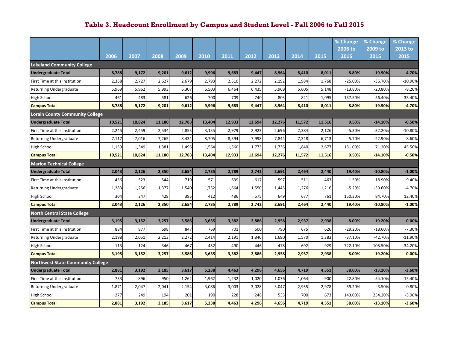|                                          |        |        |        |        |        |        |        |        |        |        | % Change  | % Change  | % Change  |
|------------------------------------------|--------|--------|--------|--------|--------|--------|--------|--------|--------|--------|-----------|-----------|-----------|
|                                          |        |        |        |        |        |        |        |        |        |        | 2006 to   | 2009 to   | 2013 to   |
|                                          | 2006   | 2007   | 2008   | 2009   | 2010   | 2011   | 2012   | 2013   | 2014   | 2015   | 2015      | 2015      | 2015      |
| <b>Lakeland Community College</b>        |        |        |        |        |        |        |        |        |        |        |           |           |           |
| <b>Undergraduate Total</b>               | 8,788  | 9,172  | 9,201  | 9,612  | 9,996  | 9,683  | 9,447  | 8,964  | 8,410  | 8,011  | $-8.80%$  | $-19.90%$ | $-4.70%$  |
| First Time at this Institution           | 2,358  | 2,727  | 2,627  | 2,679  | 2,793  | 2,510  | 2,272  | 2,192  | 1,984  | 1,768  | $-25.00%$ | $-36.70%$ | $-10.90%$ |
| Returning Undergraduate                  | 5,969  | 5,962  | 5,993  | 6,307  | 6,503  | 6,464  | 6,435  | 5,969  | 5,605  | 5,148  | $-13.80%$ | $-20.80%$ | $-8.20%$  |
| High School                              | 461    | 483    | 581    | 626    | 700    | 709    | 740    | 803    | 821    | 1,095  | 137.50%   | 56.40%    | 33.40%    |
| <b>Campus Total</b>                      | 8,788  | 9,172  | 9,201  | 9,612  | 9,996  | 9,683  | 9,447  | 8,964  | 8,410  | 8,011  | $-8.80%$  | $-19.90%$ | $-4.70%$  |
| Lorain County Community College          |        |        |        |        |        |        |        |        |        |        |           |           |           |
| <b>Undergraduate Total</b>               | 10,521 | 10,824 | 11,180 | 12,783 | 13,404 | 12,933 | 12,694 | 12,276 | 11,572 | 11,516 | 9.50%     | $-14.10%$ | $-0.50%$  |
| First Time at this Institution           | 2,245  | 2,459  | 2,534  | 2,853  | 3,135  | 2,979  | 2,923  | 2,696  | 2,384  | 2,126  | $-5.30%$  | $-32.20%$ | $-10.80%$ |
| <b>Returning Undergraduate</b>           | 7,117  | 7,016  | 7,265  | 8,434  | 8,705  | 8,394  | 7,998  | 7,844  | 7,348  | 6,713  | $-5.70%$  | $-22.90%$ | $-8.60%$  |
| High School                              | 1,159  | 1,349  | 1,381  | 1,496  | 1,564  | 1,560  | 1,773  | 1,736  | 1,840  | 2,677  | 131.00%   | 71.20%    | 45.50%    |
| <b>Campus Total</b>                      | 10,521 | 10,824 | 11,180 | 12,783 | 13,404 | 12,933 | 12,694 | 12,276 | 11,572 | 11,516 | 9.50%     | $-14.10%$ | $-0.50%$  |
| <b>Marion Technical College</b>          |        |        |        |        |        |        |        |        |        |        |           |           |           |
| <b>Undergraduate Total</b>               | 2,043  | 2,126  | 2,350  | 2,654  | 2,735  | 2,789  | 2,742  | 2,691  | 2,464  | 2,440  | 19.40%    | $-10.80%$ | $-1.00%$  |
| First Time at this Institution           | 456    | 523    | 544    | 719    | 571    | 639    | 617    | 597    | 511    | 463    | 1.50%     | $-18.90%$ | $-9.40%$  |
| Returning Undergraduate                  | 1,283  | 1,256  | 1,377  | 1,540  | 1,752  | 1,664  | 1,550  | 1,445  | 1,276  | 1,216  | $-5.20%$  | $-30.60%$ | $-4.70%$  |
| High School                              | 304    | 347    | 429    | 395    | 412    | 486    | 575    | 649    | 677    | 761    | 150.30%   | 84.70%    | 12.40%    |
| <b>Campus Total</b>                      | 2,043  | 2,126  | 2,350  | 2,654  | 2,735  | 2,789  | 2,742  | 2,691  | 2,464  | 2,440  | 19.40%    | $-10.80%$ | $-1.00%$  |
| <b>North Central State College</b>       |        |        |        |        |        |        |        |        |        |        |           |           |           |
| <b>Undergraduate Total</b>               | 3,195  | 3,152  | 3,257  | 3,586  | 3,635  | 3,382  | 2,886  | 2,958  | 2,937  | 2,938  | $-8.00%$  | $-19.20%$ | 0.00%     |
| First Time at this Institution           | 884    | 977    | 698    | 847    | 769    | 701    | 600    | 790    | 675    | 626    | $-29.20%$ | $-18.60%$ | $-7.30%$  |
| <b>Returning Undergraduate</b>           | 2,198  | 2,051  | 2,213  | 2,272  | 2,414  | 2,191  | 1,840  | 1,690  | 1,570  | 1,383  | $-37.10%$ | $-42.70%$ | $-11.90%$ |
| High School                              | 113    | 124    | 346    | 467    | 452    | 490    | 446    | 478    | 692    | 929    | 722.10%   | 105.50%   | 34.20%    |
| <b>Campus Total</b>                      | 3,195  | 3,152  | 3,257  | 3,586  | 3,635  | 3,382  | 2,886  | 2,958  | 2,937  | 2,938  | $-8.00%$  | $-19.20%$ | 0.00%     |
| <b>Northwest State Community College</b> |        |        |        |        |        |        |        |        |        |        |           |           |           |
| <b>Undergraduate Total</b>               | 2,881  | 3,192  | 3,185  | 3,617  | 5,238  | 4,463  | 4,296  | 4,656  | 4,719  | 4,551  | 58.00%    | $-13.10%$ | $-3.60%$  |
| First Time at this Institution           | 733    | 896    | 950    | 1,262  | 1,962  | 1,232  | 1,020  | 1,076  | 1,064  | 900    | 22.80%    | $-54.10%$ | $-15.40%$ |
| <b>Returning Undergraduate</b>           | 1,871  | 2,047  | 2,041  | 2,154  | 3,086  | 3,003  | 3,028  | 3,047  | 2,955  | 2,978  | 59.20%    | $-3.50%$  | 0.80%     |
| High School                              | 277    | 249    | 194    | 201    | 190    | 228    | 248    | 533    | 700    | 673    | 143.00%   | 254.20%   | $-3.90%$  |
| <b>Campus Total</b>                      | 2,881  | 3,192  | 3,185  | 3,617  | 5,238  | 4,463  | 4,296  | 4,656  | 4,719  | 4,551  | 58.00%    | $-13.10%$ | $-3.60%$  |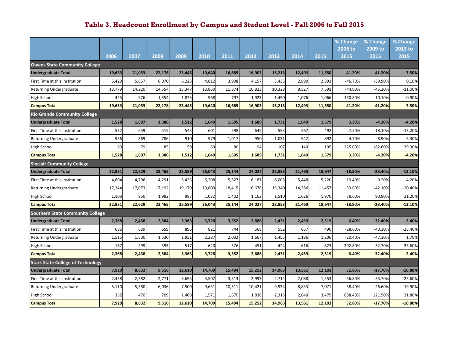|                                          |        |        |        |        |        |        |        |        |        |        | % Change  | % Change  | % Change  |
|------------------------------------------|--------|--------|--------|--------|--------|--------|--------|--------|--------|--------|-----------|-----------|-----------|
|                                          |        |        |        |        |        |        |        |        |        |        | 2006 to   | 2009 to   | 2013 to   |
|                                          | 2006   | 2007   | 2008   | 2009   | 2010   | 2011   | 2012   | 2013   | 2014   | 2015   | 2015      | 2015      | 2015      |
| <b>Owens State Community College</b>     |        |        |        |        |        |        |        |        |        |        |           |           |           |
| <b>Undergraduate Total</b>               | 19,633 | 21,053 | 22,178 | 23,445 | 19,640 | 16,669 | 16,903 | 15,213 | 12,493 | 11,550 | $-41.20%$ | $-41.20%$ | $-7.50%$  |
| First Time at this Institution           | 5,429  | 5,857  | 6,070  | 6,223  | 4,812  | 3,998  | 4,157  | 3,435  | 2,890  | 2,893  | $-46.70%$ | -39.90%   | 0.10%     |
| Returning Undergraduate                  | 13,779 | 14,220 | 14,554 | 15,347 | 13,860 | 11,874 | 10,823 | 10,328 | 8,527  | 7,591  | -44.90%   | $-45.20%$ | $-11.00%$ |
| High School                              | 425    | 976    | 1,554  | 1,875  | 968    | 797    | 1,923  | 1,450  | 1,076  | 1,066  | 150.80%   | 10.10%    | $-0.90%$  |
| <b>Campus Total</b>                      | 19,633 | 21,053 | 22,178 | 23,445 | 19,640 | 16,669 | 16,903 | 15,213 | 12,493 | 11,550 | $-41.20%$ | $-41.20%$ | $-7.50%$  |
| <b>Rio Grande Community College</b>      |        |        |        |        |        |        |        |        |        |        |           |           |           |
| <b>Undergraduate Total</b>               | 1,528  | 1,607  | 1,386  | 1,512  | 1,649  | 1,695  | 1,689  | 1,731  | 1,649  | 1,579  | 3.30%     | $-4.20%$  | $-4.20%$  |
| First Time at this Institution           | 532    | 659    | 515    | 543    | 601    | 598    | 645    | 593    | 567    | 492    | $-7.50%$  | $-18.10%$ | $-13.20%$ |
| <b>Returning Undergraduate</b>           | 936    | 869    | 786    | 910    | 979    | 1,017  | 950    | 1,031  | 942    | 892    | $-4.70%$  | $-8.90%$  | $-5.30%$  |
| High School                              | 60     | 79     | 85     | 59     | 69     | 80     | 94     | 107    | 140    | 195    | 225.00%   | 182.60%   | 39.30%    |
| <b>Campus Total</b>                      | 1,528  | 1,607  | 1,386  | 1,512  | 1,649  | 1,695  | 1,689  | 1,731  | 1,649  | 1,579  | 3.30%     | $-4.20%$  | $-4.20%$  |
| <b>Sinclair Community College</b>        |        |        |        |        |        |        |        |        |        |        |           |           |           |
| <b>Undergraduate Total</b>               | 22,951 | 22,629 | 23,465 | 25,589 | 26,043 | 25,144 | 24,027 | 22,853 | 21,460 | 18,647 | $-18.80%$ | $-28.40%$ | $-13.10%$ |
| First Time at this Institution           | 4,604  | 4,706  | 4,291  | 5,423  | 5,208  | 5,327  | 6,187  | 6,003  | 5,448  | 5,220  | 13.40%    | 0.20%     | $-4.20%$  |
| Returning Undergraduate                  | 17,244 | 17,073 | 17,192 | 19,179 | 19,803 | 18,415 | 16,678 | 15,340 | 14,386 | 11,457 | $-33.60%$ | $-42.10%$ | $-20.40%$ |
| High School                              | 1,103  | 850    | 1,982  | 987    | 1,032  | 1,402  | 1,162  | 1,510  | 1,626  | 1,970  | 78.60%    | 90.90%    | 21.20%    |
| <b>Campus Total</b>                      | 22,951 | 22,629 | 23,465 | 25,589 | 26,043 | 25,144 | 24,027 | 22,853 | 21,460 | 18,647 | $-18.80%$ | $-28.40%$ | $-13.10%$ |
| <b>Southern State Community College</b>  |        |        |        |        |        |        |        |        |        |        |           |           |           |
| <b>Undergraduate Total</b>               | 2,368  | 2,438  | 2,584  | 3,363  | 3,728  | 3,352  | 2,686  | 2,431  | 2,459  | 2,519  | 6.40%     | $-32.40%$ | 2.40%     |
| First Time at this Institution           | 686    | 639    | 659    | 895    | 821    | 744    | 568    | 552    | 657    | 490    | $-28.60%$ | $-40.30%$ | $-25.40%$ |
| Returning Undergraduate                  | 1,515  | 1,500  | 1,530  | 1,951  | 2,287  | 2,032  | 1,667  | 1,455  | 1,186  | 1,206  | $-20.40%$ | $-47.30%$ | 1.70%     |
| High School                              | 167    | 299    | 395    | 517    | 620    | 576    | 451    | 424    | 616    | 823    | 392.80%   | 32.70%    | 33.60%    |
| <b>Campus Total</b>                      | 2,368  | 2,438  | 2,584  | 3,363  | 3,728  | 3,352  | 2,686  | 2,431  | 2,459  | 2,519  | 6.40%     | $-32.40%$ | 2.40%     |
| <b>Stark State College of Technology</b> |        |        |        |        |        |        |        |        |        |        |           |           |           |
| <b>Undergraduate Total</b>               | 7,920  | 8,632  | 9,516  | 12,610 | 14,709 | 15,494 | 15,252 | 14,963 | 13,561 | 12,103 | 52.80%    | $-17.70%$ | $-10.80%$ |
| First Time at this Institution           | 2,458  | 2,582  | 2,771  | 3,693  | 3,507  | 3,313  | 2,993  | 2,714  | 2,088  | 1,553  | -36.80%   | $-55.70%$ | $-25.60%$ |
| Returning Undergraduate                  | 5,110  | 5,580  | 6,036  | 7,509  | 9,631  | 10,511 | 10,421 | 9,934  | 8,833  | 7,071  | 38.40%    | $-26.60%$ | -19.90%   |
| High School                              | 352    | 470    | 709    | 1,408  | 1,571  | 1,670  | 1,838  | 2,315  | 2,640  | 3,479  | 888.40%   | 121.50%   | 31.80%    |
| <b>Campus Total</b>                      | 7,920  | 8,632  | 9,516  | 12,610 | 14,709 | 15,494 | 15,252 | 14,963 | 13,561 | 12,103 | 52.80%    | $-17.70%$ | $-10.80%$ |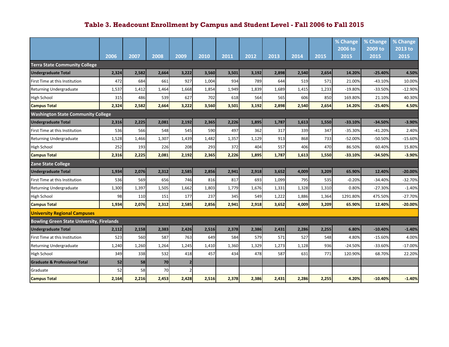|                                                  |       |       |       |                |       |       |       |       |       |       | % Change  | % Change  | % Change  |
|--------------------------------------------------|-------|-------|-------|----------------|-------|-------|-------|-------|-------|-------|-----------|-----------|-----------|
|                                                  |       |       |       |                |       |       |       |       |       |       | 2006 to   | 2009 to   | 2013 to   |
|                                                  | 2006  | 2007  | 2008  | 2009           | 2010  | 2011  | 2012  | 2013  | 2014  | 2015  | 2015      | 2015      | 2015      |
| <b>Terra State Community College</b>             |       |       |       |                |       |       |       |       |       |       |           |           |           |
| <b>Undergraduate Total</b>                       | 2,324 | 2,582 | 2,664 | 3,222          | 3,560 | 3,501 | 3,192 | 2,898 | 2,540 | 2,654 | 14.20%    | $-25.40%$ | 4.50%     |
| First Time at this Institution                   | 472   | 684   | 661   | 927            | 1,004 | 934   | 789   | 644   | 519   | 571   | 21.00%    | $-43.10%$ | 10.00%    |
| Returning Undergraduate                          | 1,537 | 1,412 | 1,464 | 1,668          | 1,854 | 1,949 | 1,839 | 1,689 | 1,415 | 1,233 | $-19.80%$ | $-33.50%$ | $-12.90%$ |
| High School                                      | 315   | 486   | 539   | 627            | 702   | 618   | 564   | 565   | 606   | 850   | 169.80%   | 21.10%    | 40.30%    |
| <b>Campus Total</b>                              | 2,324 | 2,582 | 2,664 | 3,222          | 3,560 | 3,501 | 3,192 | 2,898 | 2,540 | 2,654 | 14.20%    | $-25.40%$ | 4.50%     |
| <b>Washington State Community College</b>        |       |       |       |                |       |       |       |       |       |       |           |           |           |
| <b>Undergraduate Total</b>                       | 2,316 | 2.225 | 2,081 | 2,192          | 2,365 | 2,226 | 1,895 | 1,787 | 1,613 | 1,550 | $-33.10%$ | $-34.50%$ | -3.90%    |
| First Time at this Institution                   | 536   | 566   | 548   | 545            | 590   | 497   | 362   | 317   | 339   | 347   | $-35.30%$ | $-41.20%$ | 2.40%     |
| Returning Undergraduate                          | 1,528 | 1,466 | 1,307 | 1,439          | 1,482 | 1,357 | 1,129 | 913   | 868   | 733   | $-52.00%$ | $-50.50%$ | $-15.60%$ |
| <b>High School</b>                               | 252   | 193   | 226   | 208            | 293   | 372   | 404   | 557   | 406   | 470   | 86.50%    | 60.40%    | 15.80%    |
| <b>Campus Total</b>                              | 2,316 | 2,225 | 2,081 | 2,192          | 2,365 | 2,226 | 1,895 | 1,787 | 1,613 | 1,550 | $-33.10%$ | $-34.50%$ | $-3.90%$  |
| <b>Zane State College</b>                        |       |       |       |                |       |       |       |       |       |       |           |           |           |
| <b>Undergraduate Total</b>                       | 1,934 | 2,076 | 2,312 | 2,585          | 2,856 | 2,941 | 2,918 | 3,652 | 4,009 | 3,209 | 65.90%    | 12.40%    | $-20.00%$ |
| First Time at this Institution                   | 536   | 569   | 656   | 746            | 816   | 817   | 693   | 1,099 | 795   | 535   | $-0.20%$  | $-34.40%$ | $-32.70%$ |
| Returning Undergraduate                          | 1,300 | 1,397 | 1,505 | 1,662          | 1,803 | 1,779 | 1,676 | 1,331 | 1,328 | 1,310 | 0.80%     | $-27.30%$ | $-1.40%$  |
| <b>High School</b>                               | 98    | 110   | 151   | 177            | 237   | 345   | 549   | 1,222 | 1,886 | 1,364 | 1291.80%  | 475.50%   | $-27.70%$ |
| <b>Campus Total</b>                              | 1,934 | 2,076 | 2,312 | 2,585          | 2,856 | 2,941 | 2,918 | 3,652 | 4,009 | 3,209 | 65.90%    | 12.40%    | $-20.00%$ |
| <b>University Regional Campuses</b>              |       |       |       |                |       |       |       |       |       |       |           |           |           |
| <b>Bowling Green State University, Firelands</b> |       |       |       |                |       |       |       |       |       |       |           |           |           |
| <b>Undergraduate Total</b>                       | 2,112 | 2,158 | 2,383 | 2,426          | 2,516 | 2,378 | 2,386 | 2,431 | 2,286 | 2,255 | 6.80%     | $-10.40%$ | $-1.40%$  |
| First Time at this Institution                   | 523   | 560   | 587   | 763            | 649   | 584   | 579   | 571   | 527   | 548   | 4.80%     | $-15.60%$ | 4.00%     |
| Returning Undergraduate                          | 1,240 | 1,260 | 1,264 | 1,245          | 1,410 | 1,360 | 1,329 | 1,273 | 1,128 | 936   | $-24.50%$ | $-33.60%$ | $-17.00%$ |
| <b>High School</b>                               | 349   | 338   | 532   | 418            | 457   | 434   | 478   | 587   | 631   | 771   | 120.90%   | 68.70%    | 22.20%    |
| <b>Graduate &amp; Professional Total</b>         | 52    | 58    | 70    | $\overline{2}$ |       |       |       |       |       |       |           |           |           |
| Graduate                                         | 52    | 58    | 70    |                |       |       |       |       |       |       |           |           |           |
| <b>Campus Total</b>                              | 2,164 | 2,216 | 2,453 | 2,428          | 2,516 | 2,378 | 2,386 | 2,431 | 2,286 | 2,255 | 4.20%     | $-10.40%$ | $-1.40%$  |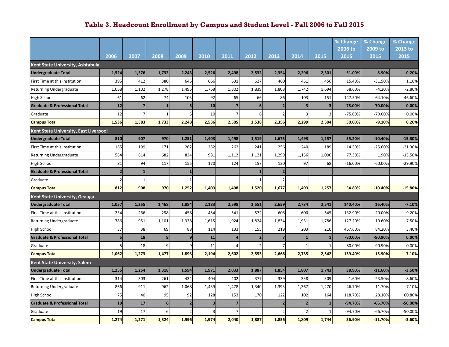|                                          |                |                |                |                         |       |       |       |                         |                         |       | % Change        | % Change        | % Change        |
|------------------------------------------|----------------|----------------|----------------|-------------------------|-------|-------|-------|-------------------------|-------------------------|-------|-----------------|-----------------|-----------------|
|                                          | 2006           |                | 2008           | 2009                    |       | 2011  | 2012  | 2013                    | 2014                    | 2015  | 2006 to<br>2015 | 2009 to<br>2015 | 2013 to<br>2015 |
| <b>Kent State University, Ashtabula</b>  |                | 2007           |                |                         | 2010  |       |       |                         |                         |       |                 |                 |                 |
| <b>Undergraduate Total</b>               | 1,524          | 1,576          | 1,732          | 2,243                   | 2,526 | 2,498 | 2,532 | 2,354                   | 2,296                   | 2,301 | 51.00%          | $-8.90%$        | 0.20%           |
| First Time at this Institution           | 395            | 412            | 380            | 645                     | 666   | 631   | 627   | 460                     | 451                     | 456   | 15.40%          | $-31.50%$       | 1.10%           |
| <b>Returning Undergraduate</b>           | 1,068          | 1,102          | 1,278          | 1,495                   | 1,768 | 1,802 | 1,839 | 1,808                   | 1,742                   | 1,694 | 58.60%          | $-4.20%$        | $-2.80%$        |
| <b>High School</b>                       | 61             | 62             | 74             | 103                     | 92    | 65    | 66    | 86                      | 103                     | 151   | 147.50%         | 64.10%          | 46.60%          |
| <b>Graduate &amp; Professional Total</b> | 12             | $\overline{7}$ | 1              | 5                       | 10    |       | 6     | $\overline{\mathbf{z}}$ | 3                       | В     | -75.00%         | $-70.00%$       | 0.00%           |
| Graduate                                 | 12             | 7              | 1              |                         | 10    |       |       | $\mathcal{I}$           |                         |       | -75.00%         | -70.00%         | 0.00%           |
| <b>Campus Total</b>                      | 1,536          | 1,583          | 1,733          | 2,248                   | 2,536 | 2,505 | 2,538 | 2,356                   | 2,299                   | 2,304 | 50.00%          | $-9.10%$        | 0.20%           |
| Kent State University, East Liverpool    |                |                |                |                         |       |       |       |                         |                         |       |                 |                 |                 |
| <b>Undergraduate Total</b>               | 810            | 907            | 970            | 1,251                   | 1,403 | 1,498 | 1,519 | 1,675                   | 1,493                   | 1,257 | 55.20%          | $-10.40%$       | $-15.80%$       |
| First Time at this Institution           | 165            | 199            | 171            | 262                     | 252   | 262   | 241   | 256                     | 240                     | 189   | 14.50%          | $-25.00%$       | $-21.30%$       |
| <b>Returning Undergraduate</b>           | 564            | 614            | 682            | 834                     | 981   | 1,112 | 1,121 | 1,299                   | 1,156                   | 1,000 | 77.30%          | 1.90%           | $-13.50%$       |
| <b>High School</b>                       | 81             | 94             | 117            | 155                     | 170   | 124   | 157   | 120                     | 97                      | 68    | $-16.00%$       | $-60.00%$       | $-29.90%$       |
| <b>Graduate &amp; Professional Total</b> | 2              | $\mathbf{1}$   |                |                         |       |       |       | $\overline{\mathbf{z}}$ |                         |       |                 |                 |                 |
| Graduate                                 | $\overline{2}$ | $\mathbf{1}$   |                |                         |       |       |       |                         |                         |       |                 |                 |                 |
| <b>Campus Total</b>                      | 812            | 908            | 970            | 1,252                   | 1,403 | 1,498 | 1,520 | 1,677                   | 1,493                   | 1,257 | 54.80%          | $-10.40%$       | $-15.80%$       |
| Kent State University, Geauga            |                |                |                |                         |       |       |       |                         |                         |       |                 |                 |                 |
| <b>Undergraduate Total</b>               | 1,057          | 1,255          | 1,468          | 1,884                   | 2,183 | 2,598 | 2,551 | 2,659                   | 2,734                   | 2,541 | 140.40%         | 16.40%          | $-7.10%$        |
| First Time at this Institution           | 234            | 266            | 298            | 458                     | 454   | 541   | 572   | 606                     | 600                     | 545   | 132.90%         | 20.00%          | $-9.20%$        |
| <b>Returning Undergraduate</b>           | 786            | 951            | 1,101          | 1,338                   | 1,615 | 1,924 | 1,824 | 1,834                   | 1,931                   | 1,786 | 127.20%         | 10.60%          | $-7.50%$        |
| <b>High School</b>                       | 37             | 38             | 69             | 88                      | 114   | 133   | 155   | 219                     | 203                     | 210   | 467.60%         | 84.20%          | 3.40%           |
| <b>Graduate &amp; Professional Total</b> | 5              | 18             | 9              | q                       | 11    |       |       | 7                       |                         |       | $-80.00%$       | -90.90%         | 0.00%           |
| Graduate                                 |                | 18             | $\overline{9}$ |                         | 11    |       |       |                         |                         |       | $-80.00%$       | -90.90%         | 0.00%           |
| <b>Campus Total</b>                      | 1,062          | 1,273          | 1,477          | 1,893                   | 2,194 | 2,602 | 2,553 | 2,666                   | 2,735                   | 2,542 | 139.40%         | 15.90%          | $-7.10%$        |
| <b>Kent State University, Salem</b>      |                |                |                |                         |       |       |       |                         |                         |       |                 |                 |                 |
| <b>Undergraduate Total</b>               | 1,255          | 1,254          | 1,318          | 1,594                   | 1,971 | 2,033 | 1,887 | 1,854                   | 1,807                   | 1,743 | 38.90%          | $-11.60%$       | $-3.50%$        |
| First Time at this Institution           | 314            | 303            | 261            | 434                     | 404   | 402   | 377   | 339                     | 338                     | 309   | $-1.60%$        | $-23.50%$       | $-8.60%$        |
| <b>Returning Undergraduate</b>           | 866            | 911            | 962            | 1,068                   | 1,439 | 1,478 | 1,340 | 1,393                   | 1,367                   | 1,270 | 46.70%          | $-11.70%$       | $-7.10%$        |
| <b>High School</b>                       | 75             | 40             | 95             | 92                      | 128   | 153   | 170   | 122                     | 102                     | 164   | 118.70%         | 28.10%          | 60.80%          |
| <b>Graduate &amp; Professional Total</b> | 19             | 17             | 6 <sup>1</sup> | $\overline{\mathbf{z}}$ | 3     |       |       | 2                       | $\overline{\mathbf{z}}$ |       | -94.70%         | $-66.70%$       | $-50.00%$       |
| Graduate                                 | 19             | 17             | $6 \mid$       |                         |       |       |       |                         |                         |       | -94.70%         | $-66.70%$       | -50.00%         |
| <b>Campus Total</b>                      | 1,274          | 1,271          | 1,324          | 1,596                   | 1,974 | 2,040 | 1,887 | 1,856                   | 1,809                   | 1,744 | 36.90%          | $-11.70%$       | $-3.60%$        |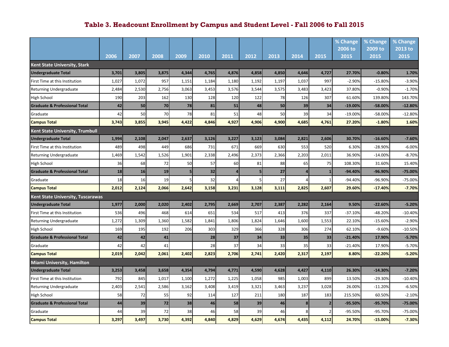|                                          |       |       |       |       |       |       |       |       |       |                         | % Change  | % Change  | % Change  |
|------------------------------------------|-------|-------|-------|-------|-------|-------|-------|-------|-------|-------------------------|-----------|-----------|-----------|
|                                          |       |       |       |       |       |       |       |       |       |                         | 2006 to   | 2009 to   | 2013 to   |
|                                          | 2006  | 2007  | 2008  | 2009  | 2010  | 2011  | 2012  | 2013  | 2014  | 2015                    | 2015      | 2015      | 2015      |
| Kent State University, Stark             |       |       |       |       |       |       |       |       |       |                         |           |           |           |
| <b>Undergraduate Total</b>               | 3,701 | 3,805 | 3,875 | 4,344 | 4,765 | 4,876 | 4,858 | 4,850 | 4,646 | 4,727                   | 27.70%    | $-0.80%$  | 1.70%     |
| First Time at this Institution           | 1,027 | 1,072 | 957   | 1,151 | 1,184 | 1,180 | 1,192 | 1,197 | 1,037 | 997                     | $-2.90%$  | $-15.80%$ | $-3.90%$  |
| <b>Returning Undergraduate</b>           | 2,484 | 2,530 | 2,756 | 3,063 | 3,453 | 3,576 | 3,544 | 3,575 | 3,483 | 3,423                   | 37.80%    | $-0.90%$  | $-1.70%$  |
| High School                              | 190   | 203   | 162   | 130   | 128   | 120   | 122   | 78    | 126   | 307                     | 61.60%    | 139.80%   | 143.70%   |
| <b>Graduate &amp; Professional Total</b> | 42    | 50    | 70    | 78    | 81    | 51    | 48    | 50    | 39    | 34                      | $-19.00%$ | $-58.00%$ | $-12.80%$ |
| Graduate                                 | 42    | 50    | 70    | 78    | 81    | 51    | 48    | 50    | 39    | 34                      | $-19.00%$ | -58.00%   | $-12.80%$ |
| <b>Campus Total</b>                      | 3,743 | 3,855 | 3,945 | 4,422 | 4,846 | 4,927 | 4,906 | 4,900 | 4,685 | 4,761                   | 27.20%    | $-1.80%$  | 1.60%     |
| Kent State University, Trumbull          |       |       |       |       |       |       |       |       |       |                         |           |           |           |
| <b>Undergraduate Total</b>               | 1,994 | 2,108 | 2,047 | 2,637 | 3,126 | 3,227 | 3,123 | 3,084 | 2,821 | 2,606                   | 30.70%    | $-16.60%$ | $-7.60%$  |
| First Time at this Institution           | 489   | 498   | 449   | 686   | 731   | 671   | 669   | 630   | 553   | 520                     | 6.30%     | $-28.90%$ | $-6.00%$  |
| <b>Returning Undergraduate</b>           | 1,469 | 1,542 | 1,526 | 1,901 | 2,338 | 2,496 | 2,373 | 2,366 | 2,203 | 2,011                   | 36.90%    | $-14.00%$ | $-8.70%$  |
| <b>High School</b>                       | 36    | 68    | 72    | 50    | 57    | 60    | 81    | 88    | 65    | 75                      | 108.30%   | 31.60%    | 15.40%    |
| <b>Graduate &amp; Professional Total</b> | 18    | 16    | 19    | 5     | 32    |       |       | 27    |       |                         | $-94.40%$ | -96.90%   | -75.00%   |
| Graduate                                 | 18    | 16    | 19    |       | 32    |       |       | 27    |       |                         | -94.40%   | -96.90%   | -75.00%   |
| <b>Campus Total</b>                      | 2,012 | 2,124 | 2,066 | 2,642 | 3,158 | 3,231 | 3,128 | 3,111 | 2,825 | 2,607                   | 29.60%    | $-17.40%$ | $-7.70%$  |
| Kent State University, Tuscarawas        |       |       |       |       |       |       |       |       |       |                         |           |           |           |
| <b>Undergraduate Total</b>               | 1,977 | 2,000 | 2,020 | 2,402 | 2,795 | 2,669 | 2,707 | 2,387 | 2,282 | 2,164                   | 9.50%     | $-22.60%$ | $-5.20%$  |
| First Time at this Institution           | 536   | 496   | 468   | 614   | 651   | 534   | 517   | 413   | 376   | 337                     | $-37.10%$ | $-48.20%$ | $-10.40%$ |
| <b>Returning Undergraduate</b>           | 1,272 | 1,309 | 1,360 | 1,582 | 1,841 | 1,806 | 1,824 | 1,646 | 1,600 | 1,553                   | 22.10%    | $-15.60%$ | $-2.90%$  |
| <b>High School</b>                       | 169   | 195   | 192   | 206   | 303   | 329   | 366   | 328   | 306   | 274                     | 62.10%    | $-9.60%$  | $-10.50%$ |
| <b>Graduate &amp; Professional Total</b> | 42    | 42    | 41    |       | 28    | 37    | 34    | 33    | 35    | 33                      | $-21.40%$ | 17.90%    | $-5.70%$  |
| Graduate                                 | 42    | 42    | 41    |       | 28    | 37    | 34    | 33    | 35    | 33                      | $-21.40%$ | 17.90%    | $-5.70%$  |
| <b>Campus Total</b>                      | 2,019 | 2,042 | 2,061 | 2,402 | 2,823 | 2,706 | 2,741 | 2,420 | 2,317 | 2,197                   | 8.80%     | $-22.20%$ | $-5.20%$  |
| <b>Miami University, Hamilton</b>        |       |       |       |       |       |       |       |       |       |                         |           |           |           |
| <b>Undergraduate Total</b>               | 3,253 | 3,458 | 3,658 | 4,354 | 4,794 | 4,771 | 4,590 | 4,628 | 4,427 | 4,110                   | 26.30%    | $-14.30%$ | $-7.20%$  |
| First Time at this Institution           | 792   | 845   | 1,017 | 1,100 | 1,272 | 1,225 | 1,058 | 985   | 1,003 | 899                     | 13.50%    | $-29.30%$ | $-10.40%$ |
| <b>Returning Undergraduate</b>           | 2,403 | 2,541 | 2,586 | 3,162 | 3,408 | 3,419 | 3,321 | 3,463 | 3,237 | 3,028                   | 26.00%    | $-11.20%$ | $-6.50%$  |
| <b>High School</b>                       | 58    | 72    | 55    | 92    | 114   | 127   | 211   | 180   | 187   | 183                     | 215.50%   | 60.50%    | $-2.10%$  |
| <b>Graduate &amp; Professional Total</b> | 44    | 39    | 72    | 38    | 46    | 58    | 39    | 46    | 8     | $\overline{\mathbf{2}}$ | -95.50%   | $-95.70%$ | -75.00%   |
| Graduate                                 | 44    | 39    | 72    | 38    | 46    | 58    | 39    | 46    | 8     |                         | -95.50%   | -95.70%   | -75.00%   |
| <b>Campus Total</b>                      | 3,297 | 3,497 | 3,730 | 4,392 | 4,840 | 4,829 | 4,629 | 4,674 | 4,435 | 4,112                   | 24.70%    | $-15.00%$ | $-7.30%$  |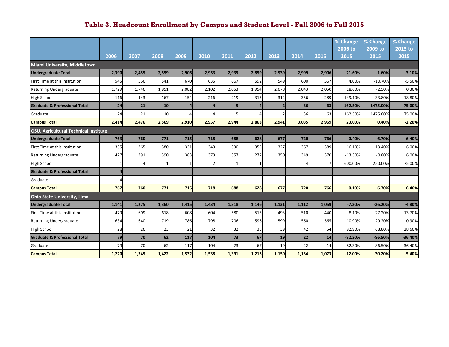|                                          |              |       |                 |       |       |       |       |                |       |       | % Change  | % Change  | % Change  |
|------------------------------------------|--------------|-------|-----------------|-------|-------|-------|-------|----------------|-------|-------|-----------|-----------|-----------|
|                                          |              |       |                 |       |       |       |       |                |       |       | 2006 to   | $2009$ to | 2013 to   |
|                                          | 2006         | 2007  | 2008            | 2009  | 2010  | 2011  | 2012  | 2013           | 2014  | 2015  | 2015      | 2015      | 2015      |
| Miami University, Middletown             |              |       |                 |       |       |       |       |                |       |       |           |           |           |
| <b>Undergraduate Total</b>               | 2,390        | 2,455 | 2,559           | 2,906 | 2,953 | 2,939 | 2,859 | 2,939          | 2,999 | 2,906 | 21.60%    | $-1.60%$  | $-3.10%$  |
| First Time at this Institution           | 545          | 566   | 541             | 670   | 635   | 667   | 592   | 549            | 600   | 567   | 4.00%     | $-10.70%$ | $-5.50%$  |
| Returning Undergraduate                  | 1,729        | 1,746 | 1,851           | 2,082 | 2,102 | 2,053 | 1,954 | 2,078          | 2,043 | 2,050 | 18.60%    | $-2.50%$  | 0.30%     |
| High School                              | 116          | 143   | 167             | 154   | 216   | 219   | 313   | 312            | 356   | 289   | 149.10%   | 33.80%    | $-18.80%$ |
| <b>Graduate &amp; Professional Total</b> | 24           | 21    | 10 <sub>1</sub> |       |       |       |       | $\overline{2}$ | 36    | 63    | 162.50%   | 1475.00%  | 75.00%    |
| Graduate                                 | 24           | 21    | 10              |       |       |       |       |                | 36    | 63    | 162.50%   | 1475.00%  | 75.00%    |
| <b>Campus Total</b>                      | 2,414        | 2,476 | 2,569           | 2,910 | 2,957 | 2,944 | 2,863 | 2,941          | 3,035 | 2,969 | 23.00%    | 0.40%     | $-2.20%$  |
| OSU, Agricultural Technical Institute    |              |       |                 |       |       |       |       |                |       |       |           |           |           |
| <b>Undergraduate Total</b>               | 763          | 760   | 771             | 715   | 718   | 688   | 628   | 677            | 720   | 766   | 0.40%     | 6.70%     | 6.40%     |
| First Time at this Institution           | 335          | 365   | 380             | 331   | 343   | 330   | 355   | 327            | 367   | 389   | 16.10%    | 13.40%    | 6.00%     |
| Returning Undergraduate                  | 427          | 391   | 390             | 383   | 373   | 357   | 272   | 350            | 349   | 370   | $-13.30%$ | $-0.80%$  | 6.00%     |
| High School                              | $\mathbf{1}$ | Δ     | 1               |       |       |       |       |                | Δ     |       | 600.00%   | 250.00%   | 75.00%    |
| <b>Graduate &amp; Professional Total</b> | 4            |       |                 |       |       |       |       |                |       |       |           |           |           |
| Graduate                                 |              |       |                 |       |       |       |       |                |       |       |           |           |           |
| <b>Campus Total</b>                      | 767          | 760   | 771             | 715   | 718   | 688   | 628   | 677            | 720   | 766   | $-0.10%$  | 6.70%     | 6.40%     |
| <b>Ohio State University, Lima</b>       |              |       |                 |       |       |       |       |                |       |       |           |           |           |
| <b>Undergraduate Total</b>               | 1,141        | 1,275 | 1,360           | 1,415 | 1,434 | 1,318 | 1,146 | 1,131          | 1,112 | 1,059 | $-7.20%$  | $-26.20%$ | $-4.80%$  |
| First Time at this Institution           | 479          | 609   | 618             | 608   | 604   | 580   | 515   | 493            | 510   | 440   | $-8.10%$  | $-27.20%$ | $-13.70%$ |
| Returning Undergraduate                  | 634          | 640   | 719             | 786   | 798   | 706   | 596   | 599            | 560   | 565   | $-10.90%$ | $-29.20%$ | 0.90%     |
| <b>High School</b>                       | 28           | 26    | 23              | 21    | 32    | 32    | 35    | 39             | 42    | 54    | 92.90%    | 68.80%    | 28.60%    |
| <b>Graduate &amp; Professional Total</b> | 79           | 70    | 62              | 117   | 104   | 73    | 67    | 19             | 22    | 14    | $-82.30%$ | $-86.50%$ | $-36.40%$ |
| Graduate                                 | 79           | 70    | 62              | 117   | 104   | 73    | 67    | 19             | 22    | 14    | $-82.30%$ | $-86.50%$ | $-36.40%$ |
| <b>Campus Total</b>                      | 1,220        | 1,345 | 1,422           | 1,532 | 1,538 | 1,391 | 1,213 | 1,150          | 1,134 | 1,073 | $-12.00%$ | $-30.20%$ | $-5.40%$  |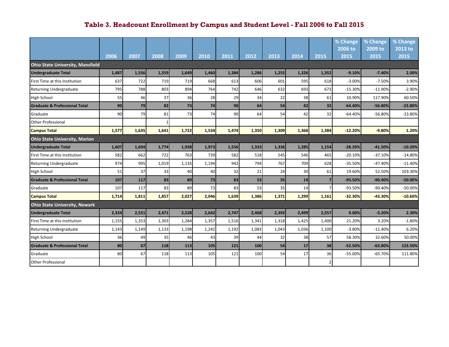|                                          |       |       |       |       |       |       |       |       |       |       | % Change<br>2006 to | % Change<br>2009 to | % Change<br>2013 to |
|------------------------------------------|-------|-------|-------|-------|-------|-------|-------|-------|-------|-------|---------------------|---------------------|---------------------|
|                                          | 2006  | 2007  | 2008  | 2009  | 2010  | 2011  | 2012  | 2013  | 2014  | 2015  | 2015                | 2015                | 2015                |
| <b>Ohio State University, Mansfield</b>  |       |       |       |       |       |       |       |       |       |       |                     |                     |                     |
| <b>Undergraduate Total</b>               | 1,487 | 1,556 | 1,559 | 1,649 | 1,460 | 1,384 | 1,286 | 1,255 | 1,326 | 1,352 | $-9.10%$            | $-7.40%$            | 2.00%               |
| First Time at this Institution           | 637   | 722   | 719   | 719   | 668   | 613   | 606   | 601   | 595   | 618   | $-3.00%$            | $-7.50%$            | 3.90%               |
| Returning Undergraduate                  | 795   | 788   | 803   | 894   | 764   | 742   | 646   | 632   | 693   | 673   | $-15.30%$           | $-11.90%$           | $-2.90%$            |
| High School                              | 55    | 46    | 37    | 36    | 28    | 29    | 34    | 22    | 38    | 61    | 10.90%              | 117.90%             | 60.50%              |
| <b>Graduate &amp; Professional Total</b> | 90    | 79    | 82    | 73    | 74    | 90    | 64    | 54    | 42    | 32    | $-64.40%$           | $-56.80%$           | $-23.80%$           |
| Graduate                                 | 90    | 79    | 81    | 73    | 74    | 90    | 64    | 54    | 42    | 32    | $-64.40%$           | $-56.80%$           | $-23.80%$           |
| <b>Other Professional</b>                |       |       |       |       |       |       |       |       |       |       |                     |                     |                     |
| <b>Campus Total</b>                      | 1,577 | 1,635 | 1,641 | 1,722 | 1,534 | 1,474 | 1,350 | 1,309 | 1,368 | 1,384 | $-12.20%$           | $-9.80%$            | 1.20%               |
| <b>Ohio State University, Marion</b>     |       |       |       |       |       |       |       |       |       |       |                     |                     |                     |
| <b>Undergraduate Total</b>               | 1,607 | 1.694 | 1,774 | 1,938 | 1,973 | 1,556 | 1,333 | 1,336 | 1,285 | 1,154 | $-28.20%$           | $-41.50%$           | $-10.20%$           |
| First Time at this Institution           | 582   | 662   | 722   | 763   | 739   | 582   | 518   | 545   | 546   | 465   | $-20.10%$           | $-37.10%$           | $-14.80%$           |
| Returning Undergraduate                  | 974   | 995   | 1,019 | 1,135 | 1,194 | 942   | 794   | 767   | 709   | 628   | $-35.50%$           | $-47.40%$           | $-11.40%$           |
| High School                              | 51    | 37    | 33    | 40    | 40    | 32    | 21    | 24    | 30    | 61    | 19.60%              | 52.50%              | 103.30%             |
| <b>Graduate &amp; Professional Total</b> | 107   | 117   | 83    | 89    | 73    | 83    | 53    | 35    | 14    |       | $-93.50%$           | $-90.40%$           | $-50.00%$           |
| Graduate                                 | 107   | 117   | 83    | 89    | 73    | 83    | 53    | 35    | 14    |       | -93.50%             | $-90.40%$           | $-50.00%$           |
| <b>Campus Total</b>                      | 1,714 | 1,811 | 1,857 | 2,027 | 2,046 | 1,639 | 1,386 | 1,371 | 1,299 | 1,161 | $-32.30%$           | -43.30%             | $-10.60%$           |
| <b>Ohio State University, Newark</b>     |       |       |       |       |       |       |       |       |       |       |                     |                     |                     |
| <b>Undergraduate Total</b>               | 2,334 | 2,551 | 2,471 | 2,528 | 2,642 | 2,747 | 2,468 | 2,393 | 2,499 | 2,557 | 9.60%               | $-3.20%$            | 2.30%               |
| First Time at this Institution           | 1,155 | 1,353 | 1,303 | 1,284 | 1,357 | 1,516 | 1,341 | 1,318 | 1,425 | 1,400 | 21.20%              | 3.20%               | $-1.80%$            |
| Returning Undergraduate                  | 1,143 | 1,149 | 1,133 | 1,198 | 1,242 | 1,192 | 1,083 | 1,043 | 1,036 | 1,100 | $-3.80%$            | $-11.40%$           | 6.20%               |
| <b>High School</b>                       | 36    | 49    | 35    | 46    | 43    | 39    | 44    | 32    | 38    | 57    | 58.30%              | 32.60%              | 50.00%              |
| <b>Graduate &amp; Professional Total</b> | 80    | 67    | 118   | 113   | 105   | 121   | 100   | 54    | 17    | 38    | $-52.50%$           | $-63.80%$           | 123.50%             |
| Graduate                                 | 80    | 67    | 118   | 113   | 105   | 121   | 100   | 54    | 17    | 36    | $-55.00%$           | $-65.70%$           | 111.80%             |
| <b>Other Professional</b>                |       |       |       |       |       |       |       |       |       |       |                     |                     |                     |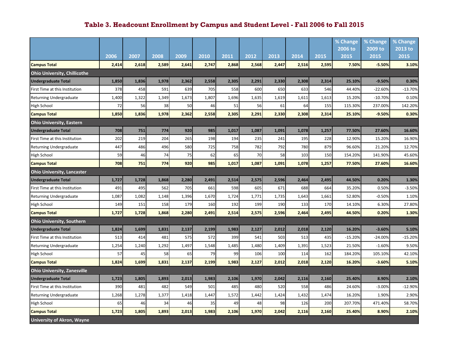|                                     |       |       |       |       |       |       |                   |       |       |       | % Change  | % Change  | % Change  |
|-------------------------------------|-------|-------|-------|-------|-------|-------|-------------------|-------|-------|-------|-----------|-----------|-----------|
|                                     |       |       |       |       |       |       |                   |       |       |       | 2006 to   | 2009 to   | 2013 to   |
|                                     | 2006  | 2007  | 2008  | 2009  | 2010  | 2011  | $\overline{2012}$ | 2013  | 2014  | 2015  | 2015      | 2015      | 2015      |
| <b>Campus Total</b>                 | 2,414 | 2,618 | 2,589 | 2,641 | 2,747 | 2,868 | 2,568             | 2,447 | 2,516 | 2,595 | 7.50%     | $-5.50%$  | 3.10%     |
| <b>Ohio University, Chillicothe</b> |       |       |       |       |       |       |                   |       |       |       |           |           |           |
| <b>Undergraduate Total</b>          | 1,850 | 1,836 | 1,978 | 2,362 | 2,558 | 2,305 | 2,291             | 2,330 | 2,308 | 2,314 | 25.10%    | $-9.50%$  | 0.30%     |
| First Time at this Institution      | 378   | 458   | 591   | 639   | 705   | 558   | 600               | 650   | 633   | 546   | 44.40%    | $-22.60%$ | $-13.70%$ |
| Returning Undergraduate             | 1,400 | 1,322 | 1,349 | 1,673 | 1,807 | 1,696 | 1,635             | 1,619 | 1,611 | 1,613 | 15.20%    | $-10.70%$ | 0.10%     |
| High School                         | 72    | 56    | 38    | 50    | 46    | 51    | 56                | 61    | 64    | 155   | 115.30%   | 237.00%   | 142.20%   |
| <b>Campus Total</b>                 | 1,850 | 1,836 | 1,978 | 2,362 | 2,558 | 2,305 | 2,291             | 2,330 | 2,308 | 2,314 | 25.10%    | $-9.50%$  | 0.30%     |
| <b>Ohio University, Eastern</b>     |       |       |       |       |       |       |                   |       |       |       |           |           |           |
| <b>Undergraduate Total</b>          | 708   | 751   | 774   | 920   | 985   | 1,017 | 1,087             | 1,091 | 1,078 | 1,257 | 77.50%    | 27.60%    | 16.60%    |
| First Time at this Institution      | 202   | 219   | 204   | 265   | 198   | 194   | 235               | 241   | 195   | 228   | 12.90%    | 15.20%    | 16.90%    |
| Returning Undergraduate             | 447   | 486   | 496   | 580   | 725   | 758   | 782               | 792   | 780   | 879   | 96.60%    | 21.20%    | 12.70%    |
| High School                         | 59    | 46    | 74    | 75    | 62    | 65    | 70                | 58    | 103   | 150   | 154.20%   | 141.90%   | 45.60%    |
| <b>Campus Total</b>                 | 708   | 751   | 774   | 920   | 985   | 1,017 | 1,087             | 1,091 | 1,078 | 1,257 | 77.50%    | 27.60%    | 16.60%    |
| <b>Ohio University, Lancaster</b>   |       |       |       |       |       |       |                   |       |       |       |           |           |           |
| <b>Undergraduate Total</b>          | 1,727 | 1,728 | 1,868 | 2,280 | 2,491 | 2,514 | 2,575             | 2,596 | 2,464 | 2,495 | 44.50%    | 0.20%     | 1.30%     |
| First Time at this Institution      | 491   | 495   | 562   | 705   | 661   | 598   | 605               | 671   | 688   | 664   | 35.20%    | 0.50%     | $-3.50%$  |
| <b>Returning Undergraduate</b>      | 1,087 | 1,082 | 1,148 | 1,396 | 1,670 | 1,724 | 1,771             | 1,735 | 1,643 | 1,661 | 52.80%    | $-0.50%$  | 1.10%     |
| High School                         | 149   | 151   | 158   | 179   | 160   | 192   | 199               | 190   | 133   | 170   | 14.10%    | 6.30%     | 27.80%    |
| <b>Campus Total</b>                 | 1,727 | 1,728 | 1,868 | 2,280 | 2,491 | 2,514 | 2,575             | 2,596 | 2,464 | 2,495 | 44.50%    | 0.20%     | 1.30%     |
| <b>Ohio University, Southern</b>    |       |       |       |       |       |       |                   |       |       |       |           |           |           |
| <b>Undergraduate Total</b>          | 1,824 | 1,699 | 1,831 | 2,137 | 2,199 | 1,983 | 2,127             | 2,012 | 2,018 | 2,120 | 16.20%    | $-3.60%$  | 5.10%     |
| First Time at this Institution      | 513   | 414   | 481   | 575   | 572   | 399   | 541               | 503   | 513   | 435   | $-15.20%$ | $-24.00%$ | $-15.20%$ |
| Returning Undergraduate             | 1,254 | 1,240 | 1,292 | 1,497 | 1,548 | 1,485 | 1,480             | 1,409 | 1,391 | 1,523 | 21.50%    | $-1.60%$  | 9.50%     |
| High School                         | 57    | 45    | 58    | 65    | 79    | 99    | 106               | 100   | 114   | 162   | 184.20%   | 105.10%   | 42.10%    |
| <b>Campus Total</b>                 | 1,824 | 1,699 | 1,831 | 2,137 | 2,199 | 1,983 | 2,127             | 2,012 | 2,018 | 2,120 | 16.20%    | $-3.60%$  | 5.10%     |
| <b>Ohio University, Zanesville</b>  |       |       |       |       |       |       |                   |       |       |       |           |           |           |
| <b>Undergraduate Total</b>          | 1,723 | 1,805 | 1,893 | 2,013 | 1,983 | 2,106 | 1,970             | 2,042 | 2,116 | 2,160 | 25.40%    | 8.90%     | 2.10%     |
| First Time at this Institution      | 390   | 481   | 482   | 549   | 501   | 485   | 480               | 520   | 558   | 486   | 24.60%    | $-3.00%$  | $-12.90%$ |
| Returning Undergraduate             | 1,268 | 1,278 | 1,377 | 1,418 | 1,447 | 1,572 | 1,442             | 1,424 | 1,432 | 1,474 | 16.20%    | 1.90%     | 2.90%     |
| High School                         | 65    | 46    | 34    | 46    | 35    | 49    | 48                | 98    | 126   | 200   | 207.70%   | 471.40%   | 58.70%    |
| <b>Campus Total</b>                 | 1,723 | 1,805 | 1,893 | 2,013 | 1,983 | 2,106 | 1,970             | 2,042 | 2,116 | 2,160 | 25.40%    | 8.90%     | 2.10%     |
| <b>University of Akron, Wayne</b>   |       |       |       |       |       |       |                   |       |       |       |           |           |           |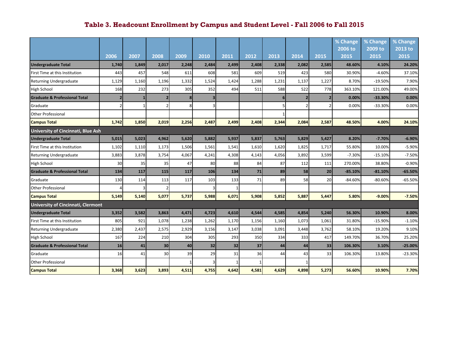|                                                         |                |       |                |       |       |       |       |       |                         |                | % Change        | % Change             | % Change        |
|---------------------------------------------------------|----------------|-------|----------------|-------|-------|-------|-------|-------|-------------------------|----------------|-----------------|----------------------|-----------------|
|                                                         | 2006           | 2007  | 2008           | 2009  | 2010  | 2011  | 2012  | 2013  | 2014                    | 2015           | 2006 to<br>2015 | 2009 to<br>2015      | 2013 to<br>2015 |
| <b>Undergraduate Total</b>                              | 1,740          | 1,849 | 2,017          | 2,248 | 2,484 | 2,499 | 2,408 | 2,338 | 2,082                   | 2,585          | 48.60%          | 4.10%                | 24.20%          |
| First Time at this Institution                          | 443            | 457   | 548            | 611   | 608   | 581   | 609   | 519   | 423                     | 580            | 30.90%          | $-4.60%$             | 37.10%          |
|                                                         | 1,129          | 1,160 | 1,196          | 1,332 | 1,524 | 1,424 | 1,288 | 1,231 | 1,137                   | 1,227          | 8.70%           |                      | 7.90%           |
| Returning Undergraduate                                 |                | 232   | 273            | 305   | 352   | 494   | 511   | 588   | 522                     | 778            | 363.10%         | $-19.50%$<br>121.00% | 49.00%          |
| High School<br><b>Graduate &amp; Professional Total</b> | 168            |       | $\overline{2}$ | 8     |       |       |       | 6     | $\overline{\mathbf{2}}$ |                | 0.00%           | $-33.30%$            | 0.00%           |
|                                                         | $\overline{2}$ |       |                |       |       |       |       |       |                         | $\overline{2}$ |                 |                      |                 |
| Graduate                                                | 2              |       | 2              |       |       |       |       |       |                         |                | 0.00%           | $-33.30%$            | 0.00%           |
| <b>Other Professional</b>                               |                |       |                |       |       |       |       |       |                         |                |                 |                      |                 |
| <b>Campus Total</b>                                     | 1,742          | 1,850 | 2,019          | 2,256 | 2,487 | 2,499 | 2,408 | 2,344 | 2,084                   | 2,587          | 48.50%          | 4.00%                | 24.10%          |
| <b>University of Cincinnati, Blue Ash</b>               |                |       |                |       |       |       |       |       |                         |                |                 |                      |                 |
| <b>Undergraduate Total</b>                              | 5.015          | 5.023 | 4,962          | 5.620 | 5,882 | 5.937 | 5.837 | 5.763 | 5,829                   | 5,427          | 8.20%           | $-7.70%$             | $-6.90%$        |
| First Time at this Institution                          | 1,102          | 1,110 | 1,173          | 1,506 | 1,561 | 1,541 | 1,610 | 1,620 | 1,825                   | 1,717          | 55.80%          | 10.00%               | $-5.90%$        |
| Returning Undergraduate                                 | 3,883          | 3,878 | 3,754          | 4,067 | 4,241 | 4,308 | 4,143 | 4,056 | 3,892                   | 3,599          | $-7.30%$        | $-15.10%$            | $-7.50%$        |
| High School                                             | 30             | 35    | 35             | 47    | 80    | 88    | 84    | 87    | 112                     | 111            | 270.00%         | 38.80%               | $-0.90%$        |
| <b>Graduate &amp; Professional Total</b>                | 134            | 117   | 115            | 117   | 106   | 134   | 71    | 89    | 58                      | 20             | $-85.10%$       | $-81.10%$            | $-65.50%$       |
| Graduate                                                | 130            | 114   | 113            | 117   | 103   | 133   | 71    | 89    | 58                      | 20             | $-84.60%$       | $-80.60%$            | $-65.50%$       |
| <b>Other Professional</b>                               |                |       |                |       |       |       |       |       |                         |                |                 |                      |                 |
| <b>Campus Total</b>                                     | 5,149          | 5,140 | 5,077          | 5,737 | 5,988 | 6,071 | 5,908 | 5,852 | 5,887                   | 5,447          | 5.80%           | $-9.00%$             | 7.50%           |
| <b>University of Cincinnati, Clermont</b>               |                |       |                |       |       |       |       |       |                         |                |                 |                      |                 |
| <b>Undergraduate Total</b>                              | 3,352          | 3,582 | 3,863          | 4,471 | 4,723 | 4,610 | 4,544 | 4,585 | 4,854                   | 5,240          | 56.30%          | 10.90%               | 8.00%           |
| First Time at this Institution                          | 805            | 921   | 1,078          | 1,238 | 1,262 | 1,170 | 1,156 | 1,160 | 1,073                   | 1,061          | 31.80%          | $-15.90%$            | $-1.10%$        |
| Returning Undergraduate                                 | 2,380          | 2,437 | 2,575          | 2,929 | 3,156 | 3,147 | 3,038 | 3,091 | 3,448                   | 3,762          | 58.10%          | 19.20%               | 9.10%           |
| <b>High School</b>                                      | 167            | 224   | 210            | 304   | 305   | 293   | 350   | 334   | 333                     | 417            | 149.70%         | 36.70%               | 25.20%          |
| <b>Graduate &amp; Professional Total</b>                | 16             | 41    | 30             | 40    | 32    | 32    | 37    | 44    | 44                      | 33             | 106.30%         | 3.10%                | $-25.00%$       |
| Graduate                                                | 16             | 41    | 30             | 39    | 29    | 31    | 36    | 44    | 43                      | 33             | 106.30%         | 13.80%               | $-23.30%$       |
| <b>Other Professional</b>                               |                |       |                |       |       |       |       |       |                         |                |                 |                      |                 |
| <b>Campus Total</b>                                     | 3,368          | 3,623 | 3,893          | 4,511 | 4,755 | 4,642 | 4,581 | 4,629 | 4,898                   | 5,273          | 56.60%          | 10.90%               | 7.70%           |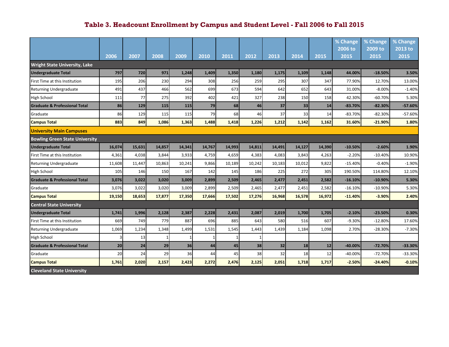|                                          |        |        |        |        |        |        |        |        |        |        | % Change        | % Change        | % Change        |
|------------------------------------------|--------|--------|--------|--------|--------|--------|--------|--------|--------|--------|-----------------|-----------------|-----------------|
|                                          | 2006   | 2007   | 2008   | 2009   | 2010   | 2011   | 2012   | 2013   | 2014   | 2015   | 2006 to<br>2015 | 2009 to<br>2015 | 2013 to<br>2015 |
|                                          |        |        |        |        |        |        |        |        |        |        |                 |                 |                 |
| <b>Wright State University, Lake</b>     |        |        |        |        |        |        |        |        |        |        |                 |                 |                 |
| <b>Undergraduate Total</b>               | 797    | 720    | 971    | 1,248  | 1,409  | 1,350  | 1,180  | 1,175  | 1,109  | 1,148  | 44.00%          | $-18.50%$       | 3.50%           |
| First Time at this Institution           | 195    | 206    | 230    | 294    | 308    | 256    | 259    | 295    | 307    | 347    | 77.90%          | 12.70%          | 13.00%          |
| Returning Undergraduate                  | 491    | 437    | 466    | 562    | 699    | 673    | 594    | 642    | 652    | 643    | 31.00%          | $-8.00%$        | $-1.40%$        |
| High School                              | 111    | 77     | 275    | 392    | 402    | 421    | 327    | 238    | 150    | 158    | 42.30%          | $-60.70%$       | 5.30%           |
| <b>Graduate &amp; Professional Total</b> | 86     | 129    | 115    | 115    | 79     | 68     | 46     | 37     | 33     | 14     | $-83.70%$       | $-82.30%$       | $-57.60%$       |
| Graduate                                 | 86     | 129    | 115    | 115    | 79     | 68     | 46     | 37     | 33     | 14     | $-83.70%$       | $-82.30%$       | $-57.60%$       |
| <b>Campus Total</b>                      | 883    | 849    | 1,086  | 1,363  | 1,488  | 1,418  | 1,226  | 1,212  | 1,142  | 1,162  | 31.60%          | $-21.90%$       | 1.80%           |
| <b>University Main Campuses</b>          |        |        |        |        |        |        |        |        |        |        |                 |                 |                 |
| <b>Bowling Green State University</b>    |        |        |        |        |        |        |        |        |        |        |                 |                 |                 |
| <b>Undergraduate Total</b>               | 16,074 | 15,631 | 14,857 | 14,341 | 14,767 | 14,993 | 14,811 | 14,491 | 14,127 | 14,390 | $-10.50%$       | $-2.60%$        | 1.90%           |
| First Time at this Institution           | 4,361  | 4,038  | 3,844  | 3,933  | 4,759  | 4,659  | 4,383  | 4,083  | 3,843  | 4,263  | $-2.20%$        | $-10.40%$       | 10.90%          |
| Returning Undergraduate                  | 11,608 | 11,447 | 10,863 | 10,241 | 9,866  | 10,189 | 10,242 | 10,183 | 10,012 | 9,822  | $-15.40%$       | $-0.40%$        | $-1.90%$        |
| <b>High School</b>                       | 105    | 146    | 150    | 167    | 142    | 145    | 186    | 225    | 272    | 305    | 190.50%         | 114.80%         | 12.10%          |
| <b>Graduate &amp; Professional Total</b> | 3,076  | 3,022  | 3,020  | 3,009  | 2,899  | 2,509  | 2,465  | 2,477  | 2,451  | 2,582  | $-16.10%$       | $-10.90%$       | 5.30%           |
| Graduate                                 | 3,076  | 3,022  | 3,020  | 3,009  | 2,899  | 2,509  | 2,465  | 2,477  | 2,451  | 2,582  | $-16.10%$       | $-10.90%$       | 5.30%           |
| <b>Campus Total</b>                      | 19,150 | 18,653 | 17,877 | 17,350 | 17,666 | 17,502 | 17,276 | 16,968 | 16,578 | 16,972 | $-11.40%$       | $-3.90%$        | 2.40%           |
| <b>Central State University</b>          |        |        |        |        |        |        |        |        |        |        |                 |                 |                 |
| <b>Undergraduate Total</b>               | 1,741  | 1,996  | 2,128  | 2,387  | 2,228  | 2,431  | 2,087  | 2,019  | 1,700  | 1,705  | $-2.10%$        | $-23.50%$       | 0.30%           |
| First Time at this Institution           | 669    | 749    | 779    | 887    | 696    | 885    | 643    | 580    | 516    | 607    | $-9.30%$        | $-12.80%$       | 17.60%          |
| Returning Undergraduate                  | 1,069  | 1,234  | 1,348  | 1,499  | 1,531  | 1,545  | 1,443  | 1,439  | 1,184  | 1,098  | 2.70%           | $-28.30%$       | $-7.30%$        |
| High School                              | 3      | 13     | 1      |        |        |        |        |        |        |        |                 |                 |                 |
| <b>Graduate &amp; Professional Total</b> | 20     | 24     | 29     | 36     | 44     | 45     | 38     | 32     | 18     | 12     | $-40.00%$       | $-72.70%$       | -33.30%         |
| Graduate                                 | 20     | 24     | 29     | 36     | 44     | 45     | 38     | 32     | 18     | 12     | $-40.00%$       | $-72.70%$       | $-33.30%$       |
| <b>Campus Total</b>                      | 1,761  | 2,020  | 2,157  | 2,423  | 2,272  | 2,476  | 2,125  | 2,051  | 1,718  | 1,717  | $-2.50%$        | $-24.40%$       | $-0.10%$        |
| <b>Cleveland State University</b>        |        |        |        |        |        |        |        |        |        |        |                 |                 |                 |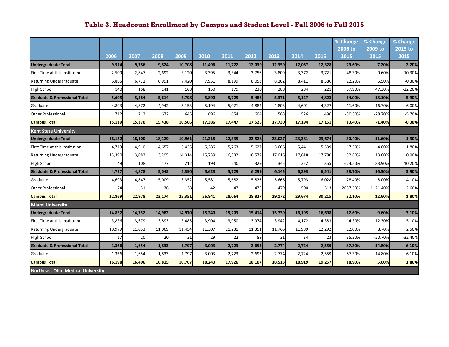|                                          |        |        |        |        |        |        |        |        |        |        | % Change        | % Change        | % Change        |
|------------------------------------------|--------|--------|--------|--------|--------|--------|--------|--------|--------|--------|-----------------|-----------------|-----------------|
|                                          | 2006   | 2007   | 2008   | 2009   | 2010   | 2011   | 2012   | 2013   | 2014   | 2015   | 2006 to<br>2015 | 2009 to<br>2015 | 2013 to<br>2015 |
| <b>Undergraduate Total</b>               | 9,514  | 9,786  | 9,824  | 10,708 | 11,496 | 11,722 | 12,039 | 12,359 | 12,067 | 12,328 | 29.60%          | 7.20%           | 2.20%           |
| <b>First Time at this Institution</b>    | 2,509  | 2,847  | 2,692  | 3,120  | 3,395  | 3,344  | 3,756  | 3,809  | 3,372  | 3,721  | 48.30%          | 9.60%           | 10.30%          |
| <b>Returning Undergraduate</b>           | 6,865  | 6,771  | 6,991  | 7,420  | 7,951  | 8,199  | 8,053  | 8,262  | 8,411  | 8,386  | 22.20%          | 5.50%           | $-0.30%$        |
| <b>High School</b>                       | 140    | 168    | 141    | 168    | 150    | 179    | 230    | 288    | 284    | 221    | 57.90%          | 47.30%          | $-22.20%$       |
| <b>Graduate &amp; Professional Total</b> | 5,605  | 5,584  | 5,614  | 5,798  | 5,890  | 5,725  | 5,486  | 5,371  | 5,127  | 4,823  | $-14.00%$       | $-18.10%$       | $-5.90%$        |
| Graduate                                 | 4,893  | 4,872  | 4,942  | 5,153  | 5,194  | 5,071  | 4,882  | 4,803  | 4,601  | 4,327  | $-11.60%$       | $-16.70%$       | $-6.00%$        |
| <b>Other Professional</b>                | 712    | 712    | 672    | 645    | 696    | 654    | 604    | 568    | 526    | 496    | $-30.30%$       | $-28.70%$       | $-5.70%$        |
| <b>Campus Total</b>                      | 15,119 | 15,370 | 15,438 | 16,506 | 17,386 | 17,447 | 17,525 | 17,730 | 17,194 | 17,151 | 13.40%          | $-1.40%$        | $-0.30%$        |
| <b>Kent State University</b>             |        |        |        |        |        |        |        |        |        |        |                 |                 |                 |
| <b>Undergraduate Total</b>               | 18,152 | 18,100 | 18,129 | 19,961 | 21,218 | 22,335 | 22,528 | 23,027 | 23,381 | 23,674 | 30.40%          | 11.60%          | 1.30%           |
| <b>First Time at this Institution</b>    | 4,713  | 4,910  | 4,657  | 5,435  | 5,286  | 5,763  | 5,627  | 5,666  | 5,441  | 5,539  | 17.50%          | 4.80%           | 1.80%           |
| <b>Returning Undergraduate</b>           | 13,390 | 13,082 | 13,295 | 14,314 | 15,739 | 16,332 | 16,572 | 17,016 | 17,618 | 17,780 | 32.80%          | 13.00%          | 0.90%           |
| <b>High School</b>                       | 49     | 108    | 177    | 212    | 193    | 240    | 329    | 345    | 322    | 355    | 624.50%         | 83.90%          | 10.20%          |
| <b>Graduate &amp; Professional Total</b> | 4,717  | 4,878  | 5,045  | 5,390  | 5,623  | 5,729  | 6,299  | 6,145  | 6,293  | 6,541  | 38.70%          | 16.30%          | 3.90%           |
| Graduate                                 | 4,693  | 4,847  | 5,009  | 5,352  | 5,581  | 5,682  | 5,826  | 5,666  | 5,793  | 6,028  | 28.40%          | 8.00%           | 4.10%           |
| <b>Other Professional</b>                | 24     | 31     | 36     | 38     | 42     | 47     | 473    | 479    | 500    | 513    | 2037.50%        | 1121.40%        | 2.60%           |
| <b>Campus Total</b>                      | 22,869 | 22,978 | 23,174 | 25,351 | 26,841 | 28,064 | 28,827 | 29,172 | 29,674 | 30,215 | 32.10%          | 12.60%          | 1.80%           |
| <b>Miami University</b>                  |        |        |        |        |        |        |        |        |        |        |                 |                 |                 |
| <b>Undergraduate Total</b>               | 14,832 | 14,752 | 14,982 | 14,970 | 15,240 | 15,203 | 15,414 | 15,739 | 16,195 | 16,698 | 12.60%          | 9.60%           | 3.10%           |
| First Time at this Institution           | 3,836  | 3,679  | 3,893  | 3,485  | 3,904  | 3,950  | 3,974  | 3,942  | 4,172  | 4,383  | 14.30%          | 12.30%          | 5.10%           |
| <b>Returning Undergraduate</b>           | 10,979 | 11,053 | 11,069 | 11,454 | 11,307 | 11,231 | 11,351 | 11,766 | 11,989 | 12,292 | 12.00%          | 8.70%           | 2.50%           |
| High School                              | 17     | 20     | 20     | 31     | 29     | 22     | 89     | 31     | 34     | 23     | 35.30%          | $-20.70%$       | $-32.40%$       |
| <b>Graduate &amp; Professional Total</b> | 1,366  | 1,654  | 1,833  | 1,797  | 3,003  | 2,723  | 2,693  | 2,774  | 2,724  | 2,559  | 87.30%          | $-14.80%$       | $-6.10%$        |
| Graduate                                 | 1,366  | 1,654  | 1,833  | 1,797  | 3,003  | 2,723  | 2,693  | 2,774  | 2,724  | 2,559  | 87.30%          | $-14.80%$       | $-6.10%$        |
| <b>Campus Total</b>                      | 16,198 | 16,406 | 16,815 | 16,767 | 18,243 | 17,926 | 18,107 | 18,513 | 18,919 | 19,257 | 18.90%          | 5.60%           | 1.80%           |
| <b>Northeast Ohio Medical University</b> |        |        |        |        |        |        |        |        |        |        |                 |                 |                 |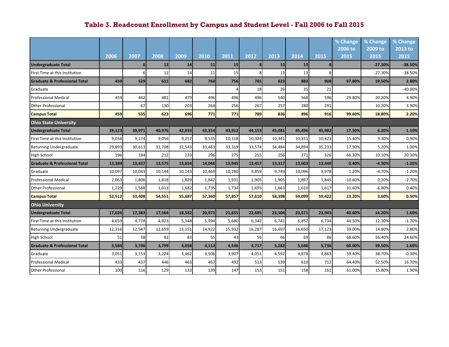|                                          |        |                |        |        |        |        |                |        |        |        | % Change  | % Change  | % Change  |
|------------------------------------------|--------|----------------|--------|--------|--------|--------|----------------|--------|--------|--------|-----------|-----------|-----------|
|                                          |        |                |        |        |        |        |                |        |        |        | 2006 to   | 2009 to   | 2013 to   |
|                                          | 2006   | 2007           | 2008   | 2009   | 2010   | 2011   | 2012           | 2013   | 2014   | 2015   | 2015      | 2015      | 2015      |
| <b>Undergraduate Total</b>               |        | 6 <sup>1</sup> | 12     | 14     | 11     | 15     | 8 <sup>l</sup> | 13     | 13     | 8      |           | $-27.30%$ | $-38.50%$ |
| First Time at this Institution           |        | 6              | 12     | 14     | 11     | 15     |                | 13     | 13     | 8      |           | $-27.30%$ | $-38.50%$ |
| <b>Graduate &amp; Professional Total</b> | 459    | 529            | 611    | 682    | 760    | 756    | 781            | 823    | 883    | 908    | 97.80%    | 19.50%    | 2.80%     |
| Graduate                                 |        |                |        |        |        |        | 18             | 26     | 35     | 21     |           |           | $-40.00%$ |
| <b>Professional Medical</b>              | 459    | 462            | 481    | 479    | 496    | 496    | 496            | 540    | 568    | 596    | 29.80%    | 20.20%    | 4.90%     |
| <b>Other Professional</b>                |        | 67             | 130    | 203    | 264    | 256    | 267            | 257    | 280    | 291    |           | 10.20%    | 3.90%     |
| <b>Campus Total</b>                      | 459    | 535            | 623    | 696    | 771    | 771    | 789            | 836    | 896    | 916    | 99.60%    | 18.80%    | 2.20%     |
| <b>Ohio State University</b>             |        |                |        |        |        |        |                |        |        |        |           |           |           |
| <b>Undergraduate Total</b>               | 39,123 | 39.971         | 40,976 | 42,033 | 43,314 | 43,912 | 44,153         | 45,081 | 45,496 | 45,982 | 17.50%    | 6.20%     | 1.10%     |
| First Time at this Institution           | 9,034  | 9,174          | 9,056  | 9,257  | 9,535  | 10,318 | 10,324         | 10,341 | 10,331 | 10,423 | 15.40%    | 9.30%     | 0.90%     |
| <b>Returning Undergraduate</b>           | 29,893 | 30,613         | 31,708 | 32,543 | 33,483 | 33,319 | 33,574         | 34,484 | 34,894 | 35,233 | 17.90%    | 5.20%     | 1.00%     |
| High School                              | 196    | 184            | 212    | 233    | 296    | 275    | 255            | 256    | 271    | 326    | 66.30%    | 10.10%    | 20.30%    |
| <b>Graduate &amp; Professional Total</b> | 13,389 | 13,437         | 13,575 | 13,654 | 14,046 | 13,945 | 13,457         | 13,317 | 13,603 | 13,440 | 0.40%     | $-4.30%$  | $-1.20%$  |
| Graduate                                 | 10,097 | 10,043         | 10,144 | 10,143 | 10,469 | 10,280 | 9,859          | 9,749  | 10,096 | 9,978  | $-1.20%$  | $-4.70%$  | $-1.20%$  |
| <b>Professional Medical</b>              | 2,063  | 1,806          | 1,818  | 1,829  | 1,842  | 1,931  | 1,905          | 1,905  | 1,897  | 1,845  | $-10.60%$ | 0.20%     | $-2.70%$  |
| <b>Other Professional</b>                | 1,229  | 1,588          | 1,613  | 1,682  | 1,735  | 1,734  | 1,693          | 1,663  | 1,610  | 1,617  | 31.60%    | $-6.80%$  | 0.40%     |
| <b>Campus Total</b>                      | 52,512 | 53,408         | 54,551 | 55,687 | 57,360 | 57,857 | 57,610         | 58,398 | 59,099 | 59,422 | 13.20%    | 3.60%     | 0.50%     |
| <b>Ohio University</b>                   |        |                |        |        |        |        |                |        |        |        |           |           |           |
| <b>Undergraduate Total</b>               | 17,026 | 17,383         | 17,564 | 18,582 | 20,971 | 21,655 | 22,685         | 23,504 | 23,571 | 23,943 | 40.60%    | 14.20%    | 1.60%     |
| <b>First Time at this Institution</b>    | 4,659  | 4,778          | 4,823  | 5,348  | 5,994  | 5,680  | 6,342          | 6,741  | 6,852  | 6,734  | 44.50%    | 12.30%    | $-1.70%$  |
| Returning Undergraduate                  | 12,316 | 12,547         | 12,659 | 13,151 | 14,922 | 15,932 | 16,287         | 16,697 | 16,650 | 17,123 | 39.00%    | 14.80%    | 2.80%     |
| High School                              | 51     | 58             | 82     | 83     | 55     | 43     | 56             | 66     | 69     | 86     | 68.60%    | 56.40%    | 24.60%    |
| <b>Graduate &amp; Professional Total</b> | 3,584  | 3,706          | 3,799  | 4,058  | 4,112  | 4,546  | 4,717          | 5,282  | 5,646  | 5,736  | 60.00%    | 39.50%    | 1.60%     |
| Graduate                                 | 3,051  | 3,153          | 3,224  | 3,462  | 3,506  | 3,907  | 4,051          | 4,592  | 4,878  | 4,863  | 59.40%    | 38.70%    | $-0.30%$  |
| <b>Professional Medical</b>              | 433    | 437            | 446    | 463    | 467    | 492    | 513            | 539    | 610    | 712    | 64.40%    | 52.50%    | 16.70%    |
| <b>Other Professional</b>                | 100    | 116            | 129    | 133    | 139    | 147    | 153            | 151    | 158    | 161    | 61.00%    | 15.80%    | 1.90%     |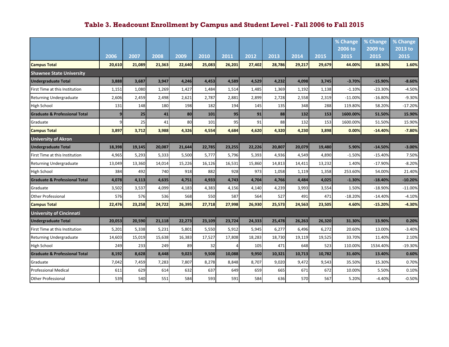|                                          |                |        |        |        |        |        |        |        |        |        | % Change<br>2006 to | % Change<br>2009 to | % Change<br>2013 to |
|------------------------------------------|----------------|--------|--------|--------|--------|--------|--------|--------|--------|--------|---------------------|---------------------|---------------------|
|                                          | 2006           | 2007   | 2008   | 2009   | 2010   | 2011   | 2012   | 2013   | 2014   | 2015   | 2015                | 2015                | 2015                |
| <b>Campus Total</b>                      | 20,610         | 21,089 | 21,363 | 22,640 | 25,083 | 26,201 | 27,402 | 28,786 | 29,217 | 29,679 | 44.00%              | 18.30%              | 1.60%               |
| <b>Shawnee State University</b>          |                |        |        |        |        |        |        |        |        |        |                     |                     |                     |
| <b>Undergraduate Total</b>               | 3,888          | 3,687  | 3,947  | 4,246  | 4,453  | 4,589  | 4,529  | 4,232  | 4,098  | 3,745  | $-3.70%$            | $-15.90%$           | $-8.60%$            |
| First Time at this Institution           | 1,151          | 1,080  | 1,269  | 1,427  | 1,484  | 1,514  | 1,485  | 1,369  | 1,192  | 1,138  | $-1.10%$            | $-23.30%$           | $-4.50%$            |
| Returning Undergraduate                  | 2,606          | 2,459  | 2,498  | 2,621  | 2,787  | 2,881  | 2,899  | 2,728  | 2,558  | 2,319  | $-11.00%$           | $-16.80%$           | $-9.30%$            |
| <b>High School</b>                       | 131            | 148    | 180    | 198    | 182    | 194    | 145    | 135    | 348    | 288    | 119.80%             | 58.20%              | $-17.20%$           |
| <b>Graduate &amp; Professional Total</b> | 9 <sub>l</sub> | 25     | 41     | 80     | 101    | 95     | 91     | 88     | 132    | 153    | 1600.00%            | 51.50%              | 15.90%              |
| Graduate                                 |                | 25     | 41     | 80     | 101    | 95     | 91     | 88     | 132    | 153    | 1600.00%            | 51.50%              | 15.90%              |
| <b>Campus Total</b>                      | 3,897          | 3,712  | 3,988  | 4,326  | 4,554  | 4,684  | 4,620  | 4,320  | 4,230  | 3,898  | 0.00%               | $-14.40%$           | $-7.80%$            |
| <b>University of Akron</b>               |                |        |        |        |        |        |        |        |        |        |                     |                     |                     |
| <b>Undergraduate Total</b>               | 18,398         | 19.145 | 20,087 | 21.644 | 22,785 | 23,255 | 22,226 | 20,807 | 20,079 | 19,480 | 5.90%               | $-14.50%$           | $-3.00%$            |
| First Time at this Institution           | 4,965          | 5,293  | 5,333  | 5,500  | 5,777  | 5,796  | 5,393  | 4,936  | 4,549  | 4,890  | $-1.50%$            | $-15.40%$           | 7.50%               |
| <b>Returning Undergraduate</b>           | 13,049         | 13,360 | 14,014 | 15,226 | 16,126 | 16,531 | 15,860 | 14,813 | 14,411 | 13,232 | 1.40%               | $-17.90%$           | $-8.20%$            |
| High School                              | 384            | 492    | 740    | 918    | 882    | 928    | 973    | 1,058  | 1,119  | 1,358  | 253.60%             | 54.00%              | 21.40%              |
| <b>Graduate &amp; Professional Total</b> | 4,078          | 4,113  | 4,635  | 4,751  | 4,933  | 4,743  | 4,704  | 4,766  | 4,484  | 4,025  | $-1.30%$            | $-18.40%$           | $-10.20%$           |
| Graduate                                 | 3,502          | 3,537  | 4,099  | 4,183  | 4,383  | 4,156  | 4,140  | 4,239  | 3,993  | 3,554  | 1.50%               | $-18.90%$           | $-11.00%$           |
| <b>Other Professional</b>                | 576            | 576    | 536    | 568    | 550    | 587    | 564    | 527    | 491    | 471    | $-18.20%$           | $-14.40%$           | $-4.10%$            |
| <b>Campus Total</b>                      | 22,476         | 23,258 | 24,722 | 26,395 | 27,718 | 27,998 | 26,930 | 25,573 | 24,563 | 23,505 | 4.60%               | $-15.20%$           | -4.30%              |
| <b>University of Cincinnati</b>          |                |        |        |        |        |        |        |        |        |        |                     |                     |                     |
| <b>Undergraduate Total</b>               | 20,053         | 20,590 | 21,118 | 22,273 | 23,109 | 23,724 | 24,333 | 25,478 | 26,263 | 26,320 | 31.30%              | 13.90%              | 0.20%               |
| First Time at this Institution           | 5,201          | 5,338  | 5,231  | 5,801  | 5,550  | 5,912  | 5,945  | 6,277  | 6,496  | 6,272  | 20.60%              | 13.00%              | $-3.40%$            |
| Returning Undergraduate                  | 14,603         | 15,019 | 15,638 | 16,383 | 17,527 | 17,808 | 18,283 | 18,730 | 19,119 | 19,525 | 33.70%              | 11.40%              | 2.10%               |
| High School                              | 249            | 233    | 249    | 89     | 32     |        | 105    | 471    | 648    | 523    | 110.00%             | 1534.40%            | $-19.30%$           |
| <b>Graduate &amp; Professional Total</b> | 8,192          | 8,628  | 8,448  | 9,023  | 9,508  | 10,088 | 9,950  | 10,321 | 10,713 | 10,782 | 31.60%              | 13.40%              | 0.60%               |
| Graduate                                 | 7,042          | 7,459  | 7,283  | 7,807  | 8,278  | 8,848  | 8,707  | 9,020  | 9,472  | 9,543  | 35.50%              | 15.30%              | 0.70%               |
| <b>Professional Medical</b>              | 611            | 629    | 614    | 632    | 637    | 649    | 659    | 665    | 671    | 672    | 10.00%              | 5.50%               | 0.10%               |
| <b>Other Professional</b>                | 539            | 540    | 551    | 584    | 593    | 591    | 584    | 636    | 570l   | 567    | 5.20%               | $-4.40%$            | $-0.50%$            |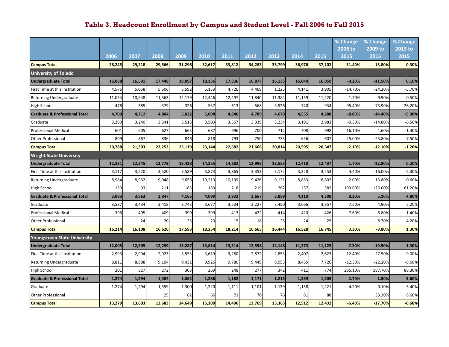|                                          |        |        |        |        |        |        |        |        |        |        | % Change  | % Change  | % Change |
|------------------------------------------|--------|--------|--------|--------|--------|--------|--------|--------|--------|--------|-----------|-----------|----------|
|                                          |        |        |        |        |        |        |        |        |        |        | 2006 to   | 2009 to   | 2013 to  |
|                                          | 2006   | 2007   | 2008   | 2009   | 2010   | 2011   | 2012   | 2013   | 2014   | 2015   | 2015      | 2015      | 2015     |
| <b>Campus Total</b>                      | 28,245 | 29,218 | 29,566 | 31,296 | 32,617 | 33,812 | 34,283 | 35,799 | 36,976 | 37,102 | 31.40%    | 13.80%    | 0.30%    |
| <b>University of Toledo</b>              |        |        |        |        |        |        |        |        |        |        |           |           |          |
| <b>Undergraduate Total</b>               | 16,088 | 16,591 | 17,448 | 18,097 | 18,136 | 17,836 | 16,877 | 16,135 | 16,040 | 16,059 | $-0.20%$  | $-11.50%$ | 0.10%    |
| First Time at this Institution           | 4,576  | 5,058  | 5,506  | 5,592  | 5,153  | 4,726  | 4,469  | 1,225  | 4,141  | 3,905  | $-14.70%$ | $-24.20%$ | $-5.70%$ |
| Returning Undergraduate                  | 11,034 | 10,948 | 11,563 | 12,179 | 12,446 | 12,497 | 11,840 | 11,384 | 11,159 | 11,220 | 1.70%     | -9.90%    | 0.50%    |
| High School                              | 478    | 585    | 379    | 326    | 537    | 613    | 568    | 3,526  | 740    | 934    | 95.40%    | 73.90%    | 26.20%   |
| <b>Graduate &amp; Professional Total</b> | 4,700  | 4,712  | 4,804  | 5,022  | 5,008  | 4,846  | 4,789  | 4,679  | 4,555  | 4,288  | $-8.80%$  | $-14.40%$ | $-5.90%$ |
| Graduate                                 | 3,290  | 3,240  | 3,341  | 3,513  | 3,503  | 3,357  | 3,339  | 3,234  | 3,191  | 2,983  | $-9.30%$  | $-14.80%$ | $-6.50%$ |
| <b>Professional Medical</b>              | 601    | 605    | 627    | 663    | 687    | 696    | 700    | 712    | 708    | 698    | 16.10%    | 1.60%     | $-1.40%$ |
| <b>Other Professional</b>                | 809    | 867    | 836    | 846    | 818    | 793    | 750    | 733    | 656    | 607    | $-25.00%$ | $-25.80%$ | $-7.50%$ |
| <b>Campus Total</b>                      | 20,788 | 21,303 | 22,252 | 23,119 | 23,144 | 22,682 | 21,666 | 20,814 | 20,595 | 20,347 | $-2.10%$  | $-12.10%$ | $-1.20%$ |
| <b>Wright State University</b>           |        |        |        |        |        |        |        |        |        |        |           |           |          |
| <b>Undergraduate Total</b>               | 12,231 | 12,245 | 12,779 | 13,428 | 14,255 | 14,282 | 12,998 | 12,555 | 12,418 | 12,437 | 1.70%     | $-12.80%$ | 0.20%    |
| First Time at this Institution           | 3,117  | 3,220  | 3,520  | 3,589  | 3,873  | 3,865  | 3,353  | 3,172  | 3,328  | 3,253  | 4.40%     | $-16.00%$ | $-2.30%$ |
| <b>Returning Undergraduate</b>           | 8,984  | 8,932  | 9,048  | 9,656  | 10,213 | 10,199 | 9,426  | 9,121  | 8,853  | 8,802  | $-2.00%$  | $-13.80%$ | $-0.60%$ |
| <b>High School</b>                       | 130    | 93     | 211    | 183    | 169    | 218    | 219    | 262    | 237    | 382    | 193.80%   | 126.00%   | 61.20%   |
| <b>Graduate &amp; Professional Total</b> | 3,983  | 3,863  | 3,847  | 4,165  | 4,099  | 3,932  | 3,667  | 3,889  | 4,110  | 4,308  | 8.20%     | 5.10%     | 4.80%    |
| Graduate                                 | 3,587  | 3,434  | 3,418  | 3,743  | 3,677  | 3,504  | 3,227  | 3,450  | 3,666  | 3,857  | 7.50%     | 4.90%     | 5.20%    |
| <b>Professional Medical</b>              | 396    | 405    | 409    | 399    | 399    | 413    | 422    | 414    | 420    | 426    | 7.60%     | 6.80%     | 1.40%    |
| <b>Other Professional</b>                |        | 24     | 20     | 23     | 23     | 15     | 18     | 25     | 24     | 25     |           | 8.70%     | 4.20%    |
| <b>Campus Total</b>                      | 16,214 | 16,108 | 16,626 | 17,593 | 18,354 | 18,214 | 16,665 | 16,444 | 16,528 | 16,745 | 3.30%     | $-8.80%$  | 1.30%    |
| <b>Youngstown State University</b>       |        |        |        |        |        |        |        |        |        |        |           |           |          |
| <b>Undergraduate Total</b>               | 12,005 | 12,309 | 12,299 | 13,287 | 13,814 | 13,314 | 12,598 | 12,148 | 11,273 | 11,123 | $-7.30%$  | $-19.50%$ | $-1.30%$ |
| First Time at this Institution           | 2,993  | 2,994  | 2,923  | 3,553  | 3,619  | 3,280  | 2,872  | 2,853  | 2,407  | 2,623  | $-12.40%$ | $-27.50%$ | 9.00%    |
| <b>Returning Undergraduate</b>           | 8,811  | 8,988  | 9,104  | 9,431  | 9,926  | 9,786  | 9,449  | 8,953  | 8,455  | 7,726  | $-12.30%$ | $-22.20%$ | $-8.60%$ |
| High School                              | 201    | 327    | 272    | 303    | 269    | 248    | 277    | 342    | 411    | 774    | 285.10%   | 187.70%   | 88.30%   |
| <b>Graduate &amp; Professional Total</b> | 1,274  | 1,294  | 1,384  | 1,362  | 1,286  | 1,182  | 1,171  | 1,215  | 1,239  | 1,309  | 2.70%     | 1.80%     | 5.60%    |
| Graduate                                 | 1,274  | 1,294  | 1,359  | 1,300  | 1,220  | 1,111  | 1,101  | 1,139  | 1,158  | 1,221  | $-4.20%$  | 0.10%     | 5.40%    |
| <b>Other Professional</b>                |        |        | 25     | 62     | 66     | 71     | 70     | 76     | 81     | 88     |           | 33.30%    | 8.60%    |
| <b>Campus Total</b>                      | 13,279 | 13,603 | 13,683 | 14,649 | 15,100 | 14,496 | 13,769 | 13,363 | 12,512 | 12,432 | $-6.40%$  | $-17.70%$ | $-0.60%$ |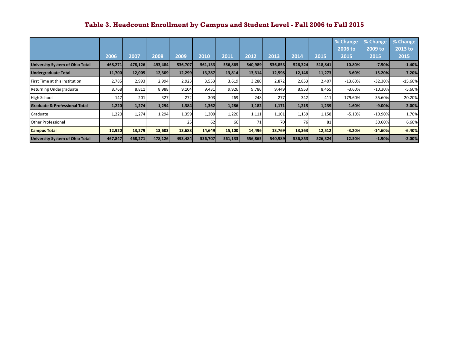|                                          |         |         |         |         |         |         |         |         |         |         | % Change  | % Change  | % Change  |
|------------------------------------------|---------|---------|---------|---------|---------|---------|---------|---------|---------|---------|-----------|-----------|-----------|
|                                          |         |         |         |         |         |         |         |         |         |         | 2006 to   | 2009 to   | 2013 to   |
|                                          | 2006    | 2007    | 2008    | 2009    | 2010    | 2011    | 2012    | 2013    | 2014    | 2015    | 2015      | 2015      | 2015      |
| <b>University System of Ohio Total</b>   | 468,271 | 478,126 | 493,484 | 536,707 | 561,133 | 556,865 | 540,989 | 536,853 | 526,324 | 518,841 | 10.80%    | $-7.50%$  | $-1.40%$  |
| <b>Undergraduate Total</b>               | 11,700  | 12,005  | 12,309  | 12,299  | 13,287  | 13,814  | 13,314  | 12,598  | 12,148  | 11,273  | $-3.60%$  | $-15.20%$ | $-7.20%$  |
| <b>First Time at this Institution</b>    | 2,785   | 2,993   | 2,994   | 2,923   | 3,553   | 3,619   | 3,280   | 2,872   | 2,853   | 2,407   | $-13.60%$ | $-32.30%$ | $-15.60%$ |
| Returning Undergraduate                  | 8,768   | 8,811   | 8,988   | 9,104   | 9,431   | 9,926   | 9,786   | 9,449   | 8,953   | 8,455   | $-3.60%$  | $-10.30%$ | $-5.60%$  |
| <b>High School</b>                       | 147     | 201     | 327     | 272     | 303     | 269     | 248     | 277     | 342     | 411     | 179.60%   | 35.60%    | 20.20%    |
| <b>Graduate &amp; Professional Total</b> | 1,220   | 1,274   | 1,294   | 1,384   | 1,362   | 1,286   | 1,182   | 1,171   | 1,215   | 1,239   | 1.60%     | $-9.00%$  | 2.00%     |
| Graduate                                 | 1,220   | 1,274   | 1,294   | 1,359   | 1,300   | 1,220   | 1,111   | 1,101   | 1,139   | 1,158   | $-5.10%$  | $-10.90%$ | 1.70%     |
| <b>Other Professional</b>                |         |         |         | 25      | 62      | 66      | 71      | 70      | 76      | 81      |           | 30.60%    | 6.60%     |
| <b>Campus Total</b>                      | 12,920  | 13,279  | 13,603  | 13,683  | 14,649  | 15,100  | 14,496  | 13,769  | 13,363  | 12,512  | $-3.20%$  | $-14.60%$ | $-6.40%$  |
| <b>University System of Ohio Total</b>   | 467,847 | 468,271 | 478,126 | 493,484 | 536,707 | 561,133 | 556,865 | 540,989 | 536,853 | 526,324 | 12.50%    | $-1.90%$  | $-2.00%$  |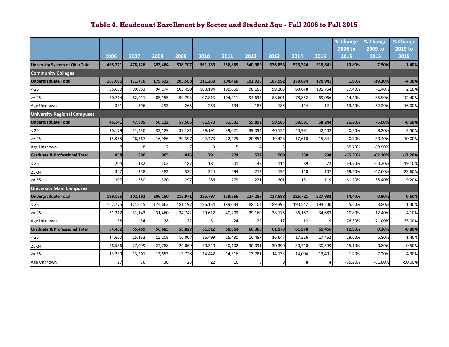|                                          |         |         |         |         |         |         |         |         |         |         | % Change  | % Change  | % Change  |
|------------------------------------------|---------|---------|---------|---------|---------|---------|---------|---------|---------|---------|-----------|-----------|-----------|
|                                          |         |         |         |         |         |         |         |         |         |         | 2006 to   | 2009 to   | 2013 to   |
|                                          | 2006    | 2007    | 2008    | 2009    | 2010    | 2011    | 2012    | 2013    | 2014    | 2015    | 2015      | 2015      | 2015      |
| <b>University System of Ohio Total</b>   | 468,271 | 478,126 | 493,484 | 536,707 | 561,133 | 556,865 | 540,989 | 536,853 | 526,324 | 518,841 | 10.80%    | $-7.50%$  | $-1.40%$  |
| <b>Community Colleges</b>                |         |         |         |         |         |         |         |         |         |         |           |           |           |
| <b>Undergraduate Total</b>               | 167,695 | 171,770 | 179,622 | 203,508 | 211,260 | 204,460 | 192,926 | 187,992 | 178,674 | 170,941 | 1.90%     | $-19.10%$ | $-4.30%$  |
| < 25                                     | 86,650  | 89,363  | 94,174  | 103.450 | 103,194 | 100,055 | 98,108  | 99,205  | 99,678  | 101,754 | 17.40%    | $-1.40%$  | 2.10%     |
| $>= 25$                                  | 80,714  | 82,011  | 85,155  | 99,793  | 107,813 | 104,211 | 94,635  | 88,601  | 78,852  | 69,066  | $-14.40%$ | $-35.90%$ | $-12.40%$ |
| Age Unknown                              | 331     | 396     | 293     | 265     | 253     | 194     | 183     | 186     | 144     | 121     | $-63.40%$ | $-52.20%$ | $-16.00%$ |
| <b>University Regional Campuses</b>      |         |         |         |         |         |         |         |         |         |         |           |           |           |
| <b>Undergraduate Total</b>               | 46,141  | 47,805  | 50,122  | 57,585  | 61,973  | 61,501  | 59,892  | 59,585  | 58,591  | 58,244  | 26.20%    | $-6.00%$  | $-0.60%$  |
| $25$                                     | 30,179  | 31,430  | 33,129  | 37,181  | 39,191  | 39,021  | 39,034  | 40,154  | 40,981  | 42,402  | 40.50%    | 8.20%     | 3.50%     |
| $>= 25$                                  | 15,955  | 16,367  | 16,986  | 20,397  | 22,773  | 22,475  | 20,854  | 19,428  | 17,610  | 15,841  | $-0.70%$  | $-30.40%$ | $-10.00%$ |
| Age Unknown                              |         | 8       |         |         |         |         |         |         |         |         | $-85.70%$ | $-88.90%$ |           |
| <b>Graduate &amp; Professional Total</b> | 858     | 890     | 905     | 816     | 791     | 774     | 577     | 509     | 360     | 298     | $-65.30%$ | $-62.30%$ | $-17.20%$ |
| < 25                                     | 204     | 182     | 203     | 187     | 181     | 201     | 143     | 114     | 89      | 72      | $-64.70%$ | $-60.20%$ | $-19.10%$ |
| 25-34                                    | 347     | 358     | 382     | 332     | 324     | 294     | 213     | 194     | 140     | 107     | $-69.20%$ | $-67.00%$ | $-23.60%$ |
| $>= 35$                                  | 307     | 350     | 320     | 297     | 286     | 279     | 221     | 201     | 131     | 119     | $-61.20%$ | $-58.40%$ | $-9.20%$  |
| <b>University Main Campuses</b>          |         |         |         |         |         |         |         |         |         |         |           |           |           |
| <b>Undergraduate Total</b>               | 199,125 | 202,192 | 206,150 | 215,971 | 225,797 | 229,266 | 227,286 | 227,588 | 226,721 | 227,892 | 14.40%    | 0.90%     | 0.50%     |
| $25$                                     | 167,775 | 171,015 | 174,662 | 181,197 | 186,154 | 189,033 | 188,104 | 189,395 | 190,542 | 193,200 | 15.20%    | 3.80%     | 1.40%     |
| $>= 25$                                  | 31,312  | 31,143  | 31,460  | 34,742  | 39,612  | 40,209  | 39,160  | 38,176  | 36,167  | 34,683  | 10.80%    | $-12.40%$ | $-4.10%$  |
| Age Unknown                              | 38      | 34      | 28      | 32      | 31      | 24      | 22      | 17      | 12      |         | $-76.30%$ | $-71.00%$ | $-25.00%$ |
| <b>Graduate &amp; Professional Total</b> | 54,452  | 55,469  | 56,685  | 58,827  | 61,312  | 60,864  | 60,308  | 61,179  | 61,978  | 61,466  | 12.90%    | 0.30%     | $-0.80%$  |
| < 25                                     | 14,600  | 15,133  | 15,208  | 16,007  | 16,499  | 16,430  | 16,487  | 16,647  | 17,226  | 17,462  | 19.60%    | 5.80%     | 1.40%     |
| 25-34                                    | 26,586  | 27,099  | 27,788  | 29,069  | 30,349  | 30,102  | 30,031  | 30,390  | 30,740  | 30,599  | 15.10%    | 0.80%     | $-0.50%$  |
| $>= 35$                                  | 13,239  | 13,201  | 13,653  | 13,728  | 14,442  | 14,316  | 13,781  | 14,133  | 14,004  | 13,401  | 1.20%     | $-7.20%$  | $-4.30%$  |
| Age Unknown                              | 27      | 36      | 36      | 23      | 22      | 16      | q       | q       | 8       |         | $-85.20%$ | $-81.80%$ | $-50.00%$ |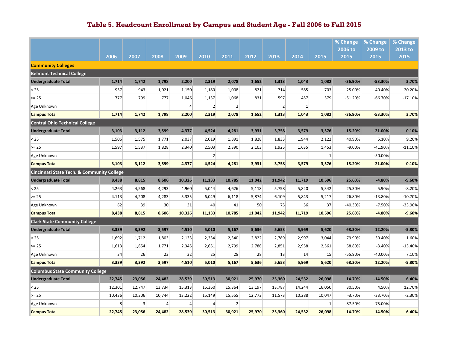|                                            |        |        |                 |                |                |                |        |                |              |              | % Change<br>2006 to | % Change<br>2009 to | % Change<br>2013 to |
|--------------------------------------------|--------|--------|-----------------|----------------|----------------|----------------|--------|----------------|--------------|--------------|---------------------|---------------------|---------------------|
|                                            | 2006   | 2007   | 2008            | 2009           | 2010           | 2011           | 2012   | 2013           | 2014         | 2015         | 2015                | 2015                | 2015                |
| <b>Community Colleges</b>                  |        |        |                 |                |                |                |        |                |              |              |                     |                     |                     |
| <b>Belmont Technical College</b>           |        |        |                 |                |                |                |        |                |              |              |                     |                     |                     |
| <b>Undergraduate Total</b>                 | 1,714  | 1,742  | 1,798           | 2,200          | 2,319          | 2,078          | 1,652  | 1,313          | 1,043        | 1,082        | $-36.90%$           | $-53.30%$           | 3.70%               |
| < 25                                       | 937    | 943    | 1,021           | 1,150          | 1,180          | 1,008          | 821    | 714            | 585          | 703          | $-25.00%$           | $-40.40%$           | 20.20%              |
| $>= 25$                                    | 777    | 799    | 777             | 1,046          | 1,137          | 1,068          | 831    | 597            | 457          | 379          | $-51.20%$           | $-66.70%$           | $-17.10%$           |
| Age Unknown                                |        |        |                 | $\overline{a}$ | $\overline{2}$ | $\overline{2}$ |        | $\overline{2}$ | $\mathbf{1}$ |              |                     |                     |                     |
| <b>Campus Total</b>                        | 1,714  | 1,742  | 1,798           | 2,200          | 2,319          | 2,078          | 1,652  | 1,313          | 1,043        | 1,082        | $-36.90%$           | $-53.30%$           | 3.70%               |
| <b>Central Ohio Technical College</b>      |        |        |                 |                |                |                |        |                |              |              |                     |                     |                     |
| <b>Undergraduate Total</b>                 | 3,103  | 3,112  | 3,599           | 4,377          | 4,524          | 4,281          | 3,931  | 3,758          | 3,579        | 3,576        | 15.20%              | $-21.00%$           | $-0.10%$            |
| < 25                                       | 1,506  | 1,575  | 1,771           | 2,037          | 2,019          | 1,891          | 1,828  | 1,833          | 1,944        | 2,122        | 40.90%              | 5.10%               | 9.20%               |
| $>= 25$                                    | 1,597  | 1,537  | 1,828           | 2,340          | 2,503          | 2,390          | 2,103  | 1,925          | 1,635        | 1,453        | $-9.00%$            | $-41.90%$           | $-11.10%$           |
| Age Unknown                                |        |        |                 |                | 2              |                |        |                |              | $\mathbf{1}$ |                     | $-50.00%$           |                     |
| <b>Campus Total</b>                        | 3,103  | 3,112  | 3,599           | 4,377          | 4,524          | 4,281          | 3,931  | 3,758          | 3,579        | 3,576        | 15.20%              | $-21.00%$           | $-0.10%$            |
| Cincinnati State Tech. & Community College |        |        |                 |                |                |                |        |                |              |              |                     |                     |                     |
| <b>Undergraduate Total</b>                 | 8,438  | 8,815  | 8,606           | 10,326         | 11,133         | 10,785         | 11,042 | 11,942         | 11,719       | 10,596       | 25.60%              | $-4.80%$            | $-9.60%$            |
| < 25                                       | 4,263  | 4,568  | 4,293           | 4,960          | 5,044          | 4,626          | 5,118  | 5,758          | 5,820        | 5,342        | 25.30%              | 5.90%               | $-8.20%$            |
| $>= 25$                                    | 4,113  | 4,208  | 4,283           | 5,335          | 6,049          | 6,118          | 5,874  | 6,109          | 5,843        | 5,217        | 26.80%              | $-13.80%$           | $-10.70%$           |
| Age Unknown                                | 62     | 39     | 30 <sup>°</sup> | 31             | 40             | 41             | 50     | 75             | 56           | 37           | $-40.30%$           | $-7.50%$            | -33.90%             |
| <b>Campus Total</b>                        | 8,438  | 8,815  | 8,606           | 10,326         | 11,133         | 10,785         | 11,042 | 11,942         | 11,719       | 10,596       | 25.60%              | $-4.80%$            | $-9.60%$            |
| <b>Clark State Community College</b>       |        |        |                 |                |                |                |        |                |              |              |                     |                     |                     |
| <b>Undergraduate Total</b>                 | 3,339  | 3,392  | 3,597           | 4,510          | 5,010          | 5,167          | 5,636  | 5,653          | 5,969        | 5,620        | 68.30%              | 12.20%              | $-5.80%$            |
| < 25                                       | 1,692  | 1,712  | 1,803           | 2,133          | 2,334          | 2,340          | 2,822  | 2,789          | 2,997        | 3,044        | 79.90%              | 30.40%              | 1.60%               |
| $>= 25$                                    | 1,613  | 1,654  | 1,771           | 2,345          | 2,651          | 2,799          | 2,786  | 2,851          | 2,958        | 2,561        | 58.80%              | $-3.40%$            | $-13.40%$           |
| Age Unknown                                | 34     | 26     | 23              | 32             | 25             | 28             | 28     | 13             | 14           | 15           | $-55.90%$           | $-40.00%$           | 7.10%               |
| <b>Campus Total</b>                        | 3,339  | 3,392  | 3,597           | 4,510          | 5,010          | 5,167          | 5,636  | 5,653          | 5,969        | 5,620        | 68.30%              | 12.20%              | $-5.80%$            |
| <b>Columbus State Community College</b>    |        |        |                 |                |                |                |        |                |              |              |                     |                     |                     |
| <b>Undergraduate Total</b>                 | 22,745 | 23,056 | 24,482          | 28,539         | 30,513         | 30,921         | 25,970 | 25,360         | 24,532       | 26,098       | 14.70%              | $-14.50%$           | 6.40%               |
| < 25                                       | 12,301 | 12,747 | 13,734          | 15,313         | 15,360         | 15,364         | 13,197 | 13,787         | 14,244       | 16,050       | 30.50%              | 4.50%               | 12.70%              |
| $>= 25$                                    | 10,436 | 10,306 | 10,744          | 13,222         | 15,149         | 15,555         | 12,773 | 11,573         | 10,288       | 10,047       | $-3.70%$            | $-33.70%$           | $-2.30%$            |
| Age Unknown                                | 8      | 3      | 4               | 4              | 4              | $\overline{2}$ |        |                |              | -1           | $-87.50%$           | $-75.00%$           |                     |
| <b>Campus Total</b>                        | 22,745 | 23,056 | 24,482          | 28,539         | 30,513         | 30,921         | 25,970 | 25,360         | 24,532       | 26,098       | 14.70%              | $-14.50%$           | 6.40%               |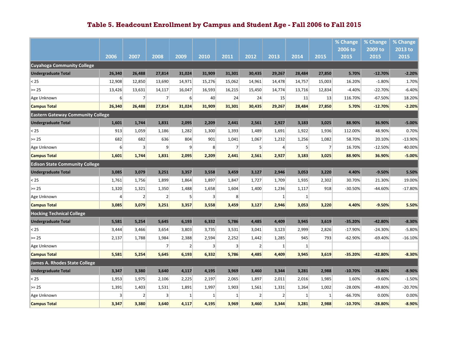|                                          |          |                |                |                |                   |        |                |                |                |                | % Change        | % Change        | % Change        |
|------------------------------------------|----------|----------------|----------------|----------------|-------------------|--------|----------------|----------------|----------------|----------------|-----------------|-----------------|-----------------|
|                                          | 2006     | 2007           | 2008           | 2009           | 2010              | 2011   | 2012           | 2013           | 2014           | 2015           | 2006 to<br>2015 | 2009 to<br>2015 | 2013 to<br>2015 |
| Cuyahoga Community College               |          |                |                |                |                   |        |                |                |                |                |                 |                 |                 |
| <b>Undergraduate Total</b>               | 26,340   | 26,488         | 27,814         | 31,024         | 31,909            | 31,301 | 30,435         | 29,267         | 28,484         | 27,850         | 5.70%           | $-12.70%$       | $-2.20%$        |
| < 25                                     | 12,908   | 12,850         | 13,690         | 14,971         | 15,276            | 15,062 | 14,961         | 14,478         | 14,757         | 15,003         | 16.20%          | $-1.80%$        | 1.70%           |
| $>= 25$                                  | 13,426   | 13,631         | 14,117         | 16,047         | 16,593            | 16,215 | 15,450         | 14,774         | 13,716         | 12,834         | $-4.40%$        | $-22.70%$       | $-6.40%$        |
| Age Unknown                              | $6 \mid$ | $\overline{7}$ | 7              | $6 \mid$       | 40                | 24     | 24             | 15             | 11             | 13             | 116.70%         | $-67.50%$       | 18.20%          |
| <b>Campus Total</b>                      | 26,340   | 26,488         | 27,814         | 31,024         | 31,909            | 31,301 | 30,435         | 29,267         | 28,484         | 27,850         | 5.70%           | $-12.70%$       | $-2.20%$        |
| <b>Eastern Gateway Community College</b> |          |                |                |                |                   |        |                |                |                |                |                 |                 |                 |
| <b>Undergraduate Total</b>               | 1,601    | 1,744          | 1,831          | 2,095          | 2,209             | 2,441  | 2,561          | 2,927          | 3,183          | 3,025          | 88.90%          | 36.90%          | $-5.00%$        |
| < 25                                     | 913      | 1,059          | 1,186          | 1,282          | 1,300             | 1,393  | 1,489          | 1,691          | 1,922          | 1,936          | 112.00%         | 48.90%          | 0.70%           |
| $>= 25$                                  | 682      | 682            | 636            | 804            | 901               | 1,041  | 1,067          | 1,232          | 1,256          | 1,082          | 58.70%          | 20.10%          | $-13.90%$       |
| Age Unknown                              | 6        | 3              | $\overline{9}$ | 9 <sup>°</sup> | 8                 | 7      | 5 <sup>1</sup> | 4              | 5 <sup>1</sup> | $\overline{7}$ | 16.70%          | $-12.50%$       | 40.00%          |
| <b>Campus Total</b>                      | 1,601    | 1,744          | 1,831          | 2,095          | 2,209             | 2,441  | 2,561          | 2,927          | 3,183          | 3,025          | 88.90%          | 36.90%          | $-5.00%$        |
| <b>Edison State Community College</b>    |          |                |                |                |                   |        |                |                |                |                |                 |                 |                 |
| <b>Undergraduate Total</b>               | 3,085    | 3,079          | 3,251          | 3,357          | 3,558             | 3,459  | 3,127          | 2,946          | 3,053          | 3,220          | 4.40%           | $-9.50%$        | 5.50%           |
| < 25                                     | 1,761    | 1,756          | 1,899          | 1,864          | 1,897             | 1,847  | 1,727          | 1,709          | 1,935          | 2,302          | 30.70%          | 21.30%          | 19.00%          |
| $>= 25$                                  | 1,320    | 1,321          | 1,350          | 1,488          | 1,658             | 1,604  | 1,400          | 1,236          | 1,117          | 918            | -30.50%         | $-44.60%$       | $-17.80%$       |
| Age Unknown                              | 4        | $\overline{2}$ | $\overline{2}$ | 5              | $\lvert 3 \rvert$ | 8      |                | 1              | $\mathbf{1}$   |                |                 |                 |                 |
| <b>Campus Total</b>                      | 3,085    | 3,079          | 3,251          | 3,357          | 3,558             | 3,459  | 3,127          | 2,946          | 3,053          | 3,220          | 4.40%           | $-9.50%$        | 5.50%           |
| <b>Hocking Technical College</b>         |          |                |                |                |                   |        |                |                |                |                |                 |                 |                 |
| <b>Undergraduate Total</b>               | 5,581    | 5,254          | 5,645          | 6,193          | 6,332             | 5,786  | 4,485          | 4,409          | 3,945          | 3,619          | $-35.20%$       | $-42.80%$       | $-8.30%$        |
| < 25                                     | 3,444    | 3,466          | 3,654          | 3,803          | 3,735             | 3,531  | 3,041          | 3,123          | 2,999          | 2,826          | $-17.90%$       | $-24.30%$       | $-5.80%$        |
| $>= 25$                                  | 2,137    | 1,788          | 1,984          | 2,388          | 2,594             | 2,252  | 1,442          | 1,285          | 945            | 793            | $-62.90%$       | $-69.40%$       | $-16.10%$       |
| Age Unknown                              |          |                | 7              | $\overline{2}$ | $\lvert 3 \rvert$ | 3      | $\overline{2}$ | $\mathbf{1}$   | 1              |                |                 |                 |                 |
| <b>Campus Total</b>                      | 5,581    | 5,254          | 5,645          | 6,193          | 6,332             | 5,786  | 4,485          | 4,409          | 3,945          | 3,619          | -35.20%         | -42.80%         | $-8.30%$        |
| James A. Rhodes State College            |          |                |                |                |                   |        |                |                |                |                |                 |                 |                 |
| <b>Undergraduate Total</b>               | 3,347    | 3,380          | 3,640          | 4,117          | 4,195             | 3,969  | 3,460          | 3,344          | 3,281          | 2,988          | $-10.70%$       | $-28.80%$       | $-8.90%$        |
| < 25                                     | 1,953    | 1,975          | 2,106          | 2,225          | 2,197             | 2,065  | 1,897          | 2,011          | 2,016          | 1,985          | 1.60%           | $-9.60%$        | $-1.50%$        |
| $>= 25$                                  | 1,391    | 1,403          | 1,531          | 1,891          | 1,997             | 1,903  | 1,561          | 1,331          | 1,264          | 1,002          | $-28.00%$       | -49.80%         | $-20.70%$       |
| Age Unknown                              | 3        | $\overline{2}$ | 3              | $\mathbf{1}$   | $\mathbf{1}$      | 1      | $\overline{2}$ | $\overline{2}$ | 1              | 1              | $-66.70%$       | 0.00%           | 0.00%           |
| <b>Campus Total</b>                      | 3,347    | 3,380          | 3,640          | 4,117          | 4,195             | 3,969  | 3,460          | 3,344          | 3,281          | 2,988          | $-10.70%$       | $-28.80%$       | $-8.90%$        |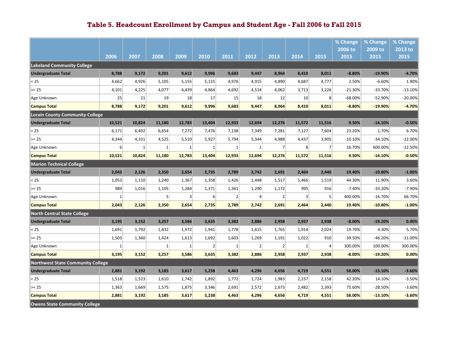|                                        |              |          |                |                |                |                |                 |                |                 |                | % Change        | % Change        | % Change        |
|----------------------------------------|--------------|----------|----------------|----------------|----------------|----------------|-----------------|----------------|-----------------|----------------|-----------------|-----------------|-----------------|
|                                        | 2006         | 2007     | 2008           | 2009           | 2010           | 2011           | 2012            | 2013           | 2014            | 2015           | 2006 to<br>2015 | 2009 to<br>2015 | 2013 to<br>2015 |
| <b>Lakeland Community College</b>      |              |          |                |                |                |                |                 |                |                 |                |                 |                 |                 |
| <b>Undergraduate Total</b>             | 8,788        | 9,172    | 9,201          | 9,612          | 9,996          | 9,683          | 9,447           | 8,964          | 8,410           | 8,011          | $-8.80%$        | $-19.90%$       | $-4.70%$        |
| < 25                                   | 4,662        | 4,926    | 5,105          | 5,155          | 5,115          | 4,976          | 4,915           | 4,890          | 4,687           | 4,777          | 2.50%           | $-6.60%$        | 1.90%           |
| $>= 25$                                | 4,101        | 4,225    | 4,077          | 4,439          | 4,864          | 4,692          | 4,514           | 4,062          | 3,713           | 3,226          | $-21.30%$       | $-33.70%$       | $-13.10%$       |
| Age Unknown                            | 25           | 21       | 19             | 18             | 17             | 15             | 18              | 12             | 10 <sup>1</sup> | 8 <sup>1</sup> | $-68.00%$       | -52.90%         | $-20.00%$       |
| <b>Campus Total</b>                    | 8,788        | 9,172    | 9,201          | 9,612          | 9,996          | 9,683          | 9,447           | 8,964          | 8,410           | 8,011          | $-8.80%$        | $-19.90%$       | $-4.70%$        |
| <b>Lorain County Community College</b> |              |          |                |                |                |                |                 |                |                 |                |                 |                 |                 |
| <b>Undergraduate Total</b>             | 10,521       | 10,824   | 11,180         | 12,783         | 13,404         | 12,933         | 12,694          | 12,276         | 11,572          | 11,516         | 9.50%           | $-14.10%$       | $-0.50%$        |
| $25$                                   | 6,171        | 6,492    | 6,654          | 7,272          | 7,476          | 7,138          | 7,349           | 7,281          | 7,127           | 7,604          | 23.20%          | 1.70%           | 6.70%           |
| $>= 25$                                | 4,344        | 4,331    | 4,525          | 5,510          | 5,927          | 5,794          | 5,344           | 4,988          | 4,437           | 3,905          | $-10.10\%$      | $-34.10%$       | $-12.00%$       |
| Age Unknown                            | $6 \mid$     | $1\vert$ | $\mathbf{1}$   | 1              | $\mathbf{1}$   | $\mathbf{1}$   | $1\vert$        | $\overline{7}$ | 8 <sup>1</sup>  | 7              | 16.70%          | 600.00%         | $-12.50%$       |
| <b>Campus Total</b>                    | 10,521       | 10,824   | 11,180         | 12,783         | 13,404         | 12,933         | 12,694          | 12,276         | 11,572          | 11,516         | 9.50%           | $-14.10%$       | $-0.50%$        |
| <b>Marion Technical College</b>        |              |          |                |                |                |                |                 |                |                 |                |                 |                 |                 |
| <b>Undergraduate Total</b>             | 2,043        | 2,126    | 2,350          | 2,654          | 2,735          | 2,789          | 2,742           | 2,691          | 2,464           | 2,440          | 19.40%          | $-10.80%$       | $-1.00%$        |
| < 25                                   | 1,053        | 1,110    | 1,240          | 1,367          | 1,358          | 1,426          | 1,448           | 1,517          | 1,466           | 1,519          | 44.30%          | 11.90%          | 3.60%           |
| $>= 25$                                | 989          | 1,016    | 1,105          | 1,284          | 1,371          | 1,361          | 1,290           | 1,172          | 995             | 916            | $-7.40%$        | $-33.20%$       | $-7.90%$        |
| Age Unknown                            | $\mathbf{1}$ |          | 5 <sup>1</sup> | $\overline{3}$ | 6              | $\overline{2}$ | $\vert 4 \vert$ | $\overline{2}$ | $\overline{3}$  | 5              | 400.00%         | $-16.70%$       | 66.70%          |
| <b>Campus Total</b>                    | 2,043        | 2,126    | 2,350          | 2,654          | 2,735          | 2,789          | 2,742           | 2,691          | 2,464           | 2,440          | 19.40%          | $-10.80%$       | $-1.00%$        |
| North Central State College            |              |          |                |                |                |                |                 |                |                 |                |                 |                 |                 |
| <b>Undergraduate Total</b>             | 3,195        | 3,152    | 3,257          | 3,586          | 3,635          | 3,382          | 2,886           | 2,958          | 2,937           | 2,938          | $-8.00%$        | $-19.20%$       | 0.00%           |
| < 25                                   | 1,691        | 1,792    | 1,832          | 1,972          | 1,941          | 1,778          | 1,615           | 1,765          | 1,914           | 2,024          | 19.70%          | 4.30%           | 5.70%           |
| $>= 25$                                | 1,503        | 1,360    | 1,424          | 1,613          | 1,692          | 1,603          | 1,269           | 1,191          | 1,022           | 910            | $-39.50%$       | $-46.20%$       | $-11.00%$       |
| Age Unknown                            | 1            |          | $1\vert$       | 1              | $\overline{2}$ | 1              | $\overline{2}$  | $\overline{2}$ | $\vert$ 1       | 4              | 300.00%         | 100.00%         | 300.00%         |
| <b>Campus Total</b>                    | 3,195        | 3,152    | 3,257          | 3,586          | 3,635          | 3,382          | 2,886           | 2,958          | 2,937           | 2,938          | $-8.00%$        | $-19.20%$       | 0.00%           |
| Northwest State Community College      |              |          |                |                |                |                |                 |                |                 |                |                 |                 |                 |
| <b>Undergraduate Total</b>             | 2,881        | 3,192    | 3,185          | 3,617          | 5,238          | 4,463          | 4,296           | 4,656          | 4,719           | 4,551          | 58.00%          | $-13.10%$       | $-3.60%$        |
| < 25                                   | 1,518        | 1,523    | 1,610          | 1,742          | 1,892          | 1,772          | 1,724           | 1,983          | 2,237           | 2,158          | 42.20%          | 14.10%          | $-3.50%$        |
| $>= 25$                                | 1,363        | 1,669    | 1,575          | 1,875          | 3,346          | 2,691          | 2,572           | 2,673          | 2,482           | 2,393          | 75.60%          | $-28.50%$       | $-3.60%$        |
| <b>Campus Total</b>                    | 2,881        | 3,192    | 3,185          | 3,617          | 5,238          | 4,463          | 4,296           | 4,656          | 4,719           | 4,551          | 58.00%          | $-13.10%$       | $-3.60%$        |
| <b>Owens State Community College</b>   |              |          |                |                |                |                |                 |                |                 |                |                 |                 |                 |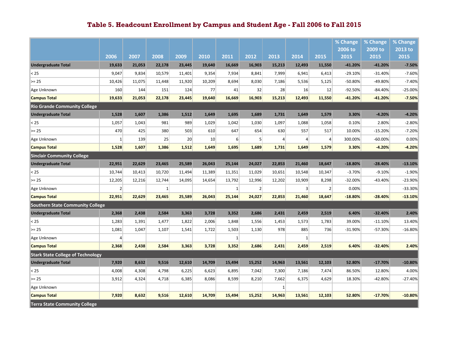|                                          |                |        |              |        |        |              |                |        |                |                | % Change        | % Change        | % Change        |
|------------------------------------------|----------------|--------|--------------|--------|--------|--------------|----------------|--------|----------------|----------------|-----------------|-----------------|-----------------|
|                                          | 2006           | 2007   | 2008         | 2009   | 2010   | 2011         | 2012           | 2013   | 2014           | 2015           | 2006 to<br>2015 | 2009 to<br>2015 | 2013 to<br>2015 |
| <b>Undergraduate Total</b>               | 19,633         | 21,053 | 22,178       | 23,445 | 19,640 | 16,669       | 16,903         | 15,213 | 12,493         | 11,550         | $-41.20%$       | $-41.20%$       | $-7.50%$        |
| $25$                                     | 9,047          | 9,834  | 10,579       | 11,401 | 9,354  | 7,934        | 8,841          | 7,999  | 6,941          | 6,413          | $-29.10%$       | $-31.40%$       | $-7.60%$        |
| $>= 25$                                  | 10,426         | 11,075 | 11,448       | 11,920 | 10,209 | 8,694        | 8,030          | 7,186  | 5,536          | 5,125          | $-50.80%$       | -49.80%         | $-7.40%$        |
| Age Unknown                              | 160            | 144    | 151          | 124    | 77     | 41           | 32             | 28     | 16             | 12             | $-92.50%$       | $-84.40%$       | $-25.00%$       |
| <b>Campus Total</b>                      | 19,633         | 21,053 | 22,178       | 23,445 | 19,640 | 16,669       | 16,903         | 15,213 | 12,493         | 11,550         | $-41.20%$       | $-41.20%$       | $-7.50%$        |
| <b>Rio Grande Community College</b>      |                |        |              |        |        |              |                |        |                |                |                 |                 |                 |
| <b>Undergraduate Total</b>               | 1,528          | 1,607  | 1,386        | 1,512  | 1,649  | 1,695        | 1,689          | 1,731  | 1,649          | 1,579          | 3.30%           | $-4.20%$        | $-4.20%$        |
| < 25                                     | 1,057          | 1,043  | 981          | 989    | 1,029  | 1,042        | 1,030          | 1,097  | 1,088          | 1,058          | 0.10%           | 2.80%           | $-2.80%$        |
| $>= 25$                                  | 470            | 425    | 380          | 503    | 610    | 647          | 654            | 630    | 557            | 517            | 10.00%          | $-15.20%$       | $-7.20%$        |
| Age Unknown                              | $\mathbf{1}$   | 139    | 25           | 20     | 10     | 6            | 5 <sup>1</sup> | 4      | 4              | $\overline{4}$ | 300.00%         | $-60.00%$       | 0.00%           |
| <b>Campus Total</b>                      | 1,528          | 1,607  | 1,386        | 1,512  | 1,649  | 1,695        | 1,689          | 1,731  | 1,649          | 1,579          | 3.30%           | $-4.20%$        | $-4.20%$        |
| <b>Sinclair Community College</b>        |                |        |              |        |        |              |                |        |                |                |                 |                 |                 |
| <b>Undergraduate Total</b>               | 22,951         | 22,629 | 23,465       | 25,589 | 26,043 | 25,144       | 24,027         | 22,853 | 21,460         | 18,647         | $-18.80%$       | $-28.40%$       | $-13.10%$       |
| $25$                                     | 10,744         | 10,413 | 10,720       | 11,494 | 11,389 | 11,351       | 11,029         | 10.651 | 10,548         | 10,347         | $-3.70%$        | $-9.10%$        | $-1.90%$        |
| $>= 25$                                  | 12,205         | 12,216 | 12,744       | 14,095 | 14,654 | 13,792       | 12,996         | 12,202 | 10,909         | 8,298          | $-32.00%$       | $-43.40%$       | $-23.90%$       |
| Age Unknown                              | $\overline{2}$ |        | $\mathbf{1}$ |        |        | $\mathbf{1}$ | $\overline{2}$ |        | $\overline{3}$ | $\overline{2}$ | 0.00%           |                 | $-33.30%$       |
| <b>Campus Total</b>                      | 22,951         | 22,629 | 23,465       | 25,589 | 26,043 | 25,144       | 24,027         | 22,853 | 21,460         | 18,647         | $-18.80%$       | $-28.40%$       | 13.10%          |
| Southern State Community College         |                |        |              |        |        |              |                |        |                |                |                 |                 |                 |
| <b>Undergraduate Total</b>               | 2,368          | 2,438  | 2,584        | 3,363  | 3,728  | 3,352        | 2,686          | 2,431  | 2,459          | 2,519          | 6.40%           | $-32.40%$       | 2.40%           |
| $25$                                     | 1,283          | 1,391  | 1,477        | 1,822  | 2,006  | 1,848        | 1,556          | 1,453  | 1,573          | 1,783          | 39.00%          | $-11.10%$       | 13.40%          |
| $>= 25$                                  | 1,081          | 1,047  | 1,107        | 1,541  | 1,722  | 1,503        | 1,130          | 978    | 885            | 736            | $-31.90%$       | $-57.30%$       | $-16.80%$       |
| Age Unknown                              | 4              |        |              |        |        | $\mathbf{1}$ |                |        | $\mathbf{1}$   |                |                 |                 |                 |
| <b>Campus Total</b>                      | 2,368          | 2,438  | 2,584        | 3,363  | 3,728  | 3,352        | 2,686          | 2,431  | 2,459          | 2,519          | 6.40%           | $-32.40%$       | 2.40%           |
| <b>Stark State College of Technology</b> |                |        |              |        |        |              |                |        |                |                |                 |                 |                 |
| <b>Undergraduate Total</b>               | 7,920          | 8,632  | 9,516        | 12,610 | 14,709 | 15,494       | 15,252         | 14,963 | 13,561         | 12,103         | 52.80%          | $-17.70%$       | $-10.80%$       |
| $25$                                     | 4,008          | 4,308  | 4,798        | 6,225  | 6,623  | 6,895        | 7,042          | 7,300  | 7,186          | 7,474          | 86.50%          | 12.80%          | 4.00%           |
| $>= 25$                                  | 3,912          | 4,324  | 4,718        | 6,385  | 8,086  | 8,599        | 8,210          | 7,662  | 6,375          | 4,629          | 18.30%          | $-42.80%$       | $-27.40%$       |
| Age Unknown                              |                |        |              |        |        |              |                | 1      |                |                |                 |                 |                 |
| <b>Campus Total</b>                      | 7,920          | 8,632  | 9,516        | 12,610 | 14,709 | 15,494       | 15,252         | 14,963 | 13,561         | 12,103         | 52.80%          | $-17.70%$       | $-10.80%$       |
| <b>Terra State Community College</b>     |                |        |              |        |        |              |                |        |                |                |                 |                 |                 |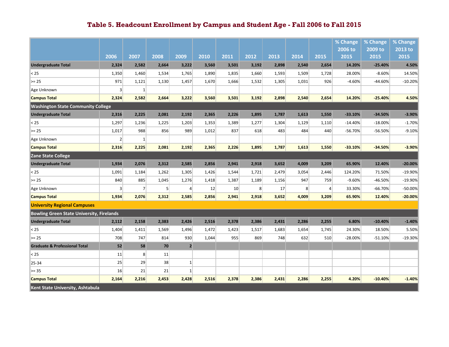|                                                  |                |                |                |                 |       |       |                |       |       |                | % Change  | % Change  | % Change  |
|--------------------------------------------------|----------------|----------------|----------------|-----------------|-------|-------|----------------|-------|-------|----------------|-----------|-----------|-----------|
|                                                  |                |                |                |                 |       |       |                |       |       |                | 2006 to   | 2009 to   | 2013 to   |
|                                                  | 2006           | 2007           | 2008           | 2009            | 2010  | 2011  | 2012           | 2013  | 2014  | 2015           | 2015      | 2015      | 2015      |
| <b>Undergraduate Total</b>                       | 2,324          | 2,582          | 2,664          | 3,222           | 3,560 | 3,501 | 3,192          | 2,898 | 2,540 | 2,654          | 14.20%    | $-25.40%$ | 4.50%     |
| $25$                                             | 1,350          | 1,460          | 1,534          | 1,765           | 1,890 | 1,835 | 1,660          | 1,593 | 1,509 | 1,728          | 28.00%    | $-8.60%$  | 14.50%    |
| $>= 25$                                          | 971            | 1,121          | 1,130          | 1,457           | 1,670 | 1,666 | 1,532          | 1,305 | 1,031 | 926            | $-4.60%$  | $-44.60%$ | $-10.20%$ |
| Age Unknown                                      | $\overline{3}$ | $\mathbf{1}$   |                |                 |       |       |                |       |       |                |           |           |           |
| <b>Campus Total</b>                              | 2,324          | 2,582          | 2,664          | 3,222           | 3,560 | 3,501 | 3,192          | 2,898 | 2,540 | 2,654          | 14.20%    | $-25.40%$ | 4.50%     |
| <b>Washington State Community College</b>        |                |                |                |                 |       |       |                |       |       |                |           |           |           |
| <b>Undergraduate Total</b>                       | 2,316          | 2,225          | 2,081          | 2,192           | 2,365 | 2,226 | 1,895          | 1,787 | 1,613 | 1,550          | $-33.10%$ | $-34.50%$ | $-3.90%$  |
| < 25                                             | 1,297          | 1,236          | 1,225          | 1,203           | 1,353 | 1,389 | 1,277          | 1,304 | 1,129 | 1,110          | $-14.40%$ | $-18.00%$ | $-1.70%$  |
| $>= 25$                                          | 1,017          | 988            | 856            | 989             | 1,012 | 837   | 618            | 483   | 484   | 440            | $-56.70%$ | $-56.50%$ | $-9.10%$  |
| Age Unknown                                      | 2              | $\mathbf{1}$   |                |                 |       |       |                |       |       |                |           |           |           |
| <b>Campus Total</b>                              | 2,316          | 2,225          | 2,081          | 2,192           | 2,365 | 2,226 | 1,895          | 1,787 | 1,613 | 1,550          | -33.10%   | $-34.50%$ | $-3.90%$  |
| Zane State College                               |                |                |                |                 |       |       |                |       |       |                |           |           |           |
| <b>Undergraduate Total</b>                       | 1,934          | 2,076          | 2,312          | 2,585           | 2,856 | 2,941 | 2,918          | 3,652 | 4,009 | 3,209          | 65.90%    | 12.40%    | $-20.00%$ |
| $25$                                             | 1,091          | 1,184          | 1,262          | 1,305           | 1,426 | 1,544 | 1,721          | 2,479 | 3,054 | 2,446          | 124.20%   | 71.50%    | $-19.90%$ |
| $>= 25$                                          | 840            | 885            | 1,045          | 1,276           | 1,418 | 1,387 | 1,189          | 1,156 | 947   | 759            | $-9.60%$  | $-46.50%$ | $-19.90%$ |
| Age Unknown                                      | 3 <sup>1</sup> | $\overline{7}$ | 5 <sup>1</sup> | $\overline{4}$  | 12    | 10    | 8 <sup>°</sup> | 17    | 8     | $\overline{4}$ | 33.30%    | $-66.70%$ | $-50.00%$ |
| <b>Campus Total</b>                              | 1,934          | 2,076          | 2,312          | 2,585           | 2,856 | 2,941 | 2,918          | 3,652 | 4,009 | 3,209          | 65.90%    | 12.40%    | $-20.00%$ |
| <b>University Regional Campuses</b>              |                |                |                |                 |       |       |                |       |       |                |           |           |           |
| <b>Bowling Green State University, Firelands</b> |                |                |                |                 |       |       |                |       |       |                |           |           |           |
| <b>Undergraduate Total</b>                       | 2,112          | 2,158          | 2,383          | 2,426           | 2,516 | 2,378 | 2,386          | 2,431 | 2,286 | 2,255          | 6.80%     | $-10.40%$ | $-1.40%$  |
| $25$                                             | 1,404          | 1,411          | 1,569          | 1,496           | 1,472 | 1,423 | 1,517          | 1,683 | 1,654 | 1,745          | 24.30%    | 18.50%    | 5.50%     |
| $>= 25$                                          | 708            | 747            | 814            | 930             | 1,044 | 955   | 869            | 748   | 632   | 510            | $-28.00%$ | $-51.10%$ | $-19.30%$ |
| <b>Graduate &amp; Professional Total</b>         | 52             | 58             | 70             | $\overline{2}$  |       |       |                |       |       |                |           |           |           |
| < 25                                             | 11             | 8 <sup>°</sup> | 11             |                 |       |       |                |       |       |                |           |           |           |
| 25-34                                            | 25             | 29             | 38             | $1\overline{ }$ |       |       |                |       |       |                |           |           |           |
| $>= 35$                                          | 16             | 21             | 21             | $\mathbf{1}$    |       |       |                |       |       |                |           |           |           |
| <b>Campus Total</b>                              | 2,164          | 2,216          | 2,453          | 2,428           | 2,516 | 2,378 | 2,386          | 2,431 | 2,286 | 2,255          | 4.20%     | $-10.40%$ | $-1.40%$  |
| Kent State University, Ashtabula                 |                |                |                |                 |       |       |                |       |       |                |           |           |           |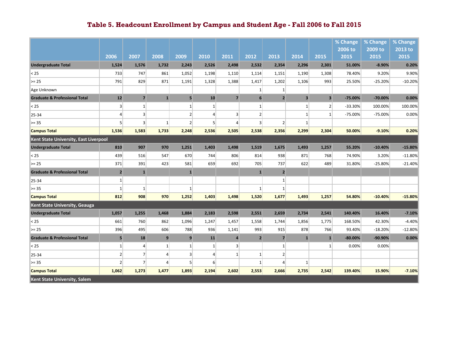|                                          |                |                |                 |                 |                |                |                |                |                         |                         | % Change  | % Change  | % Change  |
|------------------------------------------|----------------|----------------|-----------------|-----------------|----------------|----------------|----------------|----------------|-------------------------|-------------------------|-----------|-----------|-----------|
|                                          |                |                |                 |                 |                |                |                |                |                         |                         | 2006 to   | 2009 to   | 2013 to   |
|                                          | 2006           | 2007           | 2008            | 2009            | 2010           | 2011           | 2012           | 2013           | 2014                    | 2015                    | 2015      | 2015      | 2015      |
| <b>Undergraduate Total</b>               | 1,524          | 1,576          | 1,732           | 2,243           | 2,526          | 2,498          | 2,532          | 2,354          | 2,296                   | 2,301                   | 51.00%    | $-8.90%$  | 0.20%     |
| $25$                                     | 733            | 747            | 861             | 1,052           | 1,198          | 1,110          | 1,114          | 1,151          | 1,190                   | 1,308                   | 78.40%    | 9.20%     | 9.90%     |
| $>= 25$                                  | 791            | 829            | 871             | 1,191           | 1,328          | 1,388          | 1,417          | 1,202          | 1,106                   | 993                     | 25.50%    | $-25.20%$ | $-10.20%$ |
| Age Unknown                              |                |                |                 |                 |                |                | $\mathbf{1}$   | $\mathbf{1}$   |                         |                         |           |           |           |
| <b>Graduate &amp; Professional Total</b> | 12             | $\overline{7}$ | $\mathbf{1}$    | $5\overline{a}$ | 10             | $\overline{7}$ | $6\phantom{1}$ | $\overline{2}$ | $\overline{\mathbf{3}}$ | $\overline{\mathbf{3}}$ | $-75.00%$ | $-70.00%$ | 0.00%     |
| $25$                                     | $\overline{3}$ | $\mathbf{1}$   |                 | $\mathbf{1}$    | $1\vert$       |                | $\mathbf{1}$   |                | $\mathbf{1}$            | $\overline{2}$          | $-33.30%$ | 100.00%   | 100.00%   |
| 25-34                                    | 4              | $\overline{3}$ |                 | $\overline{2}$  | $\Delta$       | $\overline{3}$ | $\overline{2}$ |                | $\mathbf{1}$            | $\mathbf{1}$            | $-75.00%$ | $-75.00%$ | 0.00%     |
| $>= 35$                                  | 5 <sup>1</sup> | $\overline{3}$ | $\mathbf{1}$    | $\overline{2}$  | 5 <sup>1</sup> | Δ              | $\overline{3}$ | $\overline{2}$ | $\mathbf{1}$            |                         |           |           |           |
| <b>Campus Total</b>                      | 1,536          | 1,583          | 1,733           | 2,248           | 2,536          | 2,505          | 2,538          | 2,356          | 2,299                   | 2,304                   | 50.00%    | $-9.10%$  | 0.20%     |
| Kent State University, East Liverpool    |                |                |                 |                 |                |                |                |                |                         |                         |           |           |           |
| <b>Undergraduate Total</b>               | 810            | 907            | 970             | 1,251           | 1,403          | 1.498          | 1,519          | 1,675          | 1,493                   | 1,257                   | 55.20%    | $-10.40%$ | $-15.80%$ |
| $25$                                     | 439            | 516            | 547             | 670             | 744            | 806            | 814            | 938            | 871                     | 768                     | 74.90%    | 3.20%     | $-11.80%$ |
| $>= 25$                                  | 371            | 391            | 423             | 581             | 659            | 692            | 705            | 737            | 622                     | 489                     | 31.80%    | $-25.80%$ | $-21.40%$ |
| <b>Graduate &amp; Professional Total</b> | $\overline{2}$ | $\mathbf{1}$   |                 | $\mathbf{1}$    |                |                | $\mathbf{1}$   | $\overline{2}$ |                         |                         |           |           |           |
| 25-34                                    | $\overline{1}$ |                |                 |                 |                |                |                | $\mathbf{1}$   |                         |                         |           |           |           |
| $>= 35$                                  | $\mathbf{1}$   | $\mathbf{1}$   |                 | -1              |                |                | $\mathbf{1}$   | $\mathbf{1}$   |                         |                         |           |           |           |
| <b>Campus Total</b>                      | 812            | 908            | 970             | 1,252           | 1,403          | 1,498          | 1,520          | 1,677          | 1,493                   | 1,257                   | 54.80%    | $-10.40%$ | $-15.80%$ |
| Kent State University, Geauga            |                |                |                 |                 |                |                |                |                |                         |                         |           |           |           |
| <b>Undergraduate Total</b>               | 1,057          | 1,255          | 1,468           | 1,884           | 2,183          | 2,598          | 2,551          | 2,659          | 2,734                   | 2,541                   | 140.40%   | 16.40%    | $-7.10%$  |
| < 25                                     | 661            | 760            | 862             | 1,096           | 1,247          | 1,457          | 1,558          | 1,744          | 1,856                   | 1,775                   | 168.50%   | 42.30%    | $-4.40%$  |
| $>= 25$                                  | 396            | 495            | 606             | 788             | 936            | 1,141          | 993            | 915            | 878                     | 766                     | 93.40%    | $-18.20%$ | $-12.80%$ |
| <b>Graduate &amp; Professional Total</b> | 5              | 18             | 9               | 9               | 11             | $\overline{a}$ | $\overline{2}$ | $\overline{7}$ | $\mathbf{1}$            | $\mathbf{1}$            | $-80.00%$ | $-90.90%$ | 0.00%     |
| $25$                                     | $\mathbf{1}$   | $\overline{4}$ | $1\vert$        | $\mathbf{1}$    | $1\vert$       | 3              |                | $\mathbf{1}$   |                         | $\mathbf{1}$            | 0.00%     | 0.00%     |           |
| 25-34                                    | $\overline{2}$ | $\overline{7}$ | $\vert$         | $\overline{3}$  | $\vert$        | $\mathbf{1}$   | $\mathbf{1}$   | $\overline{2}$ |                         |                         |           |           |           |
| $>= 35$                                  | $\overline{2}$ | $\overline{7}$ | $\vert 4 \vert$ | 5               | $6 \mid$       |                | $\mathbf{1}$   | $\overline{4}$ | $\mathbf{1}$            |                         |           |           |           |
| <b>Campus Total</b>                      | 1,062          | 1,273          | 1,477           | 1,893           | 2,194          | 2,602          | 2,553          | 2,666          | 2,735                   | 2,542                   | 139.40%   | 15.90%    | $-7.10%$  |
| Kent State University, Salem             |                |                |                 |                 |                |                |                |                |                         |                         |           |           |           |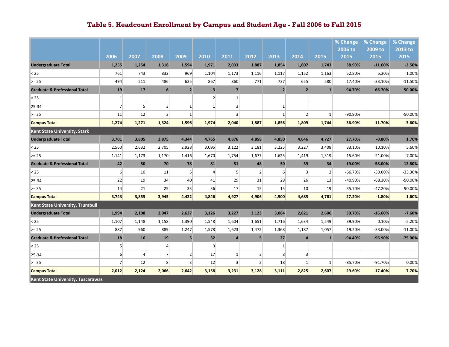|                                          |                |                 |                 |                 |                         |                |                |                  |                |                | % Change  | % Change  | % Change  |
|------------------------------------------|----------------|-----------------|-----------------|-----------------|-------------------------|----------------|----------------|------------------|----------------|----------------|-----------|-----------|-----------|
|                                          |                |                 |                 |                 |                         |                |                |                  |                |                | 2006 to   | 2009 to   | $2013$ to |
|                                          | 2006           | 2007            | 2008            | 2009            | 2010                    | 2011           | 2012           | 2013             | 2014           | 2015           | 2015      | 2015      | 2015      |
| <b>Undergraduate Total</b>               | 1,255          | 1,254           | 1,318           | 1,594           | 1,971                   | 2,033          | 1,887          | 1,854            | 1,807          | 1,743          | 38.90%    | $-11.60%$ | $-3.50%$  |
| $25$                                     | 761            | 743             | 832             | 969             | 1,104                   | 1,173          | 1,116          | 1,117            | 1,152          | 1,163          | 52.80%    | 5.30%     | 1.00%     |
| $>= 25$                                  | 494            | 511             | 486             | 625             | 867                     | 860            | 771            | 737              | 655            | 580            | 17.40%    | $-33.10%$ | $-11.50%$ |
| <b>Graduate &amp; Professional Total</b> | 19             | 17              | $6\phantom{1}$  | $\overline{2}$  | $\overline{\mathbf{3}}$ | $\overline{7}$ |                | $\overline{2}$   | $\overline{2}$ | $\mathbf{1}$   | $-94.70%$ | $-66.70%$ | -50.00%   |
| $25$                                     | $1\,$          |                 |                 |                 | $\overline{2}$          | $\mathbf{1}$   |                |                  |                |                |           |           |           |
| 25-34                                    | $\overline{7}$ | $\mathsf{S}$    | $\overline{3}$  | $1\overline{ }$ | $\mathbf{1}$            | $\overline{3}$ |                | $\mathbf{1}$     |                |                |           |           |           |
| $>= 35$                                  | 11             | 12              | $\overline{3}$  | 1               |                         | 3              |                | $\mathbf{1}$     | $\overline{2}$ | $\mathbf{1}$   | $-90.90%$ |           | $-50.00%$ |
| <b>Campus Total</b>                      | 1,274          | 1,271           | 1,324           | 1,596           | 1,974                   | 2,040          | 1,887          | 1,856            | 1,809          | 1,744          | 36.90%    | $-11.70%$ | $-3.60%$  |
| Kent State University, Stark             |                |                 |                 |                 |                         |                |                |                  |                |                |           |           |           |
| <b>Undergraduate Total</b>               | 3,701          | 3,805           | 3,875           | 4,344           | 4,765                   | 4,876          | 4,858          | 4,850            | 4,646          | 4,727          | 27.70%    | $-0.80%$  | 1.70%     |
| < 25                                     | 2,560          | 2,632           | 2,705           | 2,928           | 3,095                   | 3,122          | 3,181          | 3,225            | 3,227          | 3,408          | 33.10%    | 10.10%    | 5.60%     |
| $>= 25$                                  | 1,141          | 1,173           | 1,170           | 1,416           | 1,670                   | 1,754          | 1,677          | 1,625            | 1,419          | 1,319          | 15.60%    | $-21.00%$ | $-7.00%$  |
| <b>Graduate &amp; Professional Total</b> | 42             | 50              | 70              | 78              | 81                      | 51             | 48             | 50               | 39             | 34             | $-19.00%$ | $-58.00%$ | $-12.80%$ |
| < 25                                     | $6 \mid$       | 10 <sup>1</sup> | 11              | 5               | $\overline{4}$          |                | 2              | $6 \overline{6}$ | $\overline{3}$ | $\overline{2}$ | $-66.70%$ | $-50.00%$ | $-33.30%$ |
| 25-34                                    | 22             | 19              | 34              | 40              | 41                      | 29             | 31             | 29               | 26             | 13             | -40.90%   | $-68.30%$ | $-50.00%$ |
| $>= 35$                                  | 14             | 21              | 25              | 33              | 36                      | 17             | 15             | 15               | 10             | 19             | 35.70%    | $-47.20%$ | 90.00%    |
| <b>Campus Total</b>                      | 3,743          | 3,855           | 3,945           | 4,422           | 4,846                   | 4,927          | 4,906          | 4,900            | 4,685          | 4,761          | 27.20%    | $-1.80%$  | 1.60%     |
| Kent State University, Trumbull          |                |                 |                 |                 |                         |                |                |                  |                |                |           |           |           |
| <b>Undergraduate Total</b>               | 1,994          | 2,108           | 2,047           | 2,637           | 3,126                   | 3,227          | 3,123          | 3,084            | 2,821          | 2,606          | 30.70%    | $-16.60%$ | $-7.60%$  |
| < 25                                     | 1,107          | 1,148           | 1,158           | 1,390           | 1,548                   | 1,604          | 1,651          | 1,716            | 1,634          | 1,549          | 39.90%    | 0.10%     | $-5.20%$  |
| $>= 25$                                  | 887            | 960             | 889             | 1,247           | 1,578                   | 1,623          | 1,472          | 1,368            | 1,187          | 1,057          | 19.20%    | $-33.00%$ | $-11.00%$ |
| <b>Graduate &amp; Professional Total</b> | 18             | 16              | 19              | 5 <sub>1</sub>  | 32                      | $\overline{a}$ | 5              | 27               | $\overline{4}$ | $\mathbf{1}$   | $-94.40%$ | -96.90%   | $-75.00%$ |
| $25$                                     | 5 <sup>1</sup> |                 | $\vert 4 \vert$ |                 | $\overline{3}$          |                |                | $\mathbf{1}$     |                |                |           |           |           |
| 25-34                                    | 6 <sup>1</sup> | $\overline{4}$  | 7               | $\overline{2}$  | 17                      | 1              | 3 <sup>1</sup> | 8                | $\overline{3}$ |                |           |           |           |
| $>= 35$                                  | $\overline{7}$ | 12              | 8               | $\overline{3}$  | 12                      | $\overline{3}$ | $\overline{2}$ | 18               | $\mathbf{1}$   | $\mathbf{1}$   | $-85.70%$ | $-91.70%$ | 0.00%     |
| <b>Campus Total</b>                      | 2,012          | 2,124           | 2,066           | 2,642           | 3,158                   | 3,231          | 3,128          | 3,111            | 2,825          | 2,607          | 29.60%    | $-17.40%$ | $-7.70%$  |
| Kent State University, Tuscarawas        |                |                 |                 |                 |                         |                |                |                  |                |                |           |           |           |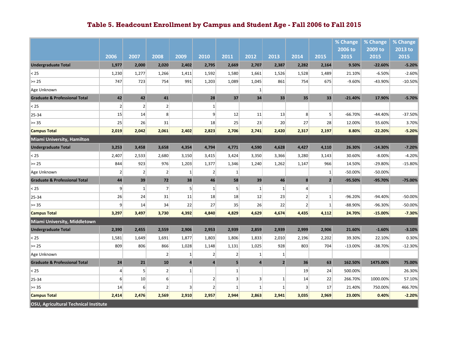|                                          |                |                |                |                |                |                |                 |                |                |                | % Change        | % Change        | % Change        |
|------------------------------------------|----------------|----------------|----------------|----------------|----------------|----------------|-----------------|----------------|----------------|----------------|-----------------|-----------------|-----------------|
|                                          | 2006           | 2007           | 2008           | 2009           | 2010           | 2011           | 2012            | 2013           | 2014           | 2015           | 2006 to<br>2015 | 2009 to<br>2015 | 2013 to<br>2015 |
| <b>Undergraduate Total</b>               | 1,977          | 2,000          | 2,020          | 2,402          | 2,795          | 2,669          | 2,707           | 2,387          | 2,282          | 2,164          | 9.50%           | $-22.60%$       | $-5.20%$        |
| < 25                                     | 1,230          | 1,277          | 1,266          | 1,411          | 1,592          | 1,580          | 1,661           | 1,526          | 1,528          | 1,489          | 21.10%          | $-6.50%$        | $-2.60%$        |
| $>= 25$                                  | 747            | 723            | 754            | 991            | 1,203          | 1,089          | 1,045           | 861            | 754            | 675            | $-9.60%$        | -43.90%         | $-10.50%$       |
| Age Unknown                              |                |                |                |                |                |                | $1\overline{ }$ |                |                |                |                 |                 |                 |
| <b>Graduate &amp; Professional Total</b> | 42             | 42             | ${\bf 41}$     |                | 28             | 37             | 34              | 33             | 35             | 33             | $-21.40%$       | 17.90%          | $-5.70%$        |
| < 25                                     | $\overline{2}$ | $\overline{2}$ | $\overline{2}$ |                | $1\,$          |                |                 |                |                |                |                 |                 |                 |
| 25-34                                    | 15             | 14             | 8              |                | 9 <sup>1</sup> | 12             | 11              | 13             | 8 <sup>°</sup> | 5 <sup>1</sup> | $-66.70%$       | $-44.40%$       | $-37.50%$       |
| $>= 35$                                  | 25             | 26             | 31             |                | 18             | 25             | 23              | 20             | 27             | 28             | 12.00%          | 55.60%          | 3.70%           |
| <b>Campus Total</b>                      | 2,019          | 2,042          | 2,061          | 2,402          | 2,823          | 2,706          | 2,741           | 2,420          | 2,317          | 2,197          | 8.80%           | $-22.20%$       | $-5.20%$        |
| Miami University, Hamilton               |                |                |                |                |                |                |                 |                |                |                |                 |                 |                 |
| <b>Undergraduate Total</b>               | 3,253          | 3,458          | 3,658          | 4,354          | 4,794          | 4,771          | 4,590           | 4,628          | 4,427          | 4,110          | 26.30%          | $-14.30%$       | $-7.20%$        |
| < 25                                     | 2,407          | 2,533          | 2,680          | 3,150          | 3,415          | 3,424          | 3,350           | 3,366          | 3,280          | 3,143          | 30.60%          | $-8.00%$        | $-4.20%$        |
| $>= 25$                                  | 844            | 923            | 976            | 1,203          | 1,377          | 1,346          | 1,240           | 1,262          | 1,147          | 966            | 14.50%          | $-29.80%$       | $-15.80%$       |
| Age Unknown                              | $\overline{2}$ | $\overline{2}$ | $\overline{2}$ | $1\vert$       | $\overline{2}$ | $1\vert$       |                 |                |                | $1\,$          | $-50.00%$       | $-50.00%$       |                 |
| <b>Graduate &amp; Professional Total</b> | 44             | 39             | 72             | 38             | 46             | 58             | 39              | 46             | 8              | $\overline{2}$ | $-95.50%$       | $-95.70%$       | $-75.00%$       |
| < 25                                     | $\mathsf{g}$   | $\mathbf{1}$   | 7              | 5 <sup>1</sup> | $\mathbf{1}$   | 5 <sup>1</sup> | $1\vert$        | $\mathbf{1}$   | $\overline{4}$ |                |                 |                 |                 |
| 25-34                                    | 26             | 24             | 31             | 11             | 18             | 18             | 12              | 23             | 2 <sup>2</sup> | $\mathbf{1}$   | $-96.20%$       | $-94.40%$       | $-50.00%$       |
| $>= 35$                                  | $\overline{9}$ | 14             | 34             | 22             | 27             | 35             | 26              | 22             | $\overline{2}$ | $\mathbf{1}$   | $-88.90%$       | -96.30%         | $-50.00%$       |
| <b>Campus Total</b>                      | 3,297          | 3,497          | 3,730          | 4,392          | 4,840          | 4,829          | 4,629           | 4,674          | 4,435          | 4,112          | 24.70%          | $-15.00%$       | $-7.30%$        |
| Miami University, Middletown             |                |                |                |                |                |                |                 |                |                |                |                 |                 |                 |
| <b>Undergraduate Total</b>               | 2,390          | 2,455          | 2,559          | 2,906          | 2,953          | 2,939          | 2,859           | 2,939          | 2,999          | 2,906          | 21.60%          | $-1.60%$        | $-3.10%$        |
| < 25                                     | 1,581          | 1,649          | 1,691          | 1,877          | 1,803          | 1,806          | 1,833           | 2,010          | 2,196          | 2,202          | 39.30%          | 22.10%          | 0.30%           |
| $>= 25$                                  | 809            | 806            | 866            | 1,028          | 1,148          | 1,131          | 1,025           | 928            | 803            | 704            | $-13.00%$       | $-38.70%$       | $-12.30%$       |
| Age Unknown                              |                |                | $\overline{2}$ | $\mathbf{1}$   | $\overline{2}$ | $\overline{2}$ | $\mathbf{1}$    | $\mathbf{1}$   |                |                |                 |                 |                 |
| <b>Graduate &amp; Professional Total</b> | 24             | 21             | 10             | $\overline{4}$ | $\overline{a}$ | $\overline{5}$ | $\overline{a}$  | $\overline{2}$ | 36             | 63             | 162.50%         | 1475.00%        | 75.00%          |
| < 25                                     | $\overline{4}$ | 5 <sup>1</sup> | $\overline{2}$ | $1\vert$       |                | $1\vert$       |                 |                | 19             | 24             | 500.00%         |                 | 26.30%          |
| 25-34                                    | 6 <sup>1</sup> | 10             | $6 \mid$       |                | 2              | $\overline{3}$ | $\vert 3 \vert$ | $\mathbf{1}$   | 14             | 22             | 266.70%         | 1000.00%        | 57.10%          |
| $>= 35$                                  | 14             | $6 \mid$       | $\overline{2}$ | 3              | $\overline{2}$ | $\mathbf{1}$   | $1\vert$        | $\mathbf{1}$   | $\vert$ 3      | 17             | 21.40%          | 750.00%         | 466.70%         |
| <b>Campus Total</b>                      | 2,414          | 2,476          | 2,569          | 2,910          | 2,957          | 2,944          | 2,863           | 2,941          | 3,035          | 2,969          | 23.00%          | 0.40%           | $-2.20%$        |
| OSU, Agricultural Technical Institute    |                |                |                |                |                |                |                 |                |                |                |                 |                 |                 |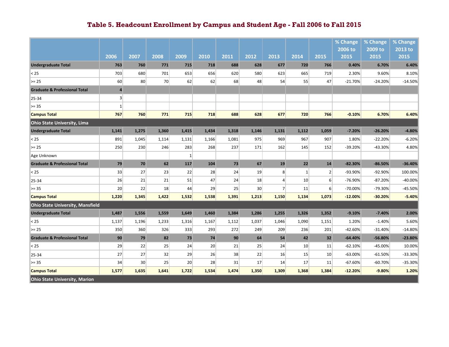|                                          |                         |       |       |              |       |       |                 |                |                 |                | % Change  | % Change  | % Change  |
|------------------------------------------|-------------------------|-------|-------|--------------|-------|-------|-----------------|----------------|-----------------|----------------|-----------|-----------|-----------|
|                                          |                         |       |       |              |       |       |                 |                |                 |                | 2006 to   | 2009 to   | 2013 to   |
|                                          | 2006                    | 2007  | 2008  | 2009         | 2010  | 2011  | 2012            | 2013           | 2014            | 2015           | 2015      | 2015      | 2015      |
| <b>Undergraduate Total</b>               | 763                     | 760   | 771   | 715          | 718   | 688   | 628             | 677            | 720             | 766            | 0.40%     | 6.70%     | 6.40%     |
| $25$                                     | 703                     | 680   | 701   | 653          | 656   | 620   | 580             | 623            | 665             | 719            | 2.30%     | 9.60%     | 8.10%     |
| $>= 25$                                  | 60                      | 80    | 70    | 62           | 62    | 68    | 48              | 54             | 55              | 47             | $-21.70%$ | $-24.20%$ | $-14.50%$ |
| <b>Graduate &amp; Professional Total</b> | $\overline{\mathbf{4}}$ |       |       |              |       |       |                 |                |                 |                |           |           |           |
| 25-34                                    | $\overline{\mathbf{3}}$ |       |       |              |       |       |                 |                |                 |                |           |           |           |
| $>= 35$                                  | $1\,$                   |       |       |              |       |       |                 |                |                 |                |           |           |           |
| <b>Campus Total</b>                      | 767                     | 760   | 771   | 715          | 718   | 688   | 628             | 677            | 720             | 766            | $-0.10%$  | 6.70%     | 6.40%     |
| <b>Ohio State University, Lima</b>       |                         |       |       |              |       |       |                 |                |                 |                |           |           |           |
| <b>Undergraduate Total</b>               | 1,141                   | 1,275 | 1,360 | 1,415        | 1,434 | 1,318 | 1,146           | 1,131          | 1,112           | 1,059          | $-7.20%$  | $-26.20%$ | $-4.80%$  |
| < 25                                     | 891                     | 1,045 | 1,114 | 1,131        | 1,166 | 1,081 | 975             | 969            | 967             | 907            | 1.80%     | $-22.20%$ | $-6.20%$  |
| $>= 25$                                  | 250                     | 230   | 246   | 283          | 268   | 237   | 171             | 162            | 145             | 152            | -39.20%   | $-43.30%$ | 4.80%     |
| Age Unknown                              |                         |       |       | $\mathbf{1}$ |       |       |                 |                |                 |                |           |           |           |
| <b>Graduate &amp; Professional Total</b> | 79                      | 70    | 62    | 117          | 104   | 73    | 67              | 19             | 22              | 14             | $-82.30%$ | $-86.50%$ | $-36.40%$ |
| < 25                                     | 33                      | 27    | 23    | 22           | 28    | 24    | 19              | 8              | $\mathbf{1}$    | $\overline{2}$ | -93.90%   | $-92.90%$ | 100.00%   |
| 25-34                                    | 26                      | 21    | 21    | 51           | 47    | 24    | 18              | $\overline{4}$ | 10 <sup>1</sup> | 6              | -76.90%   | $-87.20%$ | $-40.00%$ |
| $>= 35$                                  | 20                      | 22    | 18    | 44           | 29    | 25    | 30 <sup>°</sup> | $\overline{7}$ | 11              | 6              | $-70.00%$ | -79.30%   | $-45.50%$ |
| <b>Campus Total</b>                      | 1,220                   | 1,345 | 1,422 | 1,532        | 1,538 | 1,391 | 1,213           | 1,150          | 1,134           | 1,073          | $-12.00%$ | $-30.20%$ | $-5.40%$  |
| <b>Ohio State University, Mansfield</b>  |                         |       |       |              |       |       |                 |                |                 |                |           |           |           |
| <b>Undergraduate Total</b>               | 1,487                   | 1,556 | 1,559 | 1,649        | 1,460 | 1,384 | 1,286           | 1,255          | 1,326           | 1,352          | $-9.10%$  | $-7.40%$  | 2.00%     |
| $25$                                     | 1,137                   | 1,196 | 1,233 | 1,316        | 1,167 | 1,112 | 1,037           | 1,046          | 1,090           | 1,151          | 1.20%     | $-1.40%$  | 5.60%     |
| $>= 25$                                  | 350                     | 360   | 326   | 333          | 293   | 272   | 249             | 209            | 236             | 201            | $-42.60%$ | $-31.40%$ | $-14.80%$ |
| <b>Graduate &amp; Professional Total</b> | 90                      | 79    | 82    | 73           | 74    | 90    | 64              | 54             | 42              | 32             | $-64.40%$ | $-56.80%$ | $-23.80%$ |
| $25$                                     | 29                      | 22    | 25    | 24           | 20    | 21    | 25              | 24             | 10 <sup>1</sup> | 11             | $-62.10%$ | $-45.00%$ | 10.00%    |
| 25-34                                    | 27                      | 27    | 32    | 29           | 26    | 38    | 22              | 16             | 15              | 10             | $-63.00%$ | $-61.50%$ | -33.30%   |
| $>= 35$                                  | 34                      | 30    | 25    | 20           | 28    | 31    | 17              | 14             | 17              | 11             | $-67.60%$ | $-60.70%$ | $-35.30%$ |
| <b>Campus Total</b>                      | 1,577                   | 1,635 | 1,641 | 1,722        | 1,534 | 1,474 | 1,350           | 1,309          | 1,368           | 1,384          | $-12.20%$ | $-9.80%$  | 1.20%     |
| <b>Ohio State University, Marion</b>     |                         |       |       |              |       |       |                 |                |                 |                |           |           |           |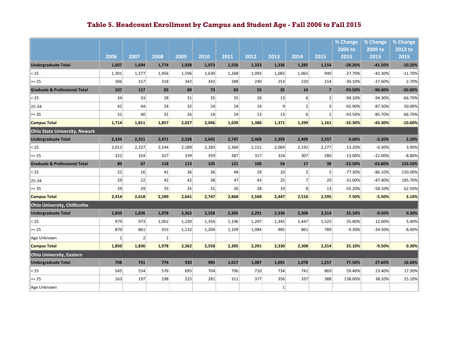|                                          |              |                |              |       |       |       |       |                |                  |                | % Change   | % Change  | % Change  |
|------------------------------------------|--------------|----------------|--------------|-------|-------|-------|-------|----------------|------------------|----------------|------------|-----------|-----------|
|                                          |              |                |              |       |       |       |       |                |                  |                | 2006 to    | 2009 to   | 2013 to   |
|                                          | 2006         | 2007           | 2008         | 2009  | 2010  | 2011  | 2012  | 2013           | 2014             | 2015           | 2015       | 2015      | 2015      |
| <b>Undergraduate Total</b>               | 1,607        | 1,694          | 1,774        | 1,938 | 1,973 | 1,556 | 1,333 | 1,336          | 1,285            | 1,154          | $-28.20%$  | $-41.50%$ | $-10.20%$ |
| < 25                                     | 1,301        | 1,377          | 1,456        | 1,596 | 1,630 | 1,268 | 1,093 | 1,083          | 1,065            | 940            | $-27.70%$  | $-42.30%$ | $-11.70%$ |
| $>= 25$                                  | 306          | 317            | 318          | 342   | 343   | 288   | 240   | 253            | 220              | 214            | $-30.10%$  | $-37.60%$ | $-2.70%$  |
| <b>Graduate &amp; Professional Total</b> | 107          | 117            | 83           | 89    | 73    | 83    | 53    | 35             | 14               | $\overline{7}$ | $-93.50%$  | $-90.40%$ | $-50.00%$ |
| < 25                                     | 34           | 33             | 28           | 31    | 35    | 35    | 26    | 13             | 6                | 2 <sup>1</sup> | $-94.10%$  | $-94.30%$ | $-66.70%$ |
| 25-34                                    | 42           | 44             | 24           | 32    | 24    | 24    | 14    | $\overline{9}$ | 2 <sup>2</sup>   | $\overline{3}$ | $-92.90%$  | $-87.50%$ | 50.00%    |
| $>= 35$                                  | 31           | 40             | 31           | 26    | 14    | 24    | 13    | 13             | $6 \overline{6}$ | $\overline{2}$ | $-93.50%$  | $-85.70%$ | $-66.70%$ |
| <b>Campus Total</b>                      | 1,714        | 1,811          | 1,857        | 2,027 | 2,046 | 1,639 | 1,386 | 1,371          | 1,299            | 1,161          | $-32.30%$  | $-43.30%$ | $-10.60%$ |
| <b>Ohio State University, Newark</b>     |              |                |              |       |       |       |       |                |                  |                |            |           |           |
| <b>Undergraduate Total</b>               | 2,334        | 2,551          | 2,471        | 2,528 | 2,642 | 2,747 | 2,468 | 2,393          | 2,499            | 2,557          | 9.60%      | $-3.20%$  | 2.30%     |
| < 25                                     | 2,012        | 2,227          | 2,144        | 2,189 | 2,283 | 2,360 | 2,151 | 2,069          | 2,192            | 2,277          | 13.20%     | $-0.30%$  | 3.90%     |
| $>= 25$                                  | 322          | 324            | 327          | 339   | 359   | 387   | 317   | 324            | 307              | 280            | $-13.00\%$ | $-22.00%$ | $-8.80%$  |
| <b>Graduate &amp; Professional Total</b> | 80           | 67             | 118          | 113   | 105   | 121   | 100   | 54             | 17               | 38             | $-52.50%$  | $-63.80%$ | 123.50%   |
| < 25                                     | 22           | 16             | 41           | 36    | 36    | 48    | 29    | 10             | 2                | 5 <sup>1</sup> | $-77.30%$  | $-86.10%$ | 150.00%   |
| 25-34                                    | 29           | 22             | 42           | 42    | 38    | 47    | 43    | 25             | $\overline{7}$   | 20             | $-31.00%$  | $-47.40%$ | 185.70%   |
| $>= 35$                                  | 29           | 29             | 35           | 35    | 31    | 26    | 28    | 19             | 8 <sup>1</sup>   | 13             | $-55.20%$  | $-58.10%$ | 62.50%    |
| <b>Campus Total</b>                      | 2,414        | 2,618          | 2,589        | 2,641 | 2,747 | 2,868 | 2,568 | 2,447          | 2,516            | 2,595          | 7.50%      | -5.50%    | 3.10%     |
| <b>Ohio University, Chillicothe</b>      |              |                |              |       |       |       |       |                |                  |                |            |           |           |
| <b>Undergraduate Total</b>               | 1,850        | 1,836          | 1,978        | 2,362 | 2,558 | 2,305 | 2,291 | 2,330          | 2,308            | 2,314          | 25.10%     | $-9.50%$  | 0.30%     |
| < 25                                     | 979          | 973            | 1,062        | 1,230 | 1,354 | 1,196 | 1,207 | 1,345          | 1,447            | 1,525          | 55.80%     | 12.60%    | 5.40%     |
| $>= 25$                                  | 870          | 861            | 915          | 1,132 | 1,204 | 1,109 | 1,084 | 985            | 861              | 789            | $-9.30%$   | $-34.50%$ | $-8.40%$  |
| Age Unknown                              | $\mathbf{1}$ | $\overline{2}$ | $\mathbf{1}$ |       |       |       |       |                |                  |                |            |           |           |
| <b>Campus Total</b>                      | 1,850        | 1,836          | 1,978        | 2,362 | 2,558 | 2,305 | 2,291 | 2,330          | 2,308            | 2,314          | 25.10%     | $-9.50%$  | 0.30%     |
| <b>Ohio University, Eastern</b>          |              |                |              |       |       |       |       |                |                  |                |            |           |           |
| <b>Undergraduate Total</b>               | 708          | 751            | 774          | 920   | 985   | 1,017 | 1,087 | 1,091          | 1,078            | 1,257          | 77.50%     | 27.60%    | 16.60%    |
| < 25                                     | 545          | 554            | 576          | 695   | 704   | 706   | 710   | 734            | 741              | 869            | 59.40%     | 23.40%    | 17.30%    |
| $>= 25$                                  | 163          | 197            | 198          | 225   | 281   | 311   | 377   | 356            | 337              | 388            | 138.00%    | 38.10%    | 15.10%    |
| Age Unknown                              |              |                |              |       |       |       |       | $\mathbf{1}$   |                  |                |            |           |           |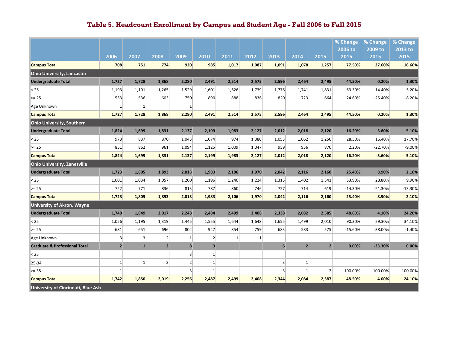|                                           |                |                |                |                |                         |       |       |                 |              |                | % Change  | % Change  | % Change  |
|-------------------------------------------|----------------|----------------|----------------|----------------|-------------------------|-------|-------|-----------------|--------------|----------------|-----------|-----------|-----------|
|                                           |                |                |                |                |                         |       |       |                 |              |                | 2006 to   | 2009 to   | 2013 to   |
|                                           | 2006           | 2007           | 2008           | 2009           | 2010                    | 2011  | 2012  | 2013            | 2014         | 2015           | 2015      | 2015      | 2015      |
| <b>Campus Total</b>                       | 708            | 751            | 774            | 920            | 985                     | 1,017 | 1,087 | 1,091           | 1,078        | 1,257          | 77.50%    | 27.60%    | 16.60%    |
| <b>Ohio University, Lancaster</b>         |                |                |                |                |                         |       |       |                 |              |                |           |           |           |
| <b>Undergraduate Total</b>                | 1,727          | 1,728          | 1,868          | 2,280          | 2,491                   | 2,514 | 2,575 | 2,596           | 2,464        | 2,495          | 44.50%    | 0.20%     | 1.30%     |
| < 25                                      | 1,193          | 1,191          | 1,265          | 1,529          | 1,601                   | 1,626 | 1,739 | 1,776           | 1,741        | 1,831          | 53.50%    | 14.40%    | 5.20%     |
| $>= 25$                                   | 533            | 536            | 603            | 750            | 890                     | 888   | 836   | 820             | 723          | 664            | 24.60%    | $-25.40%$ | $-8.20%$  |
| Age Unknown                               | $\mathbf{1}$   | $\mathbf{1}$   |                | $\mathbf{1}$   |                         |       |       |                 |              |                |           |           |           |
| <b>Campus Total</b>                       | 1,727          | 1,728          | 1,868          | 2,280          | 2,491                   | 2,514 | 2,575 | 2,596           | 2,464        | 2,495          | 44.50%    | 0.20%     | 1.30%     |
| <b>Ohio University, Southern</b>          |                |                |                |                |                         |       |       |                 |              |                |           |           |           |
| <b>Undergraduate Total</b>                | 1,824          | 1,699          | 1,831          | 2,137          | 2,199                   | 1,983 | 2,127 | 2,012           | 2,018        | 2,120          | 16.20%    | $-3.60%$  | 5.10%     |
| < 25                                      | 973            | 837            | 870            | 1,043          | 1,074                   | 974   | 1,080 | 1,053           | 1,062        | 1,250          | 28.50%    | 16.40%    | 17.70%    |
| $>= 25$                                   | 851            | 862            | 961            | 1,094          | 1,125                   | 1,009 | 1,047 | 959             | 956          | 870            | 2.20%     | $-22.70%$ | $-9.00%$  |
| <b>Campus Total</b>                       | 1,824          | 1,699          | 1,831          | 2,137          | 2,199                   | 1,983 | 2,127 | 2,012           | 2,018        | 2,120          | 16.20%    | $-3.60%$  | 5.10%     |
| <b>Ohio University, Zanesville</b>        |                |                |                |                |                         |       |       |                 |              |                |           |           |           |
| <b>Undergraduate Total</b>                | 1,723          | 1,805          | 1,893          | 2,013          | 1,983                   | 2,106 | 1,970 | 2,042           | 2,116        | 2,160          | 25.40%    | 8.90%     | 2.10%     |
| < 25                                      | 1,001          | 1,034          | 1,057          | 1,200          | 1,196                   | 1,246 | 1,224 | 1,315           | 1,402        | 1,541          | 53.90%    | 28.80%    | 9.90%     |
| $>= 25$                                   | 722            | 771            | 836            | 813            | 787                     | 860   | 746   | 727             | 714          | 619            | $-14.30%$ | $-21.30%$ | $-13.30%$ |
| <b>Campus Total</b>                       | 1,723          | 1,805          | 1,893          | 2,013          | 1,983                   | 2,106 | 1,970 | 2,042           | 2,116        | 2,160          | 25.40%    | 8.90%     | 2.10%     |
| <b>University of Akron, Wayne</b>         |                |                |                |                |                         |       |       |                 |              |                |           |           |           |
| <b>Undergraduate Total</b>                | 1,740          | 1,849          | 2,017          | 2,248          | 2,484                   | 2,499 | 2,408 | 2,338           | 2,082        | 2,585          | 48.60%    | 4.10%     | 24.20%    |
| < 25                                      | 1,056          | 1,195          | 1,319          | 1,445          | 1,555                   | 1,644 | 1,648 | 1,655           | 1,499        | 2,010          | 90.30%    | 29.30%    | 34.10%    |
| $>= 25$                                   | 681            | 651            | 696            | 802            | 927                     | 854   | 759   | 683             | 583          | 575            | $-15.60%$ | -38.00%   | $-1.40%$  |
| Age Unknown                               | $\overline{3}$ | $\overline{3}$ | 2 <sup>1</sup> | $\mathbf{1}$   | 2 <sup>2</sup>          | 1     | 1     |                 |              |                |           |           |           |
| <b>Graduate &amp; Professional Total</b>  | $\overline{2}$ | $\mathbf{1}$   | 2 <sub>1</sub> | 8              | $\overline{\mathbf{3}}$ |       |       | $6\phantom{1}6$ | $\mathbf{2}$ | $\overline{2}$ | 0.00%     | $-33.30%$ | 0.00%     |
| < 25                                      |                |                |                | $\overline{3}$ | $1\vert$                |       |       |                 |              |                |           |           |           |
| 25-34                                     | 1              | $\mathbf{1}$   | $\overline{2}$ | $\overline{2}$ | $1\vert$                |       |       | $\overline{3}$  | $\mathbf{1}$ |                |           |           |           |
| $>= 35$                                   | $\mathbf{1}$   |                |                | $\overline{3}$ | $1\vert$                |       |       | $\overline{3}$  | $\mathbf{1}$ | $\overline{2}$ | 100.00%   | 100.00%   | 100.00%   |
| <b>Campus Total</b>                       | 1,742          | 1,850          | 2,019          | 2,256          | 2,487                   | 2,499 | 2,408 | 2,344           | 2,084        | 2,587          | 48.50%    | 4.00%     | 24.10%    |
| <b>University of Cincinnati, Blue Ash</b> |                |                |                |                |                         |       |       |                 |              |                |           |           |           |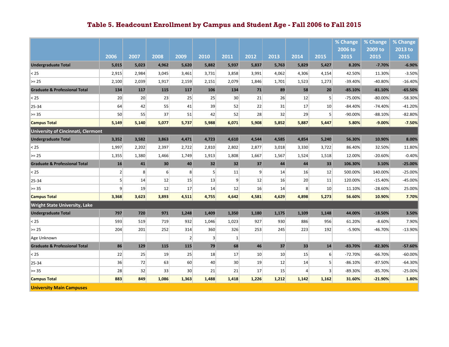|                                          |                |                   |                 |                |                |                 |                 |       |                 |                 | % Change  | % Change  | % Change  |
|------------------------------------------|----------------|-------------------|-----------------|----------------|----------------|-----------------|-----------------|-------|-----------------|-----------------|-----------|-----------|-----------|
|                                          |                |                   |                 |                |                |                 |                 |       |                 |                 | 2006 to   | 2009 to   | 2013 to   |
|                                          | 2006           | 2007              | 2008            | 2009           | 2010           | 2011            | 2012            | 2013  | 2014            | 2015            | 2015      | 2015      | 2015      |
| <b>Undergraduate Total</b>               | 5,015          | 5,023             | 4,962           | 5,620          | 5,882          | 5,937           | 5,837           | 5,763 | 5,829           | 5,427           | 8.20%     | $-7.70%$  | $-6.90%$  |
| < 25                                     | 2,915          | 2,984             | 3,045           | 3,461          | 3,731          | 3,858           | 3,991           | 4,062 | 4,306           | 4,154           | 42.50%    | 11.30%    | $-3.50%$  |
| $>= 25$                                  | 2,100          | 2,039             | 1,917           | 2,159          | 2,151          | 2,079           | 1,846           | 1,701 | 1,523           | 1,273           | $-39.40%$ | $-40.80%$ | $-16.40%$ |
| <b>Graduate &amp; Professional Total</b> | 134            | 117               | 115             | 117            | 106            | 134             | 71              | 89    | 58              | 20              | $-85.10%$ | $-81.10%$ | $-65.50%$ |
| < 25                                     | 20             | 20 <sup>1</sup>   | 23              | 25             | 25             | 30 <sup>°</sup> | 21              | 26    | 12              | $\vert$         | $-75.00%$ | $-80.00%$ | $-58.30%$ |
| 25-34                                    | 64             | 42                | 55              | 41             | 39             | 52              | 22              | 31    | 17              | 10 <sup>1</sup> | $-84.40%$ | $-74.40%$ | $-41.20%$ |
| $>= 35$                                  | 50             | 55                | 37              | 51             | 42             | 52              | 28              | 32    | 29              | 5 <sup>1</sup>  | $-90.00%$ | $-88.10%$ | $-82.80%$ |
| <b>Campus Total</b>                      | 5,149          | 5,140             | 5,077           | 5,737          | 5,988          | 6,071           | 5,908           | 5,852 | 5,887           | 5,447           | 5.80%     | $-9.00%$  | $-7.50%$  |
| University of Cincinnati, Clermont       |                |                   |                 |                |                |                 |                 |       |                 |                 |           |           |           |
| <b>Undergraduate Total</b>               | 3,352          | 3,582             | 3,863           | 4,471          | 4,723          | 4,610           | 4,544           | 4,585 | 4,854           | 5,240           | 56.30%    | 10.90%    | 8.00%     |
| < 25                                     | 1,997          | 2,202             | 2,397           | 2,722          | 2,810          | 2,802           | 2,877           | 3,018 | 3,330           | 3,722           | 86.40%    | 32.50%    | 11.80%    |
| $>= 25$                                  | 1,355          | 1,380             | 1,466           | 1,749          | 1,913          | 1,808           | 1,667           | 1,567 | 1,524           | 1,518           | 12.00%    | $-20.60%$ | $-0.40%$  |
| <b>Graduate &amp; Professional Total</b> | 16             | 41                | 30 <sub>2</sub> | 40             | 32             | 32              | 37              | 44    | 44              | 33              | 106.30%   | 3.10%     | $-25.00%$ |
| $25$                                     | $\overline{2}$ | $\lvert 8 \rvert$ | 6 <sup>1</sup>  | 8 <sup>1</sup> | $\overline{5}$ | 11              | $\mathfrak{g}$  | 14    | 16              | 12              | 500.00%   | 140.00%   | $-25.00%$ |
| 25-34                                    | 5 <sup>1</sup> | 14                | 12              | 15             | 13             | $\overline{9}$  | 12              | 16    | 20 <sup>1</sup> | 11              | 120.00%   | $-15.40%$ | $-45.00%$ |
| $>= 35$                                  | $\mathsf{g}$   | 19                | 12              | 17             | 14             | 12              | 16              | 14    | 8 <sup>1</sup>  | 10 <sup>1</sup> | 11.10%    | $-28.60%$ | 25.00%    |
| <b>Campus Total</b>                      | 3,368          | 3,623             | 3,893           | 4,511          | 4,755          | 4,642           | 4,581           | 4,629 | 4,898           | 5,273           | 56.60%    | 10.90%    | 7.70%     |
| <b>Wright State University, Lake</b>     |                |                   |                 |                |                |                 |                 |       |                 |                 |           |           |           |
| <b>Undergraduate Total</b>               | 797            | 720               | 971             | 1,248          | 1,409          | 1,350           | 1,180           | 1,175 | 1,109           | 1,148           | 44.00%    | $-18.50%$ | 3.50%     |
| < 25                                     | 593            | 519               | 719             | 932            | 1,046          | 1,023           | 927             | 930   | 886             | 956             | 61.20%    | $-8.60%$  | 7.90%     |
| $>= 25$                                  | 204            | 201               | 252             | 314            | 360            | 326             | 253             | 245   | 223             | 192             | $-5.90%$  | $-46.70%$ | $-13.90%$ |
| Age Unknown                              |                |                   |                 | $\overline{2}$ | $\vert$ 3      | 1               |                 |       |                 |                 |           |           |           |
| <b>Graduate &amp; Professional Total</b> | 86             | 129               | 115             | 115            | 79             | 68              | 46              | 37    | 33              | 14              | $-83.70%$ | $-82.30%$ | $-57.60%$ |
| < 25                                     | 22             | 25                | 19              | 25             | 18             | 17              | 10 <sup>1</sup> | 10    | 15              | $6 \mid$        | $-72.70%$ | $-66.70%$ | $-60.00%$ |
| 25-34                                    | 36             | 72                | 63              | 60             | 40             | 30              | 19              | 12    | 14              | 5 <sup>1</sup>  | $-86.10%$ | $-87.50%$ | $-64.30%$ |
| $>= 35$                                  | 28             | 32                | 33              | 30             | 21             | 21              | 17              | 15    | $\overline{4}$  | 3               | $-89.30%$ | $-85.70%$ | $-25.00%$ |
| <b>Campus Total</b>                      | 883            | 849               | 1,086           | 1,363          | 1,488          | 1,418           | 1,226           | 1,212 | 1,142           | 1,162           | 31.60%    | $-21.90%$ | 1.80%     |
| <b>University Main Campuses</b>          |                |                   |                 |                |                |                 |                 |       |                 |                 |           |           |           |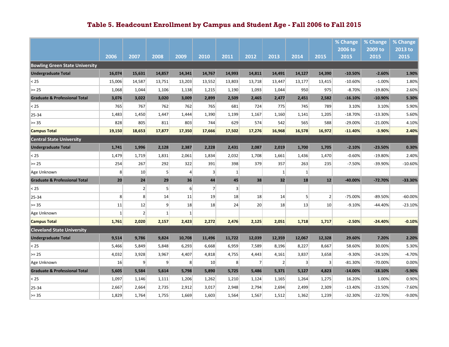|                                          |                |                |                |                  |                |                |                |                |                |                 | % Change  | % Change  | % Change  |
|------------------------------------------|----------------|----------------|----------------|------------------|----------------|----------------|----------------|----------------|----------------|-----------------|-----------|-----------|-----------|
|                                          |                |                |                |                  |                |                |                |                |                |                 | 2006 to   | 2009 to   | 2013 to   |
|                                          | 2006           | 2007           | 2008           | 2009             | 2010           | 2011           | 2012           | 2013           | 2014           | 2015            | 2015      | 2015      | 2015      |
| <b>Bowling Green State University</b>    |                |                |                |                  |                |                |                |                |                |                 |           |           |           |
| <b>Undergraduate Total</b>               | 16,074         | 15,631         | 14,857         | 14,341           | 14,767         | 14,993         | 14,811         | 14,491         | 14,127         | 14,390          | $-10.50%$ | $-2.60%$  | 1.90%     |
| < 25                                     | 15,006         | 14,587         | 13,751         | 13,203           | 13,552         | 13,803         | 13,718         | 13,447         | 13,177         | 13,415          | $-10.60%$ | $-1.00%$  | 1.80%     |
| $>= 25$                                  | 1,068          | 1,044          | 1,106          | 1,138            | 1,215          | 1,190          | 1,093          | 1,044          | 950            | 975             | $-8.70%$  | $-19.80%$ | 2.60%     |
| <b>Graduate &amp; Professional Total</b> | 3,076          | 3,022          | 3,020          | 3,009            | 2,899          | 2,509          | 2,465          | 2,477          | 2,451          | 2,582           | $-16.10%$ | $-10.90%$ | 5.30%     |
| < 25                                     | 765            | 767            | 762            | 762              | 765            | 681            | 724            | 775            | 745            | 789             | 3.10%     | 3.10%     | 5.90%     |
| 25-34                                    | 1,483          | 1,450          | 1,447          | 1,444            | 1,390          | 1,199          | 1,167          | 1,160          | 1,141          | 1,205           | $-18.70%$ | $-13.30%$ | 5.60%     |
| $>= 35$                                  | 828            | 805            | 811            | 803              | 744            | 629            | 574            | 542            | 565            | 588             | $-29.00%$ | $-21.00%$ | 4.10%     |
| <b>Campus Total</b>                      | 19,150         | 18,653         | 17,877         | 17,350           | 17,666         | 17,502         | 17,276         | 16,968         | 16,578         | 16,972          | $-11.40%$ | $-3.90%$  | 2.40%     |
| <b>Central State University</b>          |                |                |                |                  |                |                |                |                |                |                 |           |           |           |
| <b>Undergraduate Total</b>               | 1,741          | 1,996          | 2,128          | 2,387            | 2,228          | 2,431          | 2,087          | 2,019          | 1,700          | 1,705           | $-2.10%$  | $-23.50%$ | 0.30%     |
| < 25                                     | 1,479          | 1,719          | 1,831          | 2,061            | 1,834          | 2,032          | 1,708          | 1,661          | 1,436          | 1,470           | $-0.60%$  | $-19.80%$ | 2.40%     |
| $>= 25$                                  | 254            | 267            | 292            | 322              | 391            | 398            | 379            | 357            | 263            | 235             | $-7.50%$  | -39.90%   | $-10.60%$ |
| Age Unknown                              | 8              | 10             | 5 <sup>1</sup> | $\overline{4}$   | 3              | 1              |                | $\mathbf{1}$   | $\mathbf{1}$   |                 |           |           |           |
| <b>Graduate &amp; Professional Total</b> | 20             | 24             | 29             | 36               | 44             | 45             | 38             | 32             | 18             | $12$            | $-40.00%$ | $-72.70%$ | -33.30%   |
| < 25                                     |                | $\overline{2}$ | 5 <sup>2</sup> | $6 \overline{6}$ | $\overline{7}$ | $\overline{3}$ |                |                |                |                 |           |           |           |
| 25-34                                    | 8 <sup>1</sup> | 8 <sup>1</sup> | 14             | 11               | 19             | 18             | 18             | 14             | 5              | $\overline{2}$  | $-75.00%$ | $-89.50%$ | $-60.00%$ |
| $>= 35$                                  | 11             | 12             | $\overline{9}$ | 18               | 18             | 24             | 20             | 18             | 13             | 10 <sup>1</sup> | $-9.10%$  | $-44.40%$ | $-23.10%$ |
| Age Unknown                              | $1\,$          | $\overline{2}$ | $\mathbf{1}$   | $\mathbf{1}$     |                |                |                |                |                |                 |           |           |           |
| <b>Campus Total</b>                      | 1,761          | 2,020          | 2,157          | 2,423            | 2,272          | 2,476          | 2,125          | 2,051          | 1,718          | 1,717           | $-2.50%$  | $-24.40%$ | $-0.10%$  |
| <b>Cleveland State University</b>        |                |                |                |                  |                |                |                |                |                |                 |           |           |           |
| <b>Undergraduate Total</b>               | 9,514          | 9,786          | 9,824          | 10,708           | 11,496         | 11,722         | 12,039         | 12,359         | 12,067         | 12,328          | 29.60%    | 7.20%     | 2.20%     |
| < 25                                     | 5,466          | 5,849          | 5,848          | 6,293            | 6,668          | 6,959          | 7,589          | 8,196          | 8,227          | 8,667           | 58.60%    | 30.00%    | 5.30%     |
| $>= 25$                                  | 4,032          | 3,928          | 3,967          | 4,407            | 4,818          | 4,755          | 4,443          | 4,161          | 3,837          | 3,658           | $-9.30%$  | $-24.10%$ | $-4.70%$  |
| Age Unknown                              | 16             | $\overline{9}$ | $\overline{9}$ | 8                | 10             | 8              | 7 <sup>1</sup> | $\overline{2}$ | $\overline{3}$ | $\vert$ 3       | $-81.30%$ | -70.00%   | 0.00%     |
| <b>Graduate &amp; Professional Total</b> | 5,605          | 5,584          | 5,614          | 5,798            | 5,890          | 5,725          | 5,486          | 5,371          | 5,127          | 4,823           | $-14.00%$ | $-18.10%$ | $-5.90%$  |
| < 25                                     | 1,097          | 1,146          | 1,111          | 1,206            | 1,262          | 1,210          | 1,124          | 1,165          | 1,264          | 1,275           | 16.20%    | 1.00%     | 0.90%     |
| 25-34                                    | 2,667          | 2,664          | 2,735          | 2,912            | 3,017          | 2,948          | 2,794          | 2,694          | 2,499          | 2,309           | $-13.40%$ | $-23.50%$ | $-7.60%$  |
| $>= 35$                                  | 1,829          | 1,764          | 1,755          | 1,669            | 1,603          | 1,564          | 1,567          | 1,512          | 1,362          | 1,239           | $-32.30%$ | $-22.70%$ | $-9.00%$  |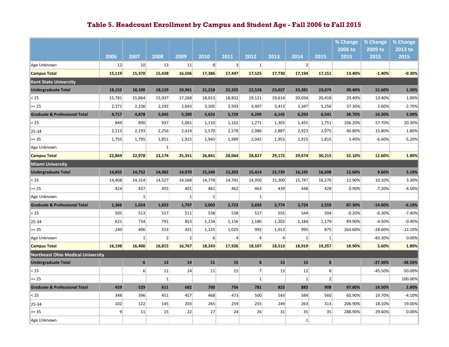|                                          |                |                |                |              |                |                |                 |                |                 |                  | % Change | % Change  | % Change  |
|------------------------------------------|----------------|----------------|----------------|--------------|----------------|----------------|-----------------|----------------|-----------------|------------------|----------|-----------|-----------|
|                                          |                |                |                |              |                |                |                 |                |                 |                  | 2006 to  | 2009 to   | 2013 to   |
|                                          | 2006           | 2007           | 2008           | 2009         | 2010           | 2011           | 2012            | 2013           | 2014            | 2015             | 2015     | 2015      | 2015      |
| Age Unknown                              | 12             | 10             | 13             | 11           | 8 <sup>1</sup> | 3 <sup>1</sup> | 1               |                | 2               |                  |          |           |           |
| <b>Campus Total</b>                      | 15,119         | 15,370         | 15,438         | 16,506       | 17,386         | 17,447         | 17,525          | 17,730         | 17,194          | 17,151           | 13.40%   | $-1.40%$  | $-0.30%$  |
| <b>Kent State University</b>             |                |                |                |              |                |                |                 |                |                 |                  |          |           |           |
| <b>Undergraduate Total</b>               | 18,152         | 18,100         | 18,129         | 19,961       | 21,218         | 22,335         | 22,528          | 23,027         | 23,381          | 23,674           | 30.40%   | 11.60%    | 1.30%     |
| < 25                                     | 15,781         | 15,864         | 15,937         | 17,268       | 18,013         | 18,832         | 19,121          | 19,614         | 20,034          | 20,418           | 29.40%   | 13.40%    | 1.90%     |
| $>= 25$                                  | 2,371          | 2,236          | 2,192          | 2,693        | 3,205          | 3,503          | 3,407           | 3,413          | 3,347           | 3,256            | 37.30%   | 1.60%     | $-2.70%$  |
| <b>Graduate &amp; Professional Total</b> | 4,717          | 4,878          | 5,045          | 5,390        | 5,623          | 5,729          | 6,299           | 6,145          | 6,293           | 6,541            | 38.70%   | 16.30%    | 3.90%     |
| < 25                                     | 849            | 890            | 937            | 1,061        | 1,110          | 1,162          | 1,271           | 1,305          | 1,455           | 1,751            | 106.20%  | 57.70%    | 20.30%    |
| 25-34                                    | 2,113          | 2,193          | 2,256          | 2,414        | 2,570          | 2,578          | 2,986           | 2,887          | 2,923           | 2,975            | 40.80%   | 15.80%    | 1.80%     |
| $>= 35$                                  | 1,755          | 1,795          | 1,851          | 1,915        | 1,943          | 1,989          | 2,042           | 1,953          | 1,915           | 1,815            | 3.40%    | $-6.60%$  | $-5.20%$  |
| Age Unknown                              |                |                | 1              |              |                |                |                 |                |                 |                  |          |           |           |
| <b>Campus Total</b>                      | 22,869         | 22,978         | 23,174         | 25,351       | 26,841         | 28,064         | 28,827          | 29,172         | 29,674          | 30,215           | 32.10%   | 12.60%    | 1.80%     |
| Miami University                         |                |                |                |              |                |                |                 |                |                 |                  |          |           |           |
| <b>Undergraduate Total</b>               | 14,832         | 14,752         | 14,982         | 14,970       | 15,240         | 15,203         | 15,414          | 15,739         | 16,195          | 16,698           | 12.60%   | 9.60%     | 3.10%     |
| < 25                                     | 14,408         | 14,314         | 14,527         | 14,568       | 14,778         | 14,741         | 14,950          | 15,300         | 15,747          | 16,270           | 12.90%   | 10.10%    | 3.30%     |
| $>= 25$                                  | 424            | 437            | 455            | 401          | 461            | 462            | 463             | 439            | 448             | 428              | 0.90%    | $-7.20%$  | $-4.50%$  |
| Age Unknown                              |                | $\mathbf{1}$   |                | $\mathbf{1}$ | $\mathbf{1}$   |                | $1\overline{ }$ |                |                 |                  |          |           |           |
| <b>Graduate &amp; Professional Total</b> | 1,366          | 1,654          | 1,833          | 1,797        | 3,003          | 2,723          | 2,693           | 2,774          | 2,724           | 2,559            | 87.30%   | $-14.80%$ | $-6.10%$  |
| < 25                                     | 505            | 513            | 517            | 511          | 538            | 538            | 517             | 555            | 544             | 504              | $-0.20%$ | $-6.30%$  | $-7.40%$  |
| 25-34                                    | 621            | 734            | 791            | 853          | 1,234          | 1,156          | 1,180           | 1,202          | 1,184           | 1,179            | 89.90%   | $-4.50%$  | $-0.40%$  |
| $>= 35$                                  | 240            | 406            | 523            | 431          | 1,225          | 1,025          | 992             | 1,013          | 995             | 875              | 264.60%  | $-28.60%$ | $-12.10%$ |
| Age Unknown                              |                | $1\vert$       | $\overline{2}$ | 2            | $6 \mid$       | $\overline{4}$ | $\overline{4}$  | $\overline{A}$ | $\mathbf{1}$    | $\mathbf{1}$     |          | $-83.30%$ | 0.00%     |
| <b>Campus Total</b>                      | 16,198         | 16,406         | 16,815         | 16,767       | 18,243         | 17,926         | 18,107          | 18,513         | 18,919          | 19,257           | 18.90%   | 5.60%     | 1.80%     |
| <b>Northeast Ohio Medical University</b> |                |                |                |              |                |                |                 |                |                 |                  |          |           |           |
| <b>Undergraduate Total</b>               |                | $6\phantom{1}$ | 12             | 14           | 11             | 15             | 8               | 13             | 13              | $\boldsymbol{8}$ |          | $-27.30%$ | -38.50%   |
| < 25                                     |                | 6              | 11             | 14           | 11             | 15             | 7 <sup>1</sup>  | 13             | 12              | 6 <sup>1</sup>   |          | $-45.50%$ | $-50.00%$ |
| $>= 25$                                  |                |                | $\vert$ 1      |              |                |                | $1\vert$        |                | 1               | $\mathbf{2}$     |          |           | 100.00%   |
| <b>Graduate &amp; Professional Total</b> | 459            | 529            | 611            | 682          | 760            | 756            | 781             | 823            | 883             | 908              | 97.80%   | 19.50%    | 2.80%     |
| < 25                                     | 348            | 396            | 451            | 457          | 468            | 473            | 500             | 543            | 584             | 560              | 60.90%   | 19.70%    | $-4.10%$  |
| 25-34                                    | 102            | 122            | 145            | 203          | 265            | 259            | 255             | 249            | 263             | 313              | 206.90%  | 18.10%    | 19.00%    |
| $>= 35$                                  | $\overline{9}$ | 11             | 15             | 22           | 27             | 24             | 26              | 31             | 35              | 35               | 288.90%  | 29.60%    | 0.00%     |
| Age Unknown                              |                |                |                |              |                |                |                 |                | $\vert 1 \vert$ |                  |          |           |           |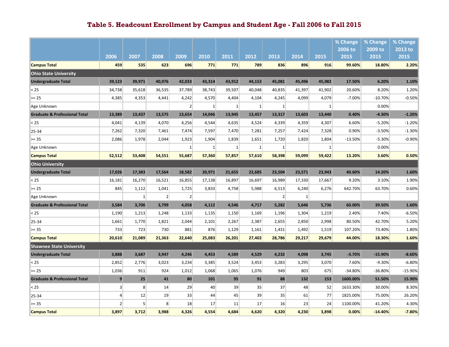|                                          |                         |                |                |                |              |              |              |              |           |              | % Change        | % Change        | % Change        |
|------------------------------------------|-------------------------|----------------|----------------|----------------|--------------|--------------|--------------|--------------|-----------|--------------|-----------------|-----------------|-----------------|
|                                          | 2006                    | 2007           | 2008           | 2009           | 2010         | 2011         | 2012         | 2013         | 2014      | 2015         | 2006 to<br>2015 | 2009 to<br>2015 | 2013 to<br>2015 |
| <b>Campus Total</b>                      | 459                     | 535            | 623            | 696            | 771          | 771          | 789          | 836          | 896       | 916          | 99.60%          | 18.80%          | 2.20%           |
| <b>Ohio State University</b>             |                         |                |                |                |              |              |              |              |           |              |                 |                 |                 |
| <b>Undergraduate Total</b>               | 39,123                  | 39,971         | 40,976         | 42,033         | 43,314       | 43,912       | 44,153       | 45,081       | 45,496    | 45,982       | 17.50%          | 6.20%           | 1.10%           |
| < 25                                     | 34,738                  | 35,618         | 36,535         | 37,789         | 38,743       | 39,507       | 40,048       | 40,835       | 41,397    | 41,902       | 20.60%          | 8.20%           | 1.20%           |
| $>= 25$                                  | 4,385                   | 4,353          | 4,441          | 4,242          | 4,570        | 4,404        | 4,104        | 4,245        | 4,099     | 4,079        | $-7.00%$        | $-10.70%$       | $-0.50%$        |
| Age Unknown                              |                         |                |                | $\overline{2}$ | $\mathbf{1}$ | $1\vert$     | $\mathbf{1}$ | $\mathbf{1}$ |           | $\mathbf{1}$ |                 | 0.00%           |                 |
| <b>Graduate &amp; Professional Total</b> | 13,389                  | 13,437         | 13,575         | 13,654         | 14,046       | 13,945       | 13,457       | 13,317       | 13,603    | 13,440       | 0.40%           | $-4.30%$        | $-1.20%$        |
| < 25                                     | 4,041                   | 4,139          | 4,070          | 4,256          | 4,544        | 4,635        | 4,524        | 4,339        | 4,359     | 4,307        | 6.60%           | $-5.20%$        | $-1.20%$        |
| 25-34                                    | 7,262                   | 7,320          | 7,461          | 7,474          | 7,597        | 7,470        | 7,281        | 7,257        | 7,424     | 7,328        | 0.90%           | $-3.50%$        | $-1.30%$        |
| $>= 35$                                  | 2,086                   | 1,978          | 2,044          | 1,923          | 1,904        | 1,839        | 1,651        | 1,720        | 1,820     | 1,804        | $-13.50%$       | $-5.30%$        | $-0.90%$        |
| Age Unknown                              |                         |                |                | $\mathbf{1}$   | $\mathbf{1}$ | $\mathbf{1}$ | $1\vert$     | $\mathbf{1}$ |           | $\mathbf{1}$ |                 | 0.00%           |                 |
| <b>Campus Total</b>                      | 52,512                  | 53,408         | 54,551         | 55,687         | 57,360       | 57,857       | 57,610       | 58,398       | 59,099    | 59,422       | 13.20%          | 3.60%           | 0.50%           |
| <b>Ohio University</b>                   |                         |                |                |                |              |              |              |              |           |              |                 |                 |                 |
| <b>Undergraduate Total</b>               | 17,026                  | 17,383         | 17,564         | 18,582         | 20,971       | 21,655       | 22,685       | 23,504       | 23,571    | 23,943       | 40.60%          | 14.20%          | 1.60%           |
| < 25                                     | 16,181                  | 16,270         | 16,521         | 16,855         | 17,138       | 16,897       | 16,697       | 16,989       | 17,330    | 17,667       | 9.20%           | 3.10%           | 1.90%           |
| $>= 25$                                  | 845                     | 1,112          | 1,041          | 1,725          | 3,833        | 4,758        | 5,988        | 6,513        | 6,240     | 6,276        | 642.70%         | 63.70%          | 0.60%           |
| Age Unknown                              |                         | $1\vert$       | $\overline{2}$ | 2 <sup>2</sup> |              |              |              | 2            | $\vert$ 1 |              |                 |                 |                 |
| <b>Graduate &amp; Professional Total</b> | 3,584                   | 3,706          | 3,799          | 4,058          | 4,112        | 4,546        | 4,717        | 5,282        | 5,646     | 5,736        | 60.00%          | 39.50%          | 1.60%           |
| < 25                                     | 1,190                   | 1,213          | 1,248          | 1,133          | 1,135        | 1,150        | 1,169        | 1,196        | 1,304     | 1,219        | 2.40%           | 7.40%           | $-6.50%$        |
| 25-34                                    | 1,661                   | 1,770          | 1,821          | 2,044          | 2,101        | 2,267        | 2,387        | 2,655        | 2,850     | 2,998        | 80.50%          | 42.70%          | 5.20%           |
| $>= 35$                                  | 733                     | 723            | 730            | 881            | 876          | 1,129        | 1,161        | 1,431        | 1,492     | 1,519        | 107.20%         | 73.40%          | 1.80%           |
| <b>Campus Total</b>                      | 20,610                  | 21,089         | 21,363         | 22,640         | 25,083       | 26,201       | 27,402       | 28,786       | 29,217    | 29,679       | 44.00%          | 18.30%          | 1.60%           |
| <b>Shawnee State University</b>          |                         |                |                |                |              |              |              |              |           |              |                 |                 |                 |
| <b>Undergraduate Total</b>               | 3,888                   | 3,687          | 3.947          | 4,246          | 4,453        | 4,589        | 4,529        | 4,232        | 4,098     | 3,745        | $-3.70%$        | $-15.90%$       | $-8.60%$        |
| < 25                                     | 2,852                   | 2,776          | 3,023          | 3,234          | 3,385        | 3,524        | 3,453        | 3,283        | 3,295     | 3,070        | 7.60%           | $-9.30%$        | $-6.80%$        |
| $>= 25$                                  | 1,036                   | 911            | 924            | 1,012          | 1,068        | 1,065        | 1,076        | 949          | 803       | 675          | $-34.80%$       | $-36.80%$       | $-15.90%$       |
| <b>Graduate &amp; Professional Total</b> | 9                       | 25             | 41             | 80             | 101          | 95           | 91           | 88           | 132       | 153          | 1600.00%        | 51.50%          | 15.90%          |
| < 25                                     | $\overline{\mathbf{3}}$ | 8 <sup>1</sup> | 14             | 29             | 40           | 39           | 35           | 37           | 48        | 52           | 1633.30%        | 30.00%          | 8.30%           |
| 25-34                                    | $\vert$                 | 12             | 19             | 33             | 44           | 45           | 39           | 35           | 61        | 77           | 1825.00%        | 75.00%          | 26.20%          |
| $>= 35$                                  | $\overline{2}$          | 5 <sup>1</sup> | 8              | 18             | 17           | 11           | 17           | 16           | 23        | 24           | 1100.00%        | 41.20%          | 4.30%           |
| <b>Campus Total</b>                      | 3,897                   | 3,712          | 3,988          | 4,326          | 4,554        | 4,684        | 4,620        | 4,320        | 4,230     | 3,898        | 0.00%           | $-14.40%$       | $-7.80%$        |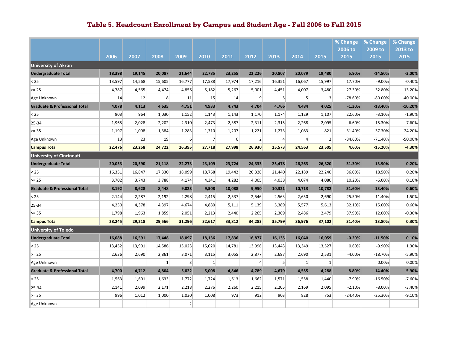|                                          |        |        |                |                 |                |          |                |        |                |                | % Change        | % Change        | % Change        |
|------------------------------------------|--------|--------|----------------|-----------------|----------------|----------|----------------|--------|----------------|----------------|-----------------|-----------------|-----------------|
|                                          | 2006   | 2007   | 2008           | 2009            | 2010           | 2011     | 2012           | 2013   | 2014           | 2015           | 2006 to<br>2015 | 2009 to<br>2015 | 2013 to<br>2015 |
| <b>University of Akron</b>               |        |        |                |                 |                |          |                |        |                |                |                 |                 |                 |
| <b>Undergraduate Total</b>               | 18,398 | 19,145 | 20,087         | 21,644          | 22,785         | 23,255   | 22,226         | 20,807 | 20,079         | 19,480         | 5.90%           | $-14.50%$       | $-3.00%$        |
| < 25                                     | 13,597 | 14,568 | 15,605         | 16,777          | 17,588         | 17,974   | 17,216         | 16,351 | 16,067         | 15,997         | 17.70%          | $-9.00%$        | $-0.40%$        |
| $>= 25$                                  | 4,787  | 4,565  | 4,474          | 4,856           | 5,182          | 5,267    | 5,001          | 4,451  | 4,007          | 3,480          | $-27.30%$       | $-32.80%$       | $-13.20%$       |
| Age Unknown                              | 14     | 12     | 8 <sup>1</sup> | 11              | 15             | 14       | 9              | 5      | 5 <sup>1</sup> | 3              | $-78.60%$       | $-80.00%$       | $-40.00%$       |
| <b>Graduate &amp; Professional Total</b> | 4,078  | 4,113  | 4,635          | 4,751           | 4,933          | 4,743    | 4,704          | 4,766  | 4,484          | 4,025          | $-1.30%$        | $-18.40%$       | $-10.20%$       |
| < 25                                     | 903    | 964    | 1,030          | 1,152           | 1,143          | 1,143    | 1,170          | 1,174  | 1,129          | 1,107          | 22.60%          | $-3.10%$        | $-1.90%$        |
| 25-34                                    | 1,965  | 2,028  | 2,202          | 2,310           | 2,473          | 2,387    | 2,311          | 2,315  | 2,268          | 2,095          | 6.60%           | $-15.30%$       | $-7.60%$        |
| $>= 35$                                  | 1,197  | 1,098  | 1,384          | 1,283           | 1,310          | 1,207    | 1,221          | 1,273  | 1,083          | 821            | $-31.40%$       | $-37.30%$       | $-24.20%$       |
| Age Unknown                              | 13     | 23     | 19             | 6               | $\overline{7}$ | $6 \mid$ | $\overline{2}$ | 4      | 4              | $\overline{2}$ | $-84.60%$       | $-71.40%$       | -50.00%         |
| <b>Campus Total</b>                      | 22,476 | 23,258 | 24,722         | 26,395          | 27,718         | 27,998   | 26,930         | 25,573 | 24,563         | 23,505         | 4.60%           | $-15.20%$       | $-4.30%$        |
| <b>University of Cincinnati</b>          |        |        |                |                 |                |          |                |        |                |                |                 |                 |                 |
| <b>Undergraduate Total</b>               | 20,053 | 20,590 | 21,118         | 22,273          | 23,109         | 23,724   | 24,333         | 25,478 | 26,263         | 26,320         | 31.30%          | 13.90%          | 0.20%           |
| < 25                                     | 16,351 | 16,847 | 17,330         | 18,099          | 18,768         | 19,442   | 20,328         | 21,440 | 22,189         | 22,240         | 36.00%          | 18.50%          | 0.20%           |
| $>= 25$                                  | 3,702  | 3,743  | 3,788          | 4,174           | 4,341          | 4,282    | 4,005          | 4,038  | 4,074          | 4,080          | 10.20%          | $-6.00%$        | 0.10%           |
| <b>Graduate &amp; Professional Total</b> | 8,192  | 8,628  | 8,448          | 9,023           | 9,508          | 10,088   | 9,950          | 10,321 | 10,713         | 10,782         | 31.60%          | 13.40%          | 0.60%           |
| < 25                                     | 2,144  | 2,287  | 2,192          | 2,298           | 2,415          | 2,537    | 2,546          | 2,563  | 2,650          | 2,690          | 25.50%          | 11.40%          | 1.50%           |
| 25-34                                    | 4,250  | 4,378  | 4,397          | 4,674           | 4,880          | 5,111    | 5,139          | 5,389  | 5,577          | 5,613          | 32.10%          | 15.00%          | 0.60%           |
| $>= 35$                                  | 1,798  | 1,963  | 1,859          | 2,051           | 2,213          | 2,440    | 2,265          | 2,369  | 2,486          | 2,479          | 37.90%          | 12.00%          | $-0.30%$        |
| <b>Campus Total</b>                      | 28,245 | 29,218 | 29,566         | 31,296          | 32,617         | 33,812   | 34,283         | 35,799 | 36,976         | 37,102         | 31.40%          | 13.80%          | 0.30%           |
| <b>University of Toledo</b>              |        |        |                |                 |                |          |                |        |                |                |                 |                 |                 |
| <b>Undergraduate Total</b>               | 16,088 | 16,591 | 17,448         | 18,097          | 18,136         | 17,836   | 16,877         | 16,135 | 16,040         | 16,059         | $-0.20%$        | $-11.50%$       | 0.10%           |
| < 25                                     | 13,452 | 13,901 | 14,586         | 15,023          | 15,020         | 14,781   | 13,996         | 13,443 | 13,349         | 13,527         | 0.60%           | $-9.90%$        | 1.30%           |
| $>= 25$                                  | 2,636  | 2,690  | 2,861          | 3,071           | 3,115          | 3,055    | 2,877          | 2,687  | 2,690          | 2,531          | $-4.00%$        | $-18.70%$       | $-5.90%$        |
| Age Unknown                              |        |        | $\vert$ 1      | $\vert 3 \vert$ | $\mathbf{1}$   |          | $\overline{4}$ | 5      | $\mathbf{1}$   | $\mathbf{1}$   |                 | 0.00%           | 0.00%           |
| <b>Graduate &amp; Professional Total</b> | 4,700  | 4,712  | 4,804          | 5,022           | 5,008          | 4,846    | 4,789          | 4,679  | 4,555          | 4,288          | $-8.80%$        | $-14.40%$       | $-5.90%$        |
| < 25                                     | 1,563  | 1,601  | 1,633          | 1,772           | 1,724          | 1,613    | 1,662          | 1,571  | 1,558          | 1,440          | $-7.90%$        | $-16.50%$       | $-7.60%$        |
| 25-34                                    | 2,141  | 2,099  | 2,171          | 2,218           | 2,276          | 2,260    | 2,215          | 2,205  | 2,169          | 2,095          | $-2.10%$        | $-8.00%$        | $-3.40%$        |
| $>= 35$                                  | 996    | 1,012  | 1,000          | 1,030           | 1,008          | 973      | 912            | 903    | 828            | 753            | $-24.40%$       | $-25.30%$       | $-9.10%$        |
| Age Unknown                              |        |        |                | $\overline{2}$  |                |          |                |        |                |                |                 |                 |                 |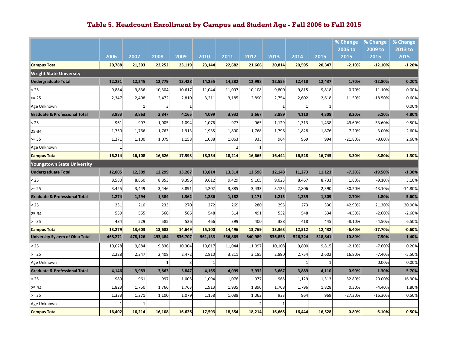|                                          |              |              |                |                 |         |                |              |              |              |              | % Change  | % Change  | % Change  |
|------------------------------------------|--------------|--------------|----------------|-----------------|---------|----------------|--------------|--------------|--------------|--------------|-----------|-----------|-----------|
|                                          |              |              |                |                 |         |                |              |              |              |              | 2006 to   | 2009 to   | 2013 to   |
|                                          | 2006         | 2007         | 2008           | 2009            | 2010    | 2011           | 2012         | 2013         | 2014         | 2015         | 2015      | 2015      | 2015      |
| <b>Campus Total</b>                      | 20,788       | 21,303       | 22,252         | 23,119          | 23,144  | 22,682         | 21,666       | 20,814       | 20,595       | 20,347       | $-2.10%$  | $-12.10%$ | $-1.20%$  |
| <b>Wright State University</b>           |              |              |                |                 |         |                |              |              |              |              |           |           |           |
| <b>Undergraduate Total</b>               | 12,231       | 12,245       | 12,779         | 13,428          | 14,255  | 14,282         | 12,998       | 12,555       | 12,418       | 12,437       | 1.70%     | $-12.80%$ | 0.20%     |
| < 25                                     | 9,884        | 9,836        | 10,304         | 10,617          | 11,044  | 11,097         | 10,108       | 9,800        | 9,815        | 9,818        | $-0.70%$  | $-11.10%$ | 0.00%     |
| $>= 25$                                  | 2,347        | 2,408        | 2,472          | 2,810           | 3,211   | 3,185          | 2,890        | 2,754        | 2,602        | 2,618        | 11.50%    | $-18.50%$ | 0.60%     |
| Age Unknown                              |              | $\mathbf{1}$ | $\overline{3}$ | $1\overline{ }$ |         |                |              | $\mathbf{1}$ | $\mathbf{1}$ | $\mathbf{1}$ |           |           | 0.00%     |
| <b>Graduate &amp; Professional Total</b> | 3,983        | 3,863        | 3,847          | 4,165           | 4,099   | 3,932          | 3,667        | 3,889        | 4,110        | 4,308        | 8.20%     | 5.10%     | 4.80%     |
| < 25                                     | 961          | 997          | 1,005          | 1,094           | 1,076   | 977            | 965          | 1,129        | 1,313        | 1,438        | 49.60%    | 33.60%    | 9.50%     |
| 25-34                                    | 1,750        | 1,766        | 1,763          | 1,913           | 1,935   | 1,890          | 1,768        | 1,796        | 1,828        | 1,876        | 7.20%     | $-3.00%$  | 2.60%     |
| $>= 35$                                  | 1,271        | 1,100        | 1,079          | 1,158           | 1,088   | 1,063          | 933          | 964          | 969          | 994          | $-21.80%$ | $-8.60%$  | 2.60%     |
| Age Unknown                              | $\mathbf{1}$ |              |                |                 |         | $\overline{2}$ | $\mathbf{1}$ |              |              |              |           |           |           |
| <b>Campus Total</b>                      | 16,214       | 16,108       | 16,626         | 17,593          | 18,354  | 18,214         | 16,665       | 16,444       | 16,528       | 16,745       | 3.30%     | $-8.80%$  | 1.30%     |
| <b>Youngstown State University</b>       |              |              |                |                 |         |                |              |              |              |              |           |           |           |
| <b>Undergraduate Total</b>               | 12,005       | 12,309       | 12,299         | 13,287          | 13,814  | 13,314         | 12,598       | 12,148       | 11,273       | 11,123       | $-7.30%$  | $-19.50%$ | $-1.30%$  |
| < 25                                     | 8,580        | 8,860        | 8,853          | 9,396           | 9,612   | 9,429          | 9,165        | 9,023        | 8,467        | 8,733        | 1.80%     | $-9.10%$  | 3.10%     |
| $>= 25$                                  | 3,425        | 3,449        | 3,446          | 3,891           | 4,202   | 3,885          | 3,433        | 3,125        | 2,806        | 2,390        | $-30.20%$ | $-43.10%$ | $-14.80%$ |
| <b>Graduate &amp; Professional Total</b> | 1,274        | 1,294        | 1,384          | 1,362           | 1,286   | 1,182          | 1,171        | 1,215        | 1,239        | 1,309        | 2.70%     | 1.80%     | 5.60%     |
| < 25                                     | 231          | 210          | 233            | 270             | 272     | 269            | 280          | 295          | 273          | 330          | 42.90%    | 21.30%    | 20.90%    |
| 25-34                                    | 559          | 555          | 566            | 566             | 548     | 514            | 491          | 532          | 548          | 534          | $-4.50%$  | $-2.60%$  | $-2.60%$  |
| $>= 35$                                  | 484          | 529          | 585            | 526             | 466     | 399            | 400          | 388          | 418          | 445          | $-8.10%$  | $-4.50%$  | 6.50%     |
| <b>Campus Total</b>                      | 13,279       | 13,603       | 13,683         | 14,649          | 15,100  | 14,496         | 13,769       | 13,363       | 12,512       | 12,432       | $-6.40%$  | $-17.70%$ | $-0.60%$  |
| <b>University System of Ohio Total</b>   | 468,271      | 478,126      | 493,484        | 536,707         | 561,133 | 556,865        | 540,989      | 536,853      | 526,324      | 518,841      | 10.80%    | $-7.50%$  | $-1.40%$  |
| < 25                                     | 10,028       | 9,884        | 9,836          | 10,304          | 10,617  | 11,044         | 11,097       | 10,108       | 9,800        | 9,815        | $-2.10%$  | $-7.60%$  | 0.20%     |
| $>= 25$                                  | 2,228        | 2,347        | 2,408          | 2,472           | 2,810   | 3,211          | 3,185        | 2,890        | 2,754        | 2,602        | 16.80%    | $-7.40%$  | $-5.50%$  |
| Age Unknown                              |              |              |                |                 |         |                |              |              |              |              |           | 0.00%     | 0.00%     |
| <b>Graduate &amp; Professional Total</b> | 4,146        | 3,983        | 3,863          | 3,847           | 4,165   | 4,099          | 3,932        | 3,667        | 3,889        | 4,110        | $-0.90%$  | $-1.30%$  | 5.70%     |
| < 25                                     | 989          | 961          | 997            | 1,005           | 1,094   | 1,076          | 977          | 965          | 1,129        | 1,313        | 32.80%    | 20.00%    | 16.30%    |
| 25-34                                    | 1,823        | 1,750        | 1,766          | 1,763           | 1,913   | 1,935          | 1,890        | 1,768        | 1,796        | 1,828        | 0.30%     | $-4.40%$  | 1.80%     |
| $>= 35$                                  | 1,333        | 1,271        | 1,100          | 1,079           | 1,158   | 1,088          | 1,063        | 933          | 964          | 969          | $-27.30%$ | $-16.30%$ | 0.50%     |
| Age Unknown                              |              |              |                |                 |         |                |              |              |              |              |           |           |           |
| <b>Campus Total</b>                      | 16,402       | 16,214       | 16,108         | 16,626          | 17,593  | 18,354         | 18,214       | 16,665       | 16,444       | 16,528       | 0.80%     | $-6.10%$  | 0.50%     |